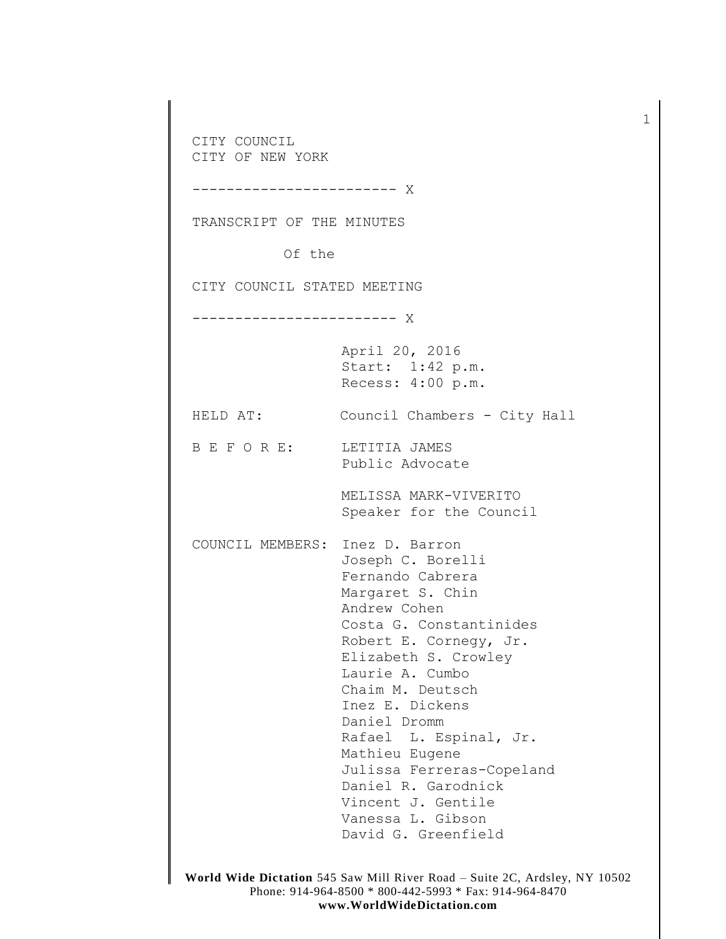CITY COUNCIL CITY OF NEW YORK ------------------------ X TRANSCRIPT OF THE MINUTES Of the CITY COUNCIL STATED MEETING ------------------------ X April 20, 2016 Start: 1:42 p.m. Recess: 4:00 p.m. HELD AT: Council Chambers - City Hall B E F O R E: LETITIA JAMES Public Advocate MELISSA MARK-VIVERITO Speaker for the Council COUNCIL MEMBERS: Inez D. Barron Joseph C. Borelli Fernando Cabrera Margaret S. Chin Andrew Cohen Costa G. Constantinides Robert E. Cornegy, Jr. Elizabeth S. Crowley Laurie A. Cumbo Chaim M. Deutsch Inez E. Dickens Daniel Dromm Rafael L. Espinal, Jr. Mathieu Eugene Julissa Ferreras-Copeland Daniel R. Garodnick Vincent J. Gentile Vanessa L. Gibson David G. Greenfield

1

**World Wide Dictation** 545 Saw Mill River Road – Suite 2C, Ardsley, NY 10502 Phone: 914-964-8500 \* 800-442-5993 \* Fax: 914-964-8470 **www.WorldWideDictation.com**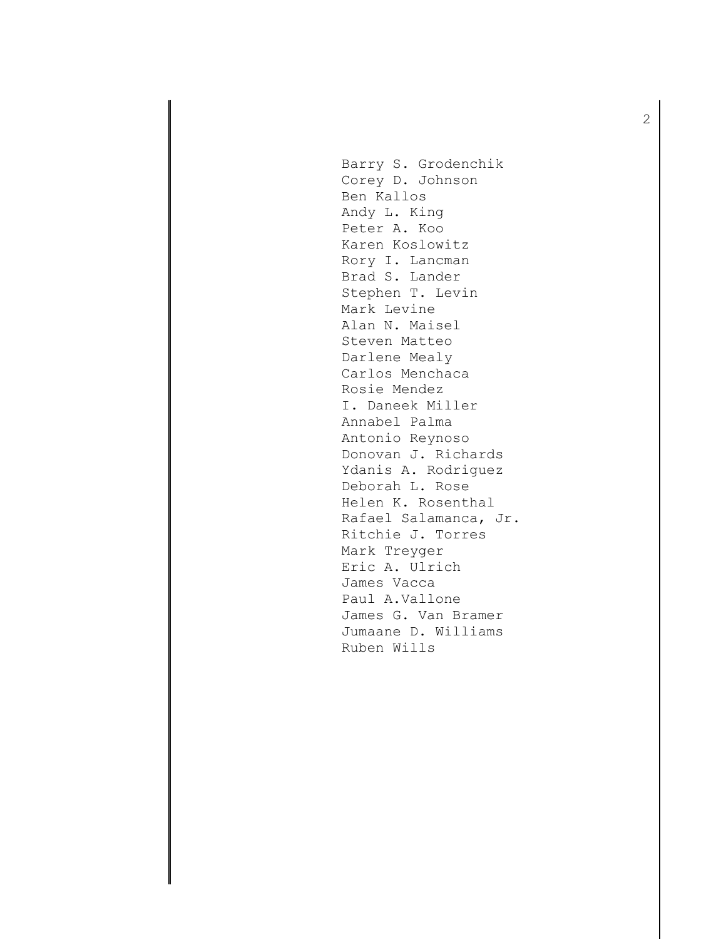Barry S. Grodenchik Corey D. Johnson Ben Kallos Andy L. King Peter A. Koo Karen Koslowitz Rory I. Lancman Brad S. Lander Stephen T. Levin Mark Levine Alan N. Maisel Steven Matteo Darlene Mealy Carlos Menchaca Rosie Mendez I. Daneek Miller Annabel Palma Antonio Reynoso Donovan J. Richards Ydanis A. Rodriguez Deborah L. Rose Helen K. Rosenthal Rafael Salamanca, Jr. Ritchie J. Torres Mark Treyger Eric A. Ulrich James Vacca Paul A.Vallone James G. Van Bramer Jumaane D. Williams Ruben Wills

2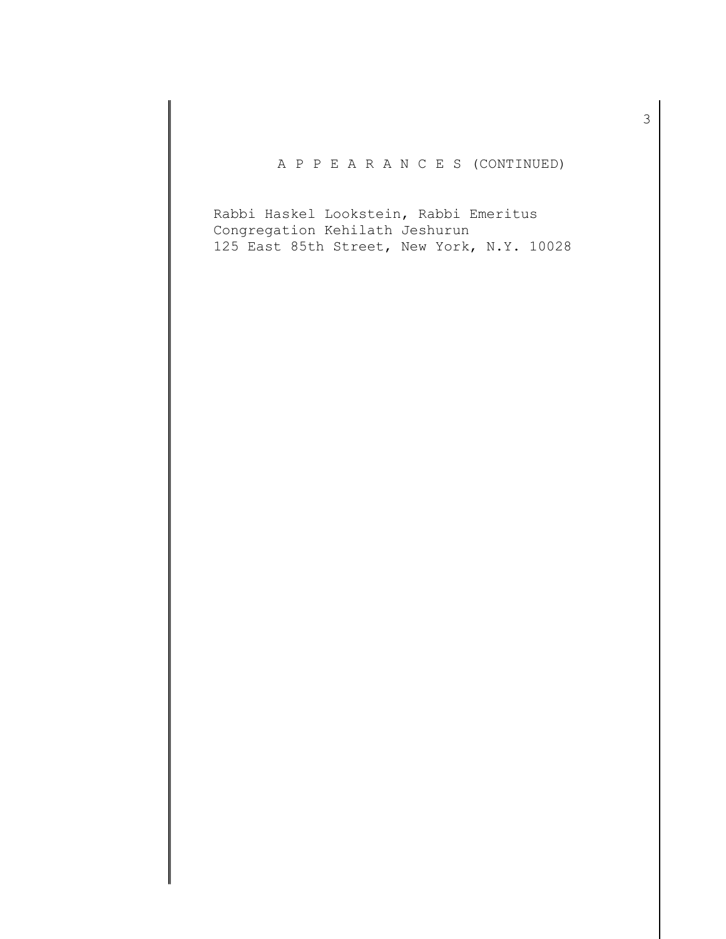# A P P E A R A N C E S (CONTINUED)

Rabbi Haskel Lookstein, Rabbi Emeritus Congregation Kehilath Jeshurun 125 East 85th Street, New York, N.Y. 10028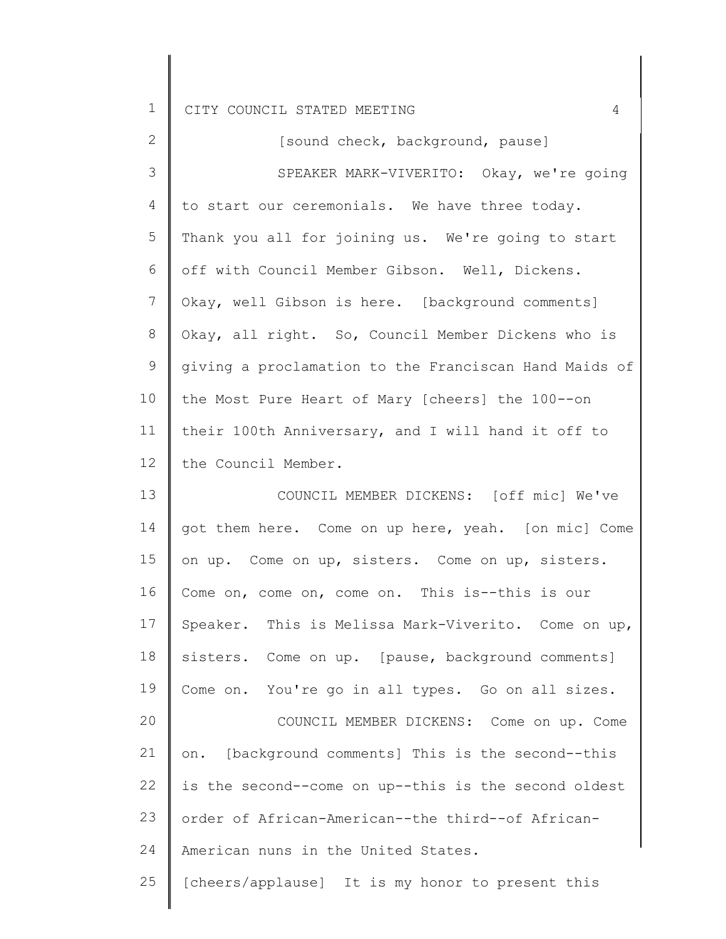| <b>+</b> |  | CITY COUNCIL STATED MEETING |  |  |  |  |
|----------|--|-----------------------------|--|--|--|--|
|----------|--|-----------------------------|--|--|--|--|

| 2               | [sound check, background, pause]                      |
|-----------------|-------------------------------------------------------|
| 3               | SPEAKER MARK-VIVERITO: Okay, we're going              |
| 4               | to start our ceremonials. We have three today.        |
| 5               | Thank you all for joining us. We're going to start    |
| 6               | off with Council Member Gibson. Well, Dickens.        |
| $7\phantom{.0}$ | Okay, well Gibson is here. [background comments]      |
| 8               | Okay, all right. So, Council Member Dickens who is    |
| 9               | giving a proclamation to the Franciscan Hand Maids of |
| 10 <sub>o</sub> | the Most Pure Heart of Mary [cheers] the 100--on      |
| 11              | their 100th Anniversary, and I will hand it off to    |
| 12              | the Council Member.                                   |
| 13              | COUNCIL MEMBER DICKENS: [off mic] We've               |
| 14              | got them here. Come on up here, yeah. [on mic] Come   |
| 15              | on up. Come on up, sisters. Come on up, sisters.      |
| 16              | Come on, come on, come on. This is--this is our       |
| 17              | Speaker. This is Melissa Mark-Viverito. Come on up,   |
| 18              | sisters. Come on up. [pause, background comments]     |
| 19              | Come on. You're go in all types. Go on all sizes.     |
| 20              | COUNCIL MEMBER DICKENS: Come on up. Come              |
| 21              | [background comments] This is the second--this<br>on. |
| 22              | is the second--come on up--this is the second oldest  |

23 24 order of African-American--the third--of African-American nuns in the United States.

25 [cheers/applause] It is my honor to present this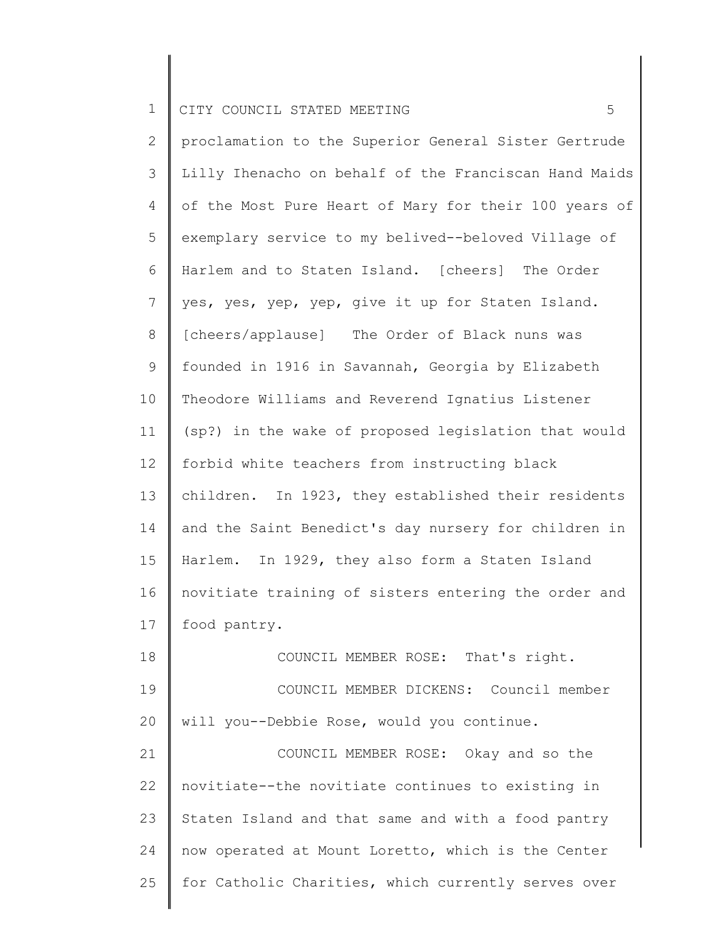2 3 4 5 6 7 8 9 10 11 12 13 14 15 16 17 proclamation to the Superior General Sister Gertrude Lilly Ihenacho on behalf of the Franciscan Hand Maids of the Most Pure Heart of Mary for their 100 years of exemplary service to my belived--beloved Village of Harlem and to Staten Island. [cheers] The Order yes, yes, yep, yep, give it up for Staten Island. [cheers/applause] The Order of Black nuns was founded in 1916 in Savannah, Georgia by Elizabeth Theodore Williams and Reverend Ignatius Listener (sp?) in the wake of proposed legislation that would forbid white teachers from instructing black children. In 1923, they established their residents and the Saint Benedict's day nursery for children in Harlem. In 1929, they also form a Staten Island novitiate training of sisters entering the order and food pantry.

18 19 20 21 COUNCIL MEMBER ROSE: That's right. COUNCIL MEMBER DICKENS: Council member will you--Debbie Rose, would you continue. COUNCIL MEMBER ROSE: Okay and so the

22 23 24 25 novitiate--the novitiate continues to existing in Staten Island and that same and with a food pantry now operated at Mount Loretto, which is the Center for Catholic Charities, which currently serves over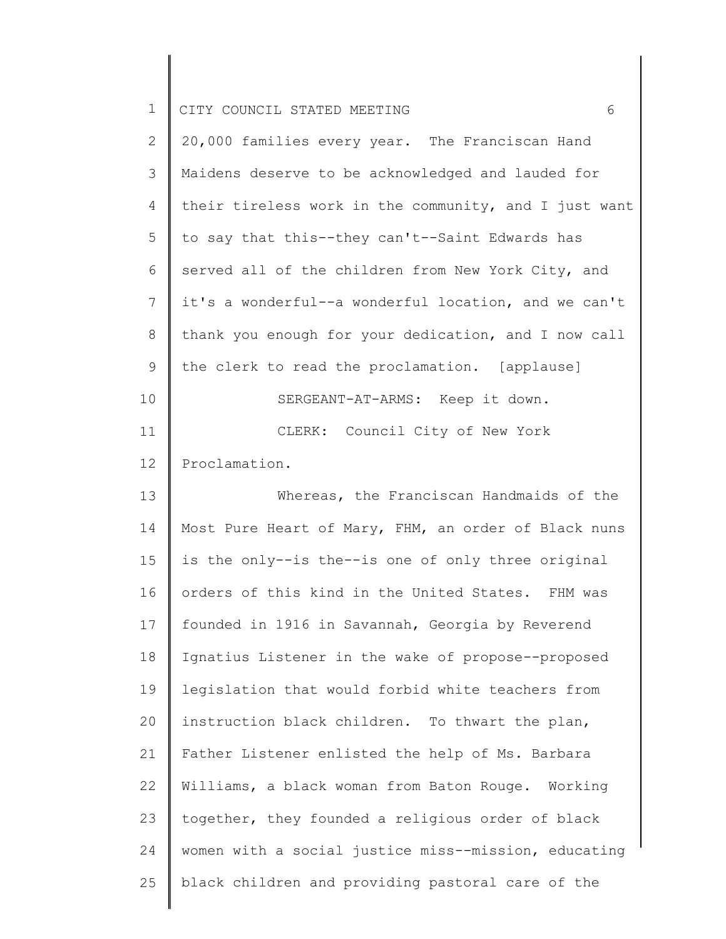| $\mathbf 1$   | CITY COUNCIL STATED MEETING<br>6                      |
|---------------|-------------------------------------------------------|
| $\mathbf{2}$  | 20,000 families every year. The Franciscan Hand       |
| $\mathcal{S}$ | Maidens deserve to be acknowledged and lauded for     |
| 4             | their tireless work in the community, and I just want |
| 5             | to say that this--they can't--Saint Edwards has       |
| 6             | served all of the children from New York City, and    |
| 7             | it's a wonderful--a wonderful location, and we can't  |
| 8             | thank you enough for your dedication, and I now call  |
| 9             | the clerk to read the proclamation. [applause]        |
| 10            | SERGEANT-AT-ARMS: Keep it down.                       |
| 11            | CLERK: Council City of New York                       |
| 12            | Proclamation.                                         |
| 13            | Whereas, the Franciscan Handmaids of the              |
| 14            | Most Pure Heart of Mary, FHM, an order of Black nuns  |
| 15            | is the only--is the--is one of only three original    |
| 16            | orders of this kind in the United States. FHM was     |
| 17            | founded in 1916 in Savannah, Georgia by Reverend      |
| 18            | Ignatius Listener in the wake of propose--proposed    |
| 19            | legislation that would forbid white teachers from     |
| 20            | instruction black children. To thwart the plan,       |
| 21            | Father Listener enlisted the help of Ms. Barbara      |
| 22            | Williams, a black woman from Baton Rouge. Working     |
| 23            | together, they founded a religious order of black     |
| 24            | women with a social justice miss--mission, educating  |
| 25            | black children and providing pastoral care of the     |
|               |                                                       |

 $\parallel$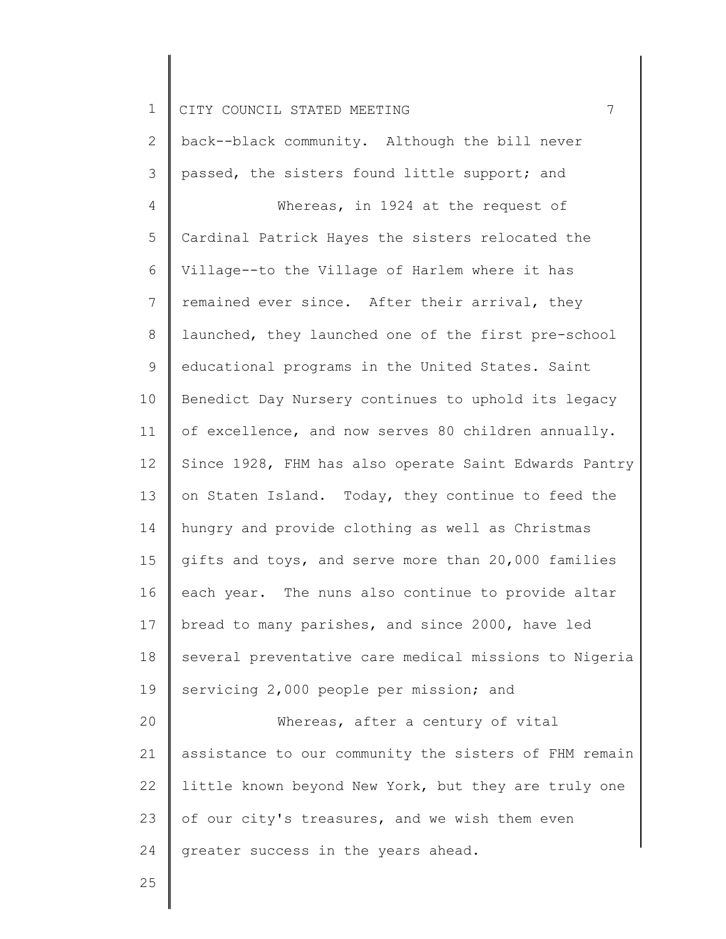2 3 4 5 6 7 8 9 10 11 12 13 14 15 16 17 18 19 20 21 22 23 24 back--black community. Although the bill never passed, the sisters found little support; and Whereas, in 1924 at the request of Cardinal Patrick Hayes the sisters relocated the Village--to the Village of Harlem where it has remained ever since. After their arrival, they launched, they launched one of the first pre-school educational programs in the United States. Saint Benedict Day Nursery continues to uphold its legacy of excellence, and now serves 80 children annually. Since 1928, FHM has also operate Saint Edwards Pantry on Staten Island. Today, they continue to feed the hungry and provide clothing as well as Christmas gifts and toys, and serve more than 20,000 families each year. The nuns also continue to provide altar bread to many parishes, and since 2000, have led several preventative care medical missions to Nigeria servicing 2,000 people per mission; and Whereas, after a century of vital assistance to our community the sisters of FHM remain little known beyond New York, but they are truly one of our city's treasures, and we wish them even greater success in the years ahead.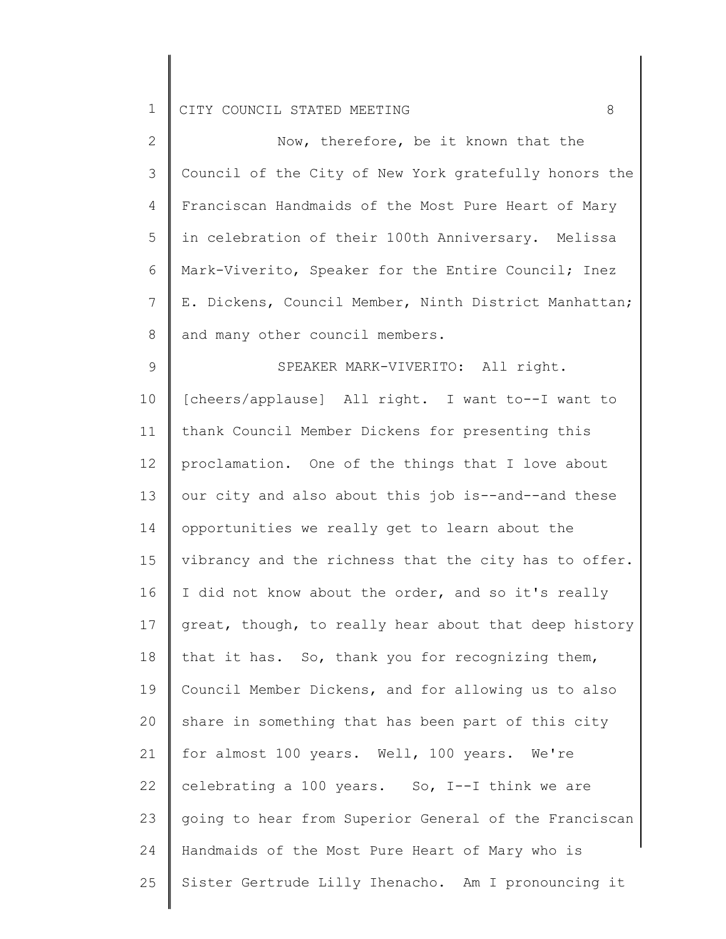| $\overline{2}$ | Now, therefore, be it known that the                  |
|----------------|-------------------------------------------------------|
| 3              | Council of the City of New York gratefully honors the |
| 4              | Franciscan Handmaids of the Most Pure Heart of Mary   |
| 5              | in celebration of their 100th Anniversary. Melissa    |
| 6              | Mark-Viverito, Speaker for the Entire Council; Inez   |
| $\overline{7}$ | E. Dickens, Council Member, Ninth District Manhattan; |
| 8              | and many other council members.                       |
| 9              | SPEAKER MARK-VIVERITO: All right.                     |
| 10             | [cheers/applause] All right. I want to--I want to     |
| 11             | thank Council Member Dickens for presenting this      |
| 12             | proclamation. One of the things that I love about     |
| 13             | our city and also about this job is--and--and these   |
| 14             | opportunities we really get to learn about the        |
| 15             | vibrancy and the richness that the city has to offer. |
| 16             | I did not know about the order, and so it's really    |
| 17             | great, though, to really hear about that deep history |
| 18             | that it has. So, thank you for recognizing them,      |
| 19             | Council Member Dickens, and for allowing us to also   |
| 20             | share in something that has been part of this city    |
| 21             | for almost 100 years. Well, 100 years. We're          |
| 22             | celebrating a 100 years. So, I--I think we are        |
| 23             | going to hear from Superior General of the Franciscan |
| 24             | Handmaids of the Most Pure Heart of Mary who is       |
| 25             | Sister Gertrude Lilly Ihenacho. Am I pronouncing it   |
|                |                                                       |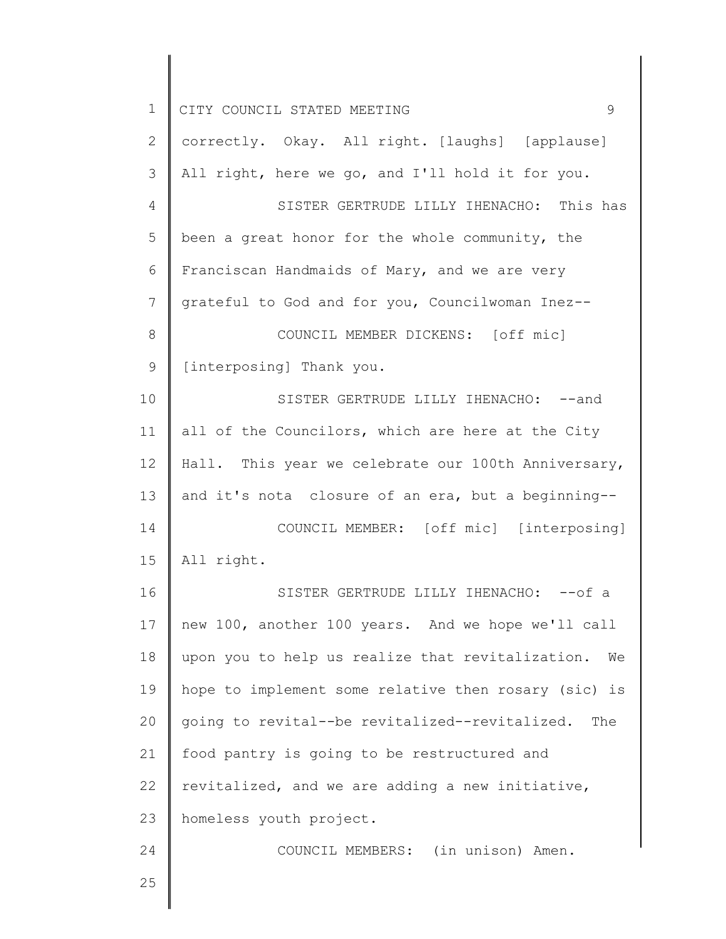| 1           | CITY COUNCIL STATED MEETING<br>9                       |
|-------------|--------------------------------------------------------|
| 2           | correctly. Okay. All right. [laughs] [applause]        |
| 3           | All right, here we go, and I'll hold it for you.       |
| 4           | SISTER GERTRUDE LILLY IHENACHO: This has               |
| 5           | been a great honor for the whole community, the        |
| 6           | Franciscan Handmaids of Mary, and we are very          |
| 7           | grateful to God and for you, Councilwoman Inez--       |
| $8\,$       | COUNCIL MEMBER DICKENS: [off mic]                      |
| $\mathsf 9$ | [interposing] Thank you.                               |
| 10          | SISTER GERTRUDE LILLY IHENACHO: -- and                 |
| 11          | all of the Councilors, which are here at the City      |
| 12          | Hall. This year we celebrate our 100th Anniversary,    |
| 13          | and it's nota closure of an era, but a beginning--     |
| 14          | COUNCIL MEMBER: [off mic] [interposing]                |
| 15          | All right.                                             |
| 16          | SISTER GERTRUDE LILLY IHENACHO: -- of a                |
| 17          | new 100, another 100 years. And we hope we'll call     |
| 18          | upon you to help us realize that revitalization.<br>We |
| 19          | hope to implement some relative then rosary (sic) is   |
| 20          | going to revital--be revitalized--revitalized. The     |
| 21          | food pantry is going to be restructured and            |
| 22          | revitalized, and we are adding a new initiative,       |
| 23          | homeless youth project.                                |
| 24          | COUNCIL MEMBERS: (in unison) Amen.                     |
| 25          |                                                        |
|             |                                                        |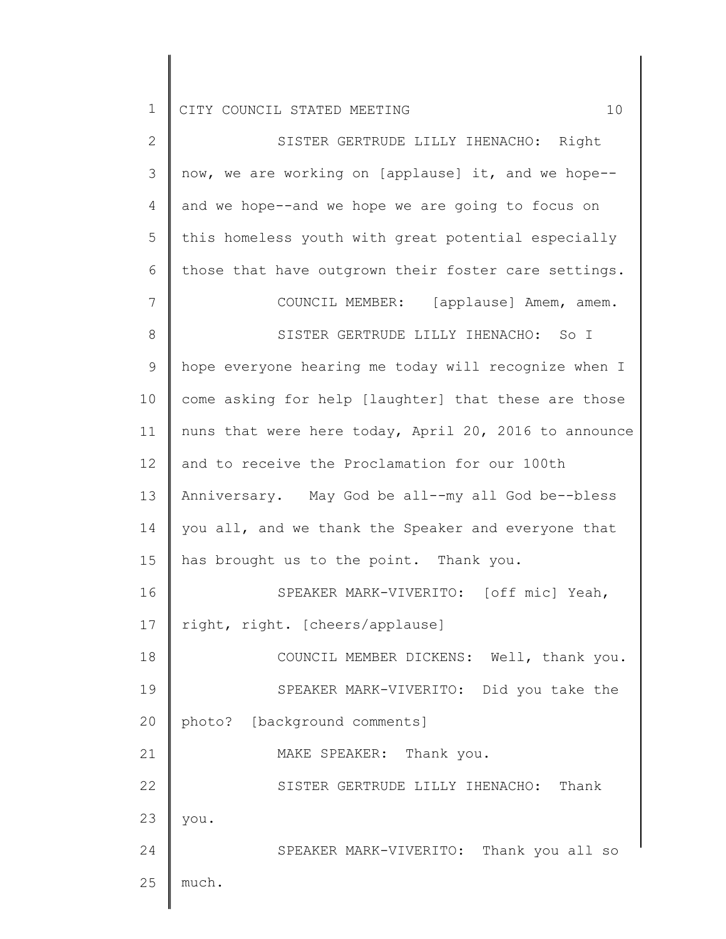2 3 4 5 6 7 8 9 10 11 12 13 14 15 16 17 18 19 20 21 22 23 24 25 SISTER GERTRUDE LILLY IHENACHO: Right now, we are working on [applause] it, and we hope- and we hope--and we hope we are going to focus on this homeless youth with great potential especially those that have outgrown their foster care settings. COUNCIL MEMBER: [applause] Amem, amem. SISTER GERTRUDE LILLY IHENACHO: So I hope everyone hearing me today will recognize when I come asking for help [laughter] that these are those nuns that were here today, April 20, 2016 to announce and to receive the Proclamation for our 100th Anniversary. May God be all--my all God be--bless you all, and we thank the Speaker and everyone that has brought us to the point. Thank you. SPEAKER MARK-VIVERITO: [off mic] Yeah, right, right. [cheers/applause] COUNCIL MEMBER DICKENS: Well, thank you. SPEAKER MARK-VIVERITO: Did you take the photo? [background comments] MAKE SPEAKER: Thank you. SISTER GERTRUDE LILLY IHENACHO: Thank you. SPEAKER MARK-VIVERITO: Thank you all so much.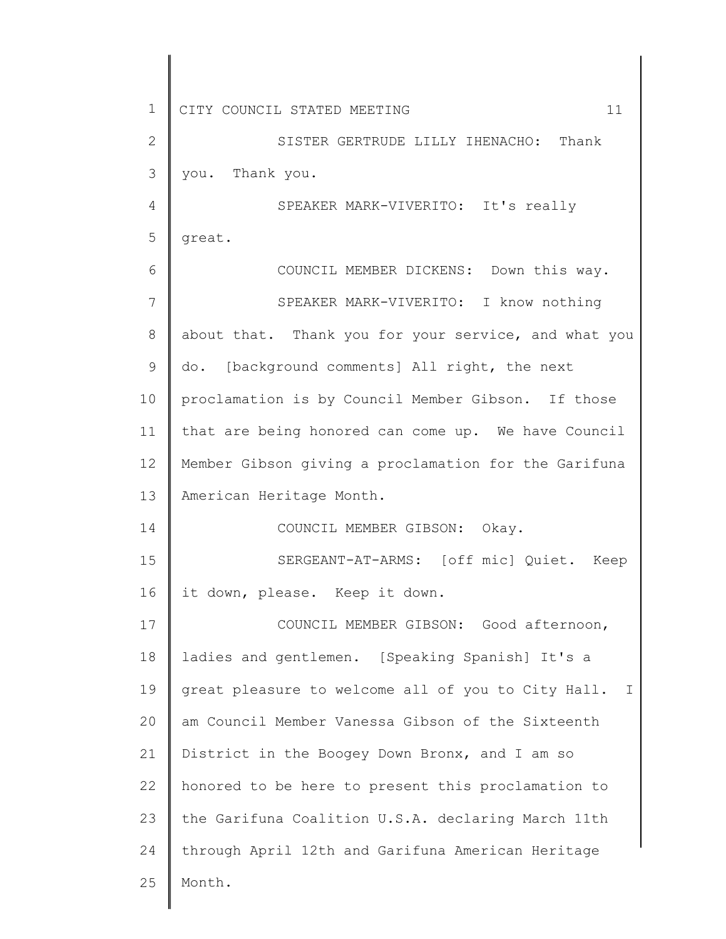| $\mathbf 1$  | CITY COUNCIL STATED MEETING<br>11                                  |
|--------------|--------------------------------------------------------------------|
| $\mathbf{2}$ | SISTER GERTRUDE LILLY IHENACHO: Thank                              |
| 3            | you. Thank you.                                                    |
| 4            | SPEAKER MARK-VIVERITO: It's really                                 |
| 5            | great.                                                             |
| 6            | COUNCIL MEMBER DICKENS: Down this way.                             |
| 7            | SPEAKER MARK-VIVERITO: I know nothing                              |
| 8            | about that. Thank you for your service, and what you               |
| 9            | do. [background comments] All right, the next                      |
| 10           | proclamation is by Council Member Gibson. If those                 |
| 11           | that are being honored can come up. We have Council                |
| 12           | Member Gibson giving a proclamation for the Garifuna               |
| 13           | American Heritage Month.                                           |
| 14           | COUNCIL MEMBER GIBSON: Okay.                                       |
| 15           | SERGEANT-AT-ARMS: [off mic] Quiet.<br>Keep                         |
| 16           | it down, please. Keep it down.                                     |
| 17           | COUNCIL MEMBER GIBSON: Good afternoon,                             |
| 18           | ladies and gentlemen. [Speaking Spanish] It's a                    |
| 19           | great pleasure to welcome all of you to City Hall.<br>$\mathbf{I}$ |
| 20           | am Council Member Vanessa Gibson of the Sixteenth                  |
| 21           | District in the Boogey Down Bronx, and I am so                     |
| 22           | honored to be here to present this proclamation to                 |
| 23           | the Garifuna Coalition U.S.A. declaring March 11th                 |
| 24           | through April 12th and Garifuna American Heritage                  |
| 25           | Month.                                                             |
|              |                                                                    |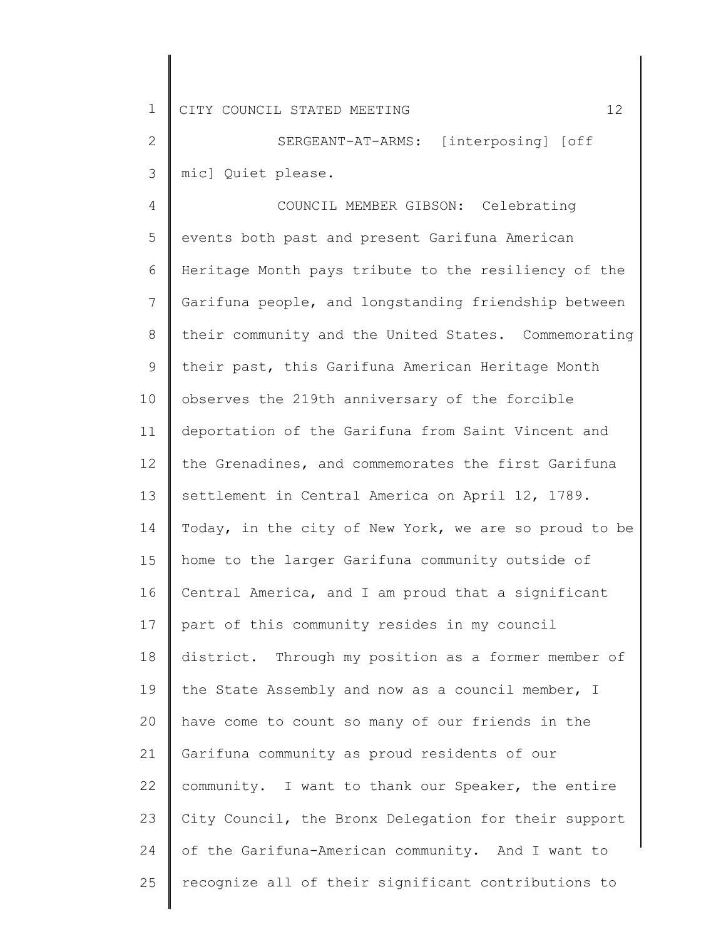2 3 SERGEANT-AT-ARMS: [interposing] [off mic] Quiet please.

4 5 6 7 8 9 10 11 12 13 14 15 16 17 18 19 20 21 22 23 24 25 COUNCIL MEMBER GIBSON: Celebrating events both past and present Garifuna American Heritage Month pays tribute to the resiliency of the Garifuna people, and longstanding friendship between their community and the United States. Commemorating their past, this Garifuna American Heritage Month observes the 219th anniversary of the forcible deportation of the Garifuna from Saint Vincent and the Grenadines, and commemorates the first Garifuna settlement in Central America on April 12, 1789. Today, in the city of New York, we are so proud to be home to the larger Garifuna community outside of Central America, and I am proud that a significant part of this community resides in my council district. Through my position as a former member of the State Assembly and now as a council member, I have come to count so many of our friends in the Garifuna community as proud residents of our community. I want to thank our Speaker, the entire City Council, the Bronx Delegation for their support of the Garifuna-American community. And I want to recognize all of their significant contributions to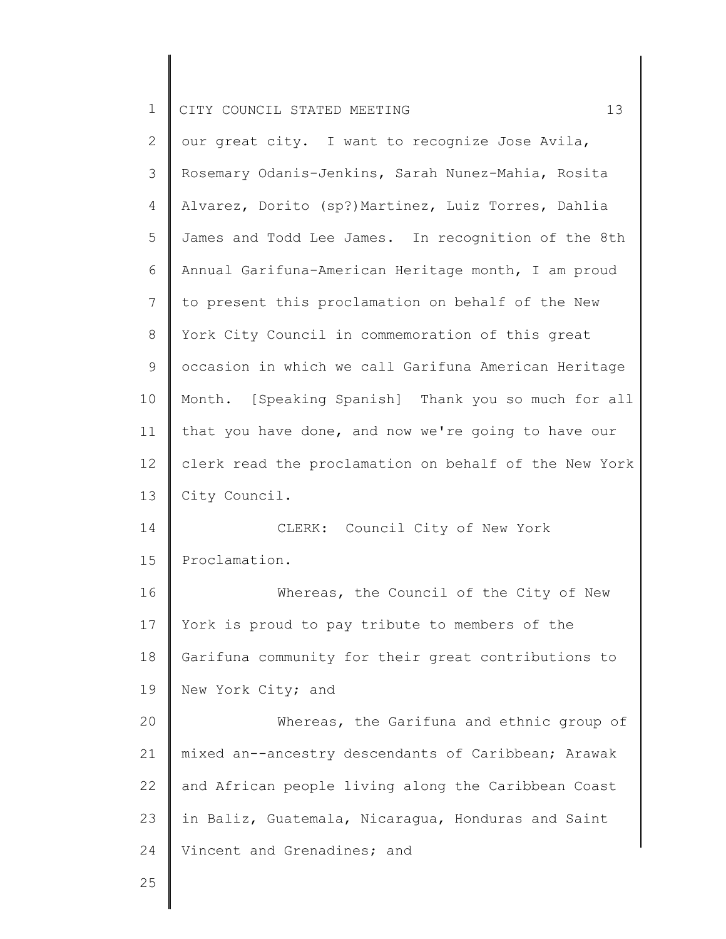| $\mathbf{2}$   | our great city. I want to recognize Jose Avila,       |
|----------------|-------------------------------------------------------|
| 3              | Rosemary Odanis-Jenkins, Sarah Nunez-Mahia, Rosita    |
| 4              | Alvarez, Dorito (sp?)Martinez, Luiz Torres, Dahlia    |
| 5              | James and Todd Lee James. In recognition of the 8th   |
| 6              | Annual Garifuna-American Heritage month, I am proud   |
| $\overline{7}$ | to present this proclamation on behalf of the New     |
| $8\,$          | York City Council in commemoration of this great      |
| 9              | occasion in which we call Garifuna American Heritage  |
| 10             | Month. [Speaking Spanish] Thank you so much for all   |
| 11             | that you have done, and now we're going to have our   |
| 12             | clerk read the proclamation on behalf of the New York |
| 13             | City Council.                                         |
| 14             | CLERK: Council City of New York                       |
| 15             | Proclamation.                                         |
| 16             | Whereas, the Council of the City of New               |
| 17             | York is proud to pay tribute to members of the        |
| 18             | Garifuna community for their great contributions to   |
| 19             | New York City; and                                    |
| 20             | Whereas, the Garifuna and ethnic group of             |
| 21             | mixed an--ancestry descendants of Caribbean; Arawak   |
| 22             | and African people living along the Caribbean Coast   |

23 in Baliz, Guatemala, Nicaragua, Honduras and Saint

24 Vincent and Grenadines; and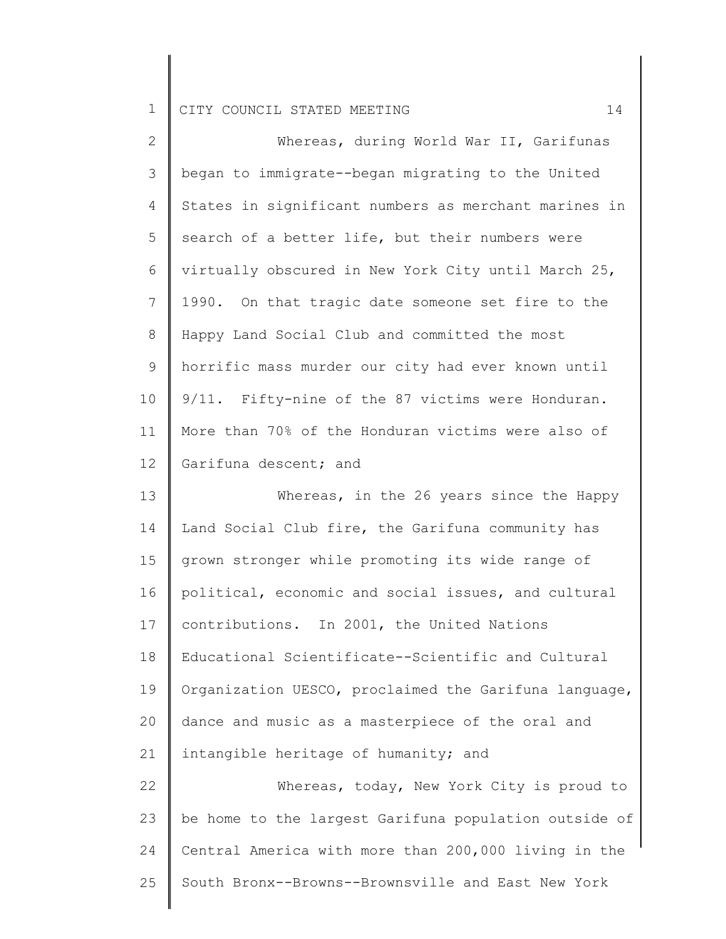| $\mathbf{2}$    | Whereas, during World War II, Garifunas               |
|-----------------|-------------------------------------------------------|
| 3               | began to immigrate--began migrating to the United     |
| 4               | States in significant numbers as merchant marines in  |
| 5               | search of a better life, but their numbers were       |
| 6               | virtually obscured in New York City until March 25,   |
| $7\phantom{.0}$ | 1990. On that tragic date someone set fire to the     |
| 8               | Happy Land Social Club and committed the most         |
| 9               | horrific mass murder our city had ever known until    |
| 10              | 9/11. Fifty-nine of the 87 victims were Honduran.     |
| 11              | More than 70% of the Honduran victims were also of    |
| 12              | Garifuna descent; and                                 |
| 13              | Whereas, in the 26 years since the Happy              |
| 14              | Land Social Club fire, the Garifuna community has     |
| 15              | grown stronger while promoting its wide range of      |
| 16              | political, economic and social issues, and cultural   |
| 17              | contributions. In 2001, the United Nations            |
| 18              | Educational Scientificate--Scientific and Cultural    |
| 19              | Organization UESCO, proclaimed the Garifuna language, |
| 20              | dance and music as a masterpiece of the oral and      |
| 21              | intangible heritage of humanity; and                  |
| 22              | Whereas, today, New York City is proud to             |
| 23              | be home to the largest Garifuna population outside of |
| 24              | Central America with more than 200,000 living in the  |
| 25              | South Bronx--Browns--Brownsville and East New York    |
|                 |                                                       |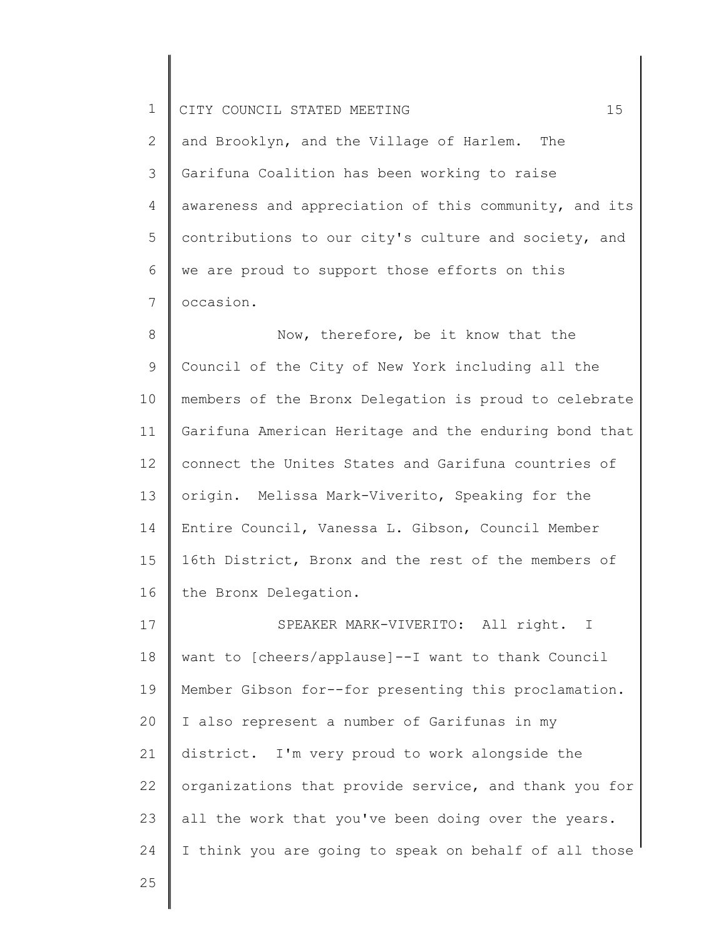2 3 4 5 6 7 and Brooklyn, and the Village of Harlem. The Garifuna Coalition has been working to raise awareness and appreciation of this community, and its contributions to our city's culture and society, and we are proud to support those efforts on this occasion.

8 9 10 11 12 13 14 15 16 Now, therefore, be it know that the Council of the City of New York including all the members of the Bronx Delegation is proud to celebrate Garifuna American Heritage and the enduring bond that connect the Unites States and Garifuna countries of origin. Melissa Mark-Viverito, Speaking for the Entire Council, Vanessa L. Gibson, Council Member 16th District, Bronx and the rest of the members of the Bronx Delegation.

17 18 19 20 21 22 23 24 SPEAKER MARK-VIVERITO: All right. I want to [cheers/applause]--I want to thank Council Member Gibson for--for presenting this proclamation. I also represent a number of Garifunas in my district. I'm very proud to work alongside the organizations that provide service, and thank you for all the work that you've been doing over the years. I think you are going to speak on behalf of all those

25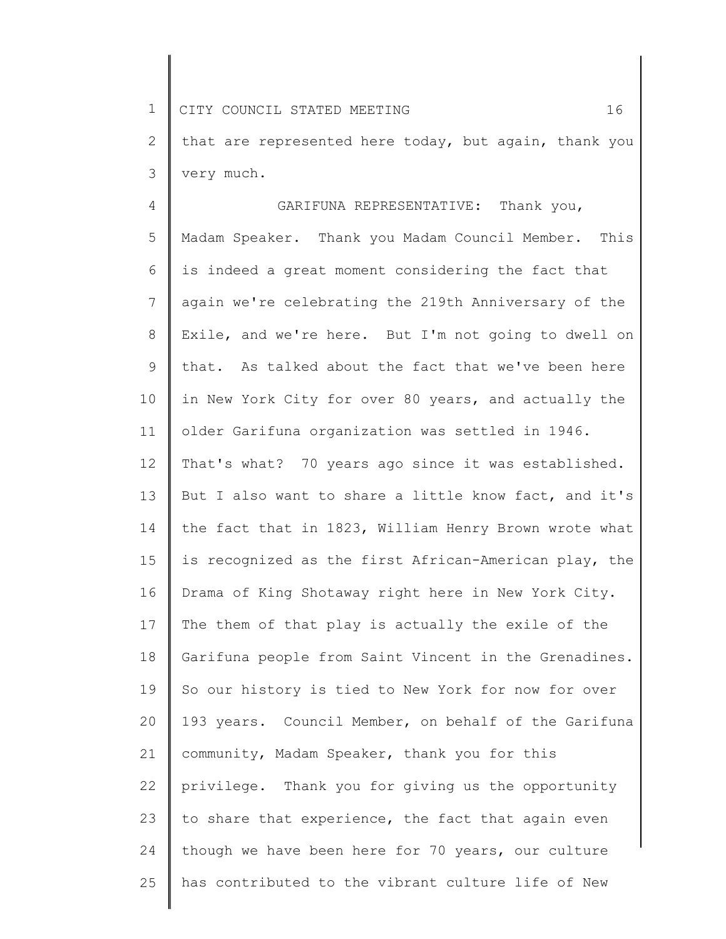1 2 3 CITY COUNCIL STATED MEETING 16 that are represented here today, but again, thank you very much.

4 5 6 7 8 9 10 11 12 13 14 15 16 17 18 19 20 21 22 23 24 25 GARIFUNA REPRESENTATIVE: Thank you, Madam Speaker. Thank you Madam Council Member. This is indeed a great moment considering the fact that again we're celebrating the 219th Anniversary of the Exile, and we're here. But I'm not going to dwell on that. As talked about the fact that we've been here in New York City for over 80 years, and actually the older Garifuna organization was settled in 1946. That's what? 70 years ago since it was established. But I also want to share a little know fact, and it's the fact that in 1823, William Henry Brown wrote what is recognized as the first African-American play, the Drama of King Shotaway right here in New York City. The them of that play is actually the exile of the Garifuna people from Saint Vincent in the Grenadines. So our history is tied to New York for now for over 193 years. Council Member, on behalf of the Garifuna community, Madam Speaker, thank you for this privilege. Thank you for giving us the opportunity to share that experience, the fact that again even though we have been here for 70 years, our culture has contributed to the vibrant culture life of New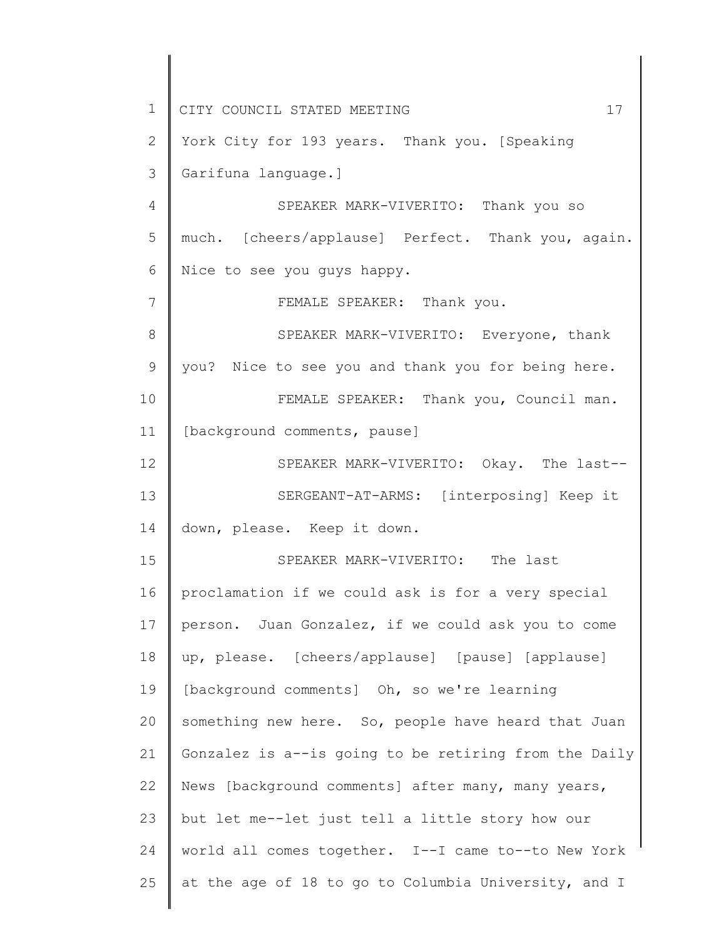1 2 3 4 5 6 7 8 9 10 11 12 13 14 15 16 17 18 19 20 21 22 23 24 25 CITY COUNCIL STATED MEETING 17 York City for 193 years. Thank you. [Speaking Garifuna language.] SPEAKER MARK-VIVERITO: Thank you so much. [cheers/applause] Perfect. Thank you, again. Nice to see you guys happy. FEMALE SPEAKER: Thank you. SPEAKER MARK-VIVERITO: Everyone, thank you? Nice to see you and thank you for being here. FEMALE SPEAKER: Thank you, Council man. [background comments, pause] SPEAKER MARK-VIVERITO: Okay. The last-- SERGEANT-AT-ARMS: [interposing] Keep it down, please. Keep it down. SPEAKER MARK-VIVERITO: The last proclamation if we could ask is for a very special person. Juan Gonzalez, if we could ask you to come up, please. [cheers/applause] [pause] [applause] [background comments] Oh, so we're learning something new here. So, people have heard that Juan Gonzalez is a--is going to be retiring from the Daily News [background comments] after many, many years, but let me--let just tell a little story how our world all comes together. I--I came to--to New York at the age of 18 to go to Columbia University, and I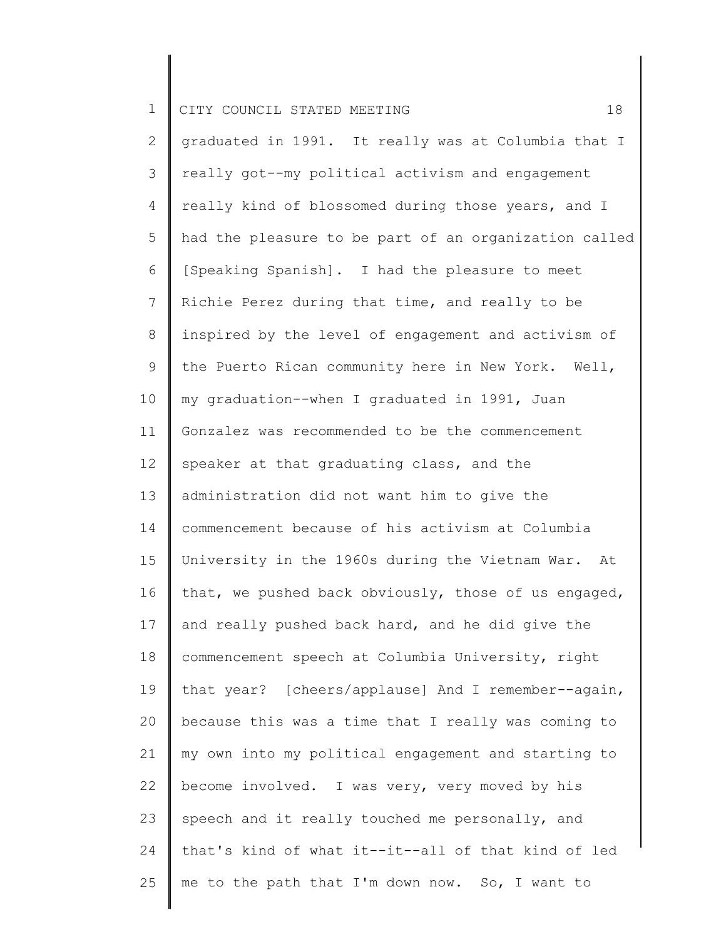2 3 4 5 6 7 8 9 10 11 12 13 14 15 16 17 18 19 20 21 22 23 24 25 graduated in 1991. It really was at Columbia that I really got--my political activism and engagement really kind of blossomed during those years, and I had the pleasure to be part of an organization called [Speaking Spanish]. I had the pleasure to meet Richie Perez during that time, and really to be inspired by the level of engagement and activism of the Puerto Rican community here in New York. Well, my graduation--when I graduated in 1991, Juan Gonzalez was recommended to be the commencement speaker at that graduating class, and the administration did not want him to give the commencement because of his activism at Columbia University in the 1960s during the Vietnam War. At that, we pushed back obviously, those of us engaged, and really pushed back hard, and he did give the commencement speech at Columbia University, right that year? [cheers/applause] And I remember--again, because this was a time that I really was coming to my own into my political engagement and starting to become involved. I was very, very moved by his speech and it really touched me personally, and that's kind of what it--it--all of that kind of led me to the path that I'm down now. So, I want to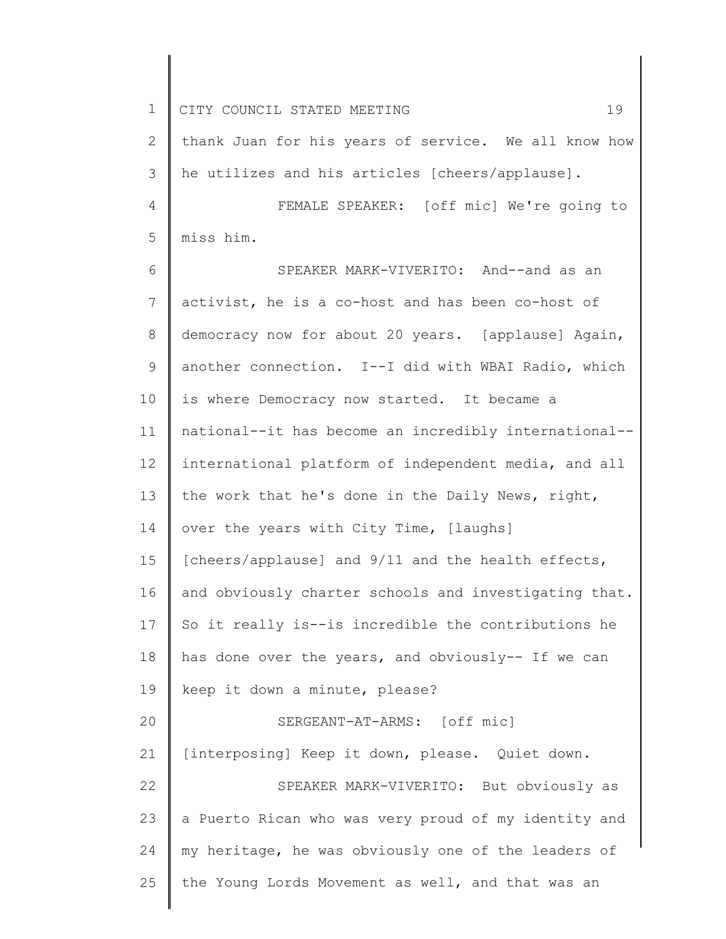1 2 3 4 5 6 7 8 9 10 11 12 13 14 15 16 17 18 19 20 21 22 23 24 25 CITY COUNCIL STATED MEETING 19 thank Juan for his years of service. We all know how he utilizes and his articles [cheers/applause]. FEMALE SPEAKER: [off mic] We're going to miss him. SPEAKER MARK-VIVERITO: And--and as an activist, he is a co-host and has been co-host of democracy now for about 20 years. [applause] Again, another connection. I--I did with WBAI Radio, which is where Democracy now started. It became a national--it has become an incredibly international- international platform of independent media, and all the work that he's done in the Daily News, right, over the years with City Time, [laughs] [cheers/applause] and 9/11 and the health effects, and obviously charter schools and investigating that. So it really is--is incredible the contributions he has done over the years, and obviously-- If we can keep it down a minute, please? SERGEANT-AT-ARMS: [off mic] [interposing] Keep it down, please. Quiet down. SPEAKER MARK-VIVERITO: But obviously as a Puerto Rican who was very proud of my identity and my heritage, he was obviously one of the leaders of the Young Lords Movement as well, and that was an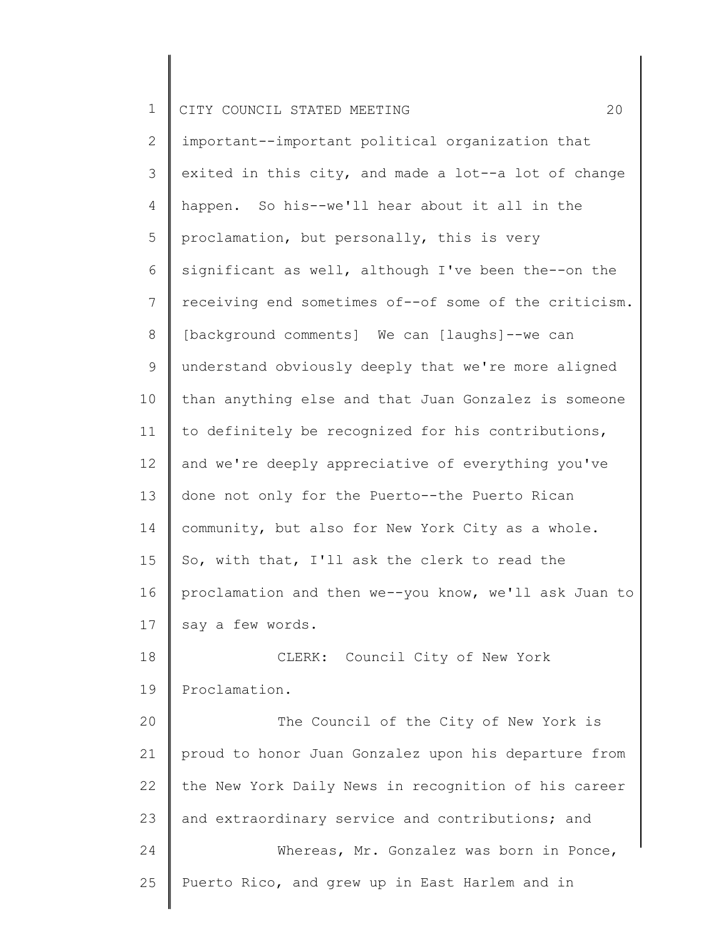2 3 4 5 6 7 8 9 10 11 12 13 14 15 16 17 18 19 20 21 22 important--important political organization that exited in this city, and made a lot--a lot of change happen. So his--we'll hear about it all in the proclamation, but personally, this is very significant as well, although I've been the--on the receiving end sometimes of--of some of the criticism. [background comments] We can [laughs]--we can understand obviously deeply that we're more aligned than anything else and that Juan Gonzalez is someone to definitely be recognized for his contributions, and we're deeply appreciative of everything you've done not only for the Puerto--the Puerto Rican community, but also for New York City as a whole. So, with that, I'll ask the clerk to read the proclamation and then we--you know, we'll ask Juan to say a few words. CLERK: Council City of New York Proclamation. The Council of the City of New York is proud to honor Juan Gonzalez upon his departure from the New York Daily News in recognition of his career

23 24 25 and extraordinary service and contributions; and Whereas, Mr. Gonzalez was born in Ponce, Puerto Rico, and grew up in East Harlem and in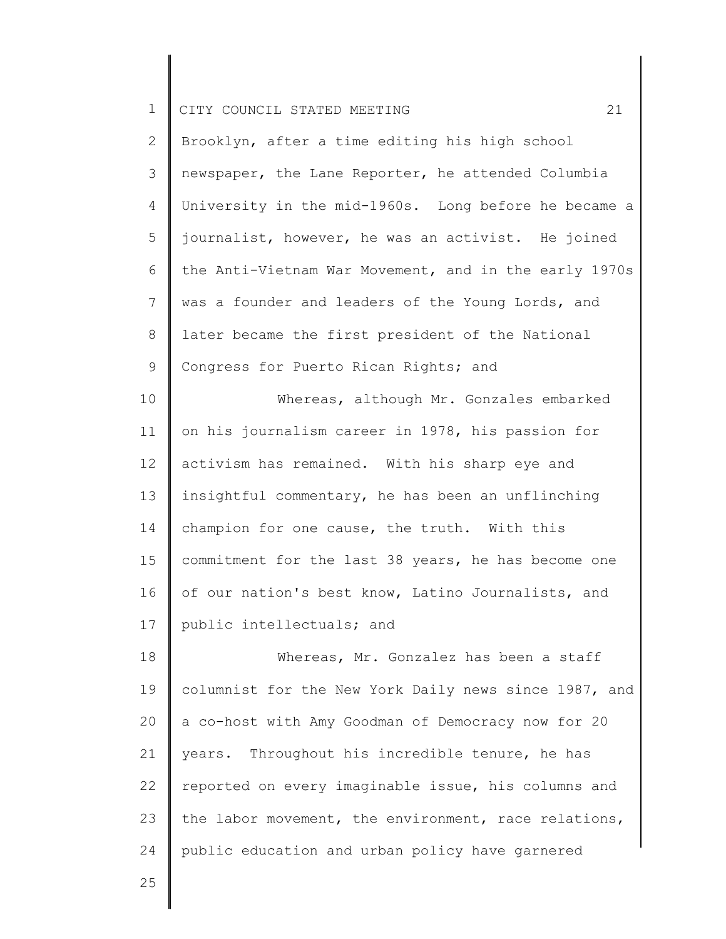| ᅩ |  | CITY COUNCIL STATED MEETING |  |  |  |  |
|---|--|-----------------------------|--|--|--|--|
|---|--|-----------------------------|--|--|--|--|

2 3 4 5 6 7 8 9 Brooklyn, after a time editing his high school newspaper, the Lane Reporter, he attended Columbia University in the mid-1960s. Long before he became a journalist, however, he was an activist. He joined the Anti-Vietnam War Movement, and in the early 1970s was a founder and leaders of the Young Lords, and later became the first president of the National Congress for Puerto Rican Rights; and

10 11 12 13 14 15 16 17 Whereas, although Mr. Gonzales embarked on his journalism career in 1978, his passion for activism has remained. With his sharp eye and insightful commentary, he has been an unflinching champion for one cause, the truth. With this commitment for the last 38 years, he has become one of our nation's best know, Latino Journalists, and public intellectuals; and

18 19 20 21 22 23 24 Whereas, Mr. Gonzalez has been a staff columnist for the New York Daily news since 1987, and a co-host with Amy Goodman of Democracy now for 20 years. Throughout his incredible tenure, he has reported on every imaginable issue, his columns and the labor movement, the environment, race relations, public education and urban policy have garnered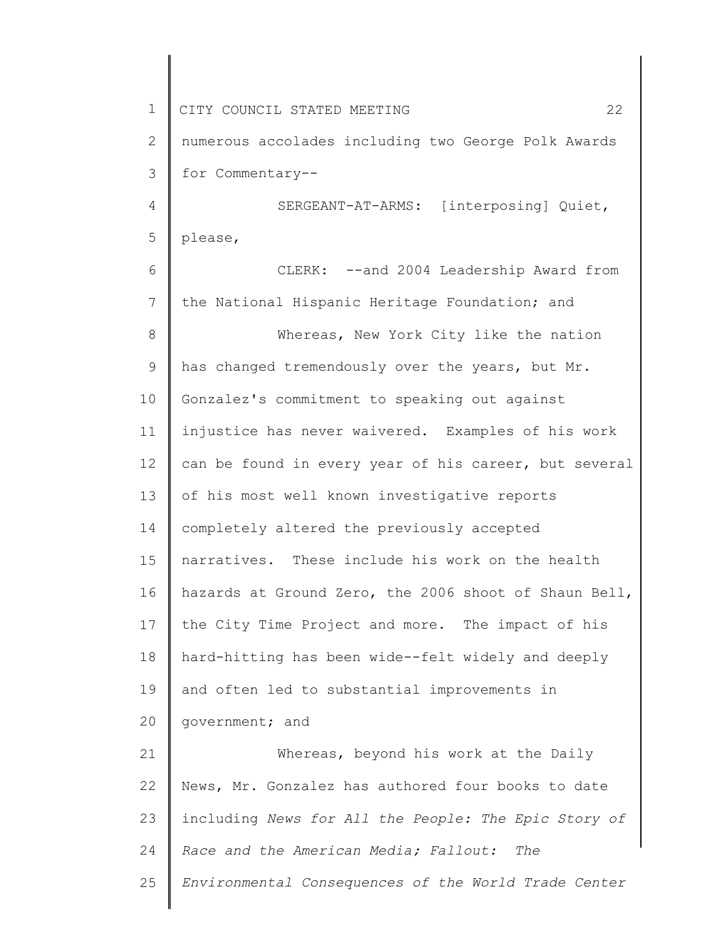| $\mathbf 1$  | 22<br>CITY COUNCIL STATED MEETING                     |
|--------------|-------------------------------------------------------|
| $\mathbf{2}$ | numerous accolades including two George Polk Awards   |
| 3            | for Commentary--                                      |
| 4            | SERGEANT-AT-ARMS: [interposing] Quiet,                |
| 5            | please,                                               |
| 6            | CLERK: -- and 2004 Leadership Award from              |
| 7            | the National Hispanic Heritage Foundation; and        |
| 8            | Whereas, New York City like the nation                |
| 9            | has changed tremendously over the years, but Mr.      |
| 10           | Gonzalez's commitment to speaking out against         |
| 11           | injustice has never waivered. Examples of his work    |
| 12           | can be found in every year of his career, but several |
| 13           | of his most well known investigative reports          |
| 14           | completely altered the previously accepted            |
| 15           | narratives. These include his work on the health      |
| 16           | hazards at Ground Zero, the 2006 shoot of Shaun Bell, |
| 17           | the City Time Project and more. The impact of his     |
| 18           | hard-hitting has been wide--felt widely and deeply    |
| 19           | and often led to substantial improvements in          |
| 20           | government; and                                       |
| 21           | Whereas, beyond his work at the Daily                 |
| 22           | News, Mr. Gonzalez has authored four books to date    |
| 23           | including News for All the People: The Epic Story of  |
| 24           | Race and the American Media; Fallout: The             |
| 25           | Environmental Consequences of the World Trade Center  |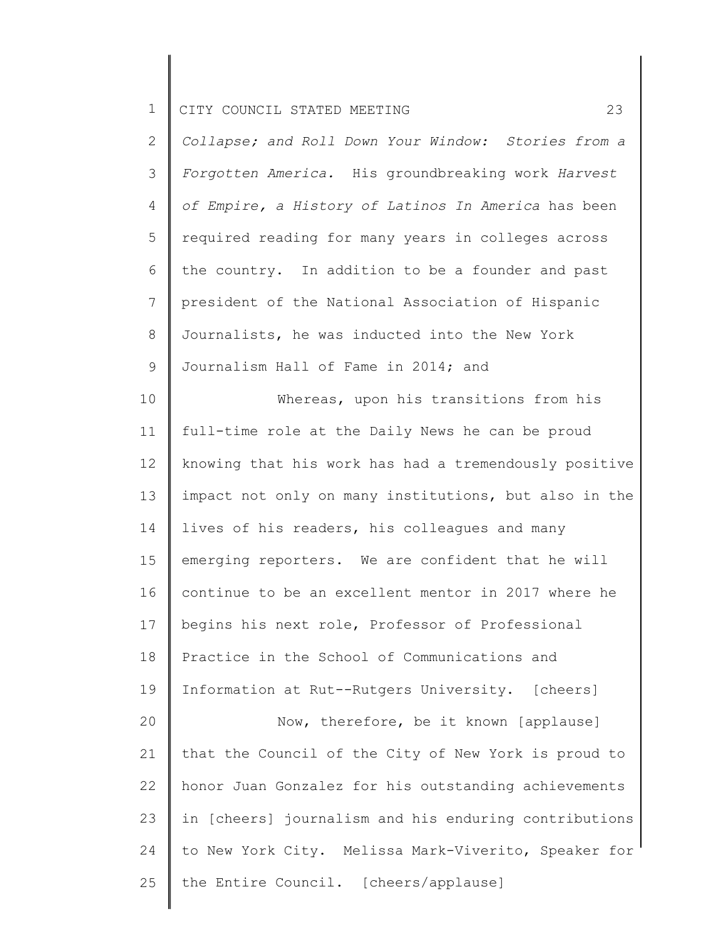2 3 4 5 6 7 8 9 *Collapse; and Roll Down Your Window: Stories from a Forgotten America.* His groundbreaking work *Harvest of Empire, a History of Latinos In America* has been required reading for many years in colleges across the country. In addition to be a founder and past president of the National Association of Hispanic Journalists, he was inducted into the New York Journalism Hall of Fame in 2014; and

10 11 12 13 14 15 16 17 18 19 20 21 22 23 24 25 Whereas, upon his transitions from his full-time role at the Daily News he can be proud knowing that his work has had a tremendously positive impact not only on many institutions, but also in the lives of his readers, his colleagues and many emerging reporters. We are confident that he will continue to be an excellent mentor in 2017 where he begins his next role, Professor of Professional Practice in the School of Communications and Information at Rut--Rutgers University. [cheers] Now, therefore, be it known [applause] that the Council of the City of New York is proud to honor Juan Gonzalez for his outstanding achievements in [cheers] journalism and his enduring contributions to New York City. Melissa Mark-Viverito, Speaker for the Entire Council. [cheers/applause]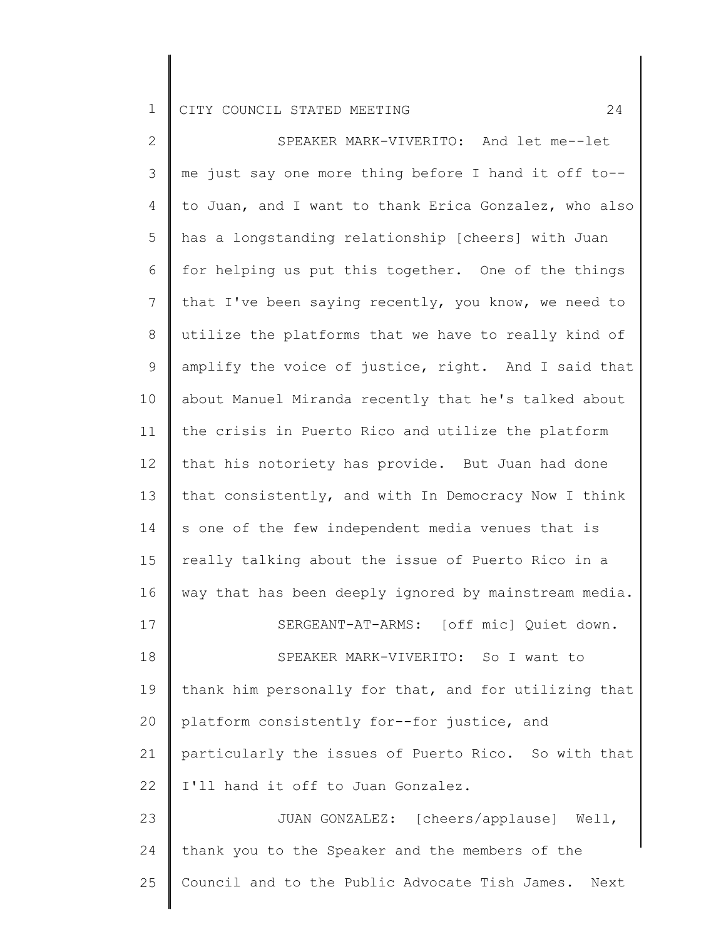2 3 4 5 6 7 8 9 10 11 12 13 14 15 16 17 18 19 20 21 22 23 24 25 SPEAKER MARK-VIVERITO: And let me--let me just say one more thing before I hand it off to- to Juan, and I want to thank Erica Gonzalez, who also has a longstanding relationship [cheers] with Juan for helping us put this together. One of the things that I've been saying recently, you know, we need to utilize the platforms that we have to really kind of amplify the voice of justice, right. And I said that about Manuel Miranda recently that he's talked about the crisis in Puerto Rico and utilize the platform that his notoriety has provide. But Juan had done that consistently, and with In Democracy Now I think s one of the few independent media venues that is really talking about the issue of Puerto Rico in a way that has been deeply ignored by mainstream media. SERGEANT-AT-ARMS: [off mic] Quiet down. SPEAKER MARK-VIVERITO: So I want to thank him personally for that, and for utilizing that platform consistently for--for justice, and particularly the issues of Puerto Rico. So with that I'll hand it off to Juan Gonzalez. JUAN GONZALEZ: [cheers/applause] Well, thank you to the Speaker and the members of the Council and to the Public Advocate Tish James. Next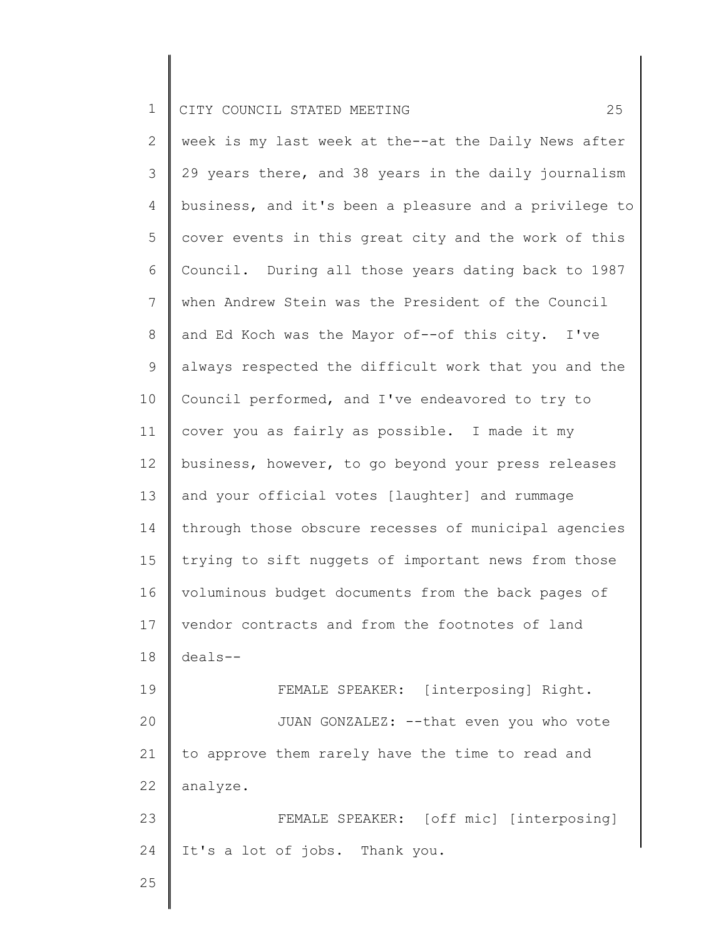2 3 4 5 6 7 8 9 10 11 12 13 14 15 16 17 18 19 20 21 22 23 24 week is my last week at the--at the Daily News after 29 years there, and 38 years in the daily journalism business, and it's been a pleasure and a privilege to cover events in this great city and the work of this Council. During all those years dating back to 1987 when Andrew Stein was the President of the Council and Ed Koch was the Mayor of--of this city. I've always respected the difficult work that you and the Council performed, and I've endeavored to try to cover you as fairly as possible. I made it my business, however, to go beyond your press releases and your official votes [laughter] and rummage through those obscure recesses of municipal agencies trying to sift nuggets of important news from those voluminous budget documents from the back pages of vendor contracts and from the footnotes of land deals-- FEMALE SPEAKER: [interposing] Right. JUAN GONZALEZ: --that even you who vote to approve them rarely have the time to read and analyze. FEMALE SPEAKER: [off mic] [interposing] It's a lot of jobs. Thank you.

25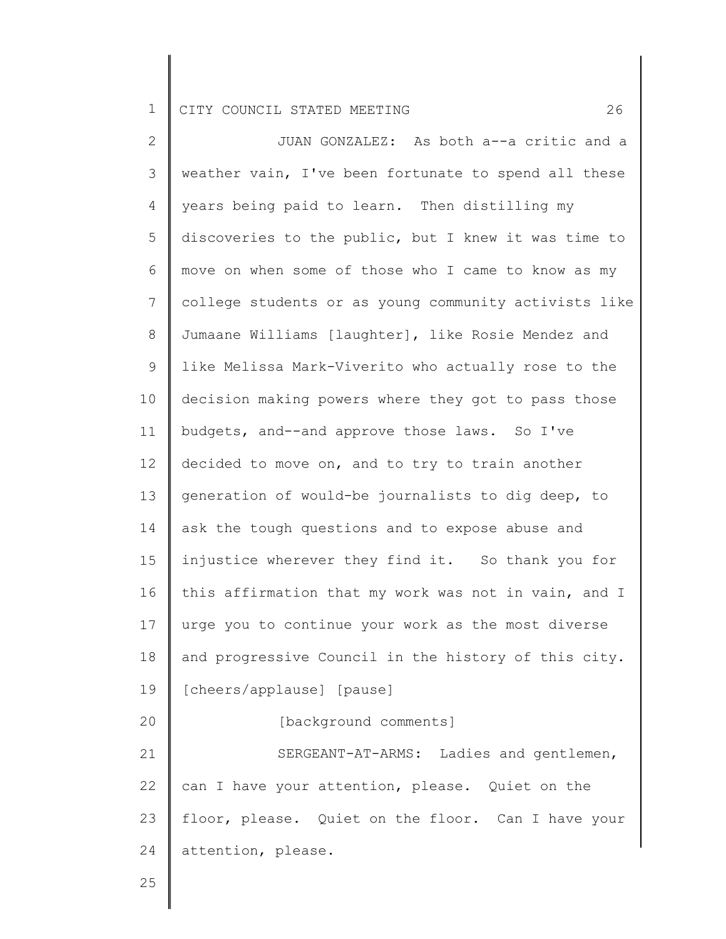2 3 4 5 6 7 8 9 10 11 12 13 14 15 16 17 18 19 20 21 22 23 24 JUAN GONZALEZ: As both a--a critic and a weather vain, I've been fortunate to spend all these years being paid to learn. Then distilling my discoveries to the public, but I knew it was time to move on when some of those who I came to know as my college students or as young community activists like Jumaane Williams [laughter], like Rosie Mendez and like Melissa Mark-Viverito who actually rose to the decision making powers where they got to pass those budgets, and--and approve those laws. So I've decided to move on, and to try to train another generation of would-be journalists to dig deep, to ask the tough questions and to expose abuse and injustice wherever they find it. So thank you for this affirmation that my work was not in vain, and I urge you to continue your work as the most diverse and progressive Council in the history of this city. [cheers/applause] [pause] [background comments] SERGEANT-AT-ARMS: Ladies and gentlemen, can I have your attention, please. Quiet on the floor, please. Quiet on the floor. Can I have your attention, please.

25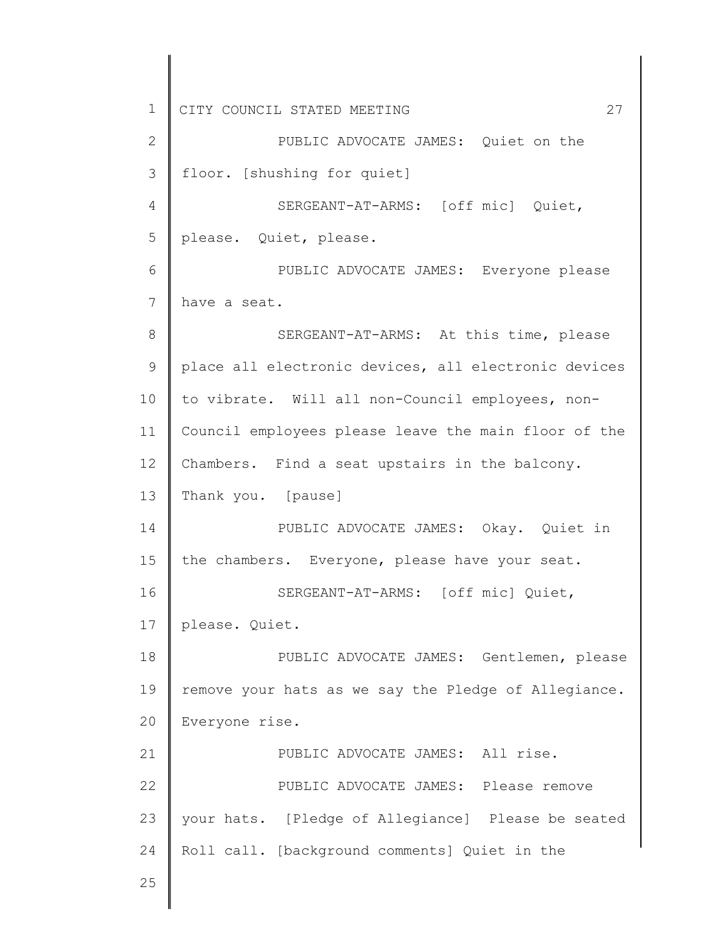1 2 3 4 5 6 7 8 9 10 11 12 13 14 15 16 17 18 19 20 21 22 23 24 25 CITY COUNCIL STATED MEETING 27 PUBLIC ADVOCATE JAMES: Quiet on the floor. [shushing for quiet] SERGEANT-AT-ARMS: [off mic] Quiet, please. Quiet, please. PUBLIC ADVOCATE JAMES: Everyone please have a seat. SERGEANT-AT-ARMS: At this time, please place all electronic devices, all electronic devices to vibrate. Will all non-Council employees, non-Council employees please leave the main floor of the Chambers. Find a seat upstairs in the balcony. Thank you. [pause] PUBLIC ADVOCATE JAMES: Okay. Quiet in the chambers. Everyone, please have your seat. SERGEANT-AT-ARMS: [off mic] Quiet, please. Quiet. PUBLIC ADVOCATE JAMES: Gentlemen, please remove your hats as we say the Pledge of Allegiance. Everyone rise. PUBLIC ADVOCATE JAMES: All rise. PUBLIC ADVOCATE JAMES: Please remove your hats. [Pledge of Allegiance] Please be seated Roll call. [background comments] Quiet in the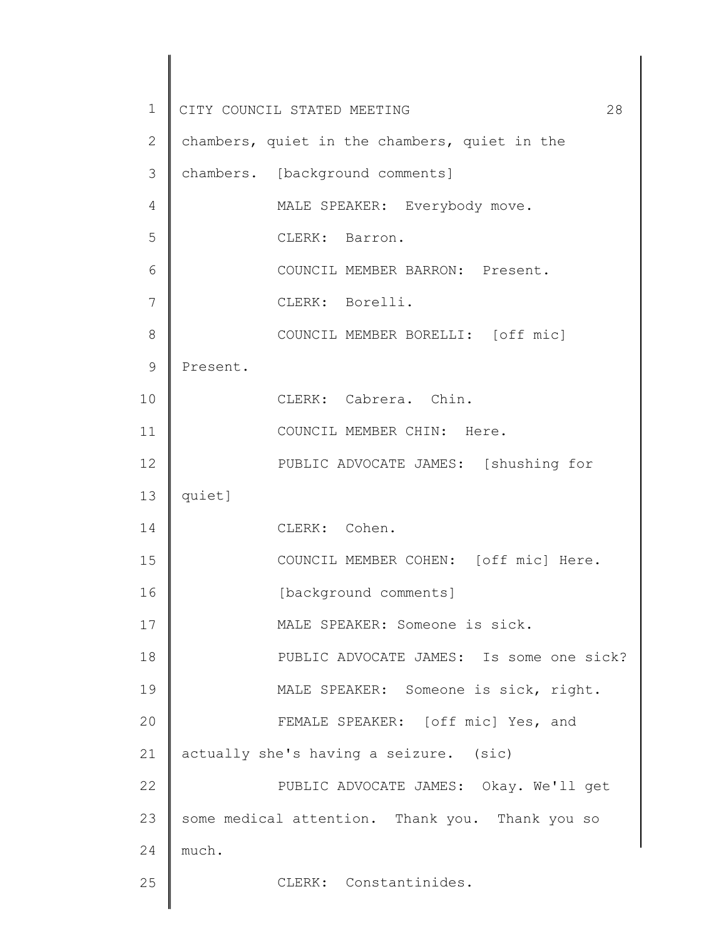| $\mathbf 1$    | CITY COUNCIL STATED MEETING<br>28               |
|----------------|-------------------------------------------------|
| $\overline{2}$ | chambers, quiet in the chambers, quiet in the   |
| 3              | chambers. [background comments]                 |
| 4              | MALE SPEAKER: Everybody move.                   |
| 5              | CLERK: Barron.                                  |
| 6              | COUNCIL MEMBER BARRON: Present.                 |
| 7              | CLERK: Borelli.                                 |
| 8              | COUNCIL MEMBER BORELLI: [off mic]               |
| $\mathcal{G}$  | Present.                                        |
| 10             | CLERK: Cabrera. Chin.                           |
| 11             | COUNCIL MEMBER CHIN: Here.                      |
| 12             | PUBLIC ADVOCATE JAMES: [shushing for            |
| 13             | quiet]                                          |
| 14             | CLERK: Cohen.                                   |
| 15             | COUNCIL MEMBER COHEN: [off mic] Here.           |
| 16             | [background comments]                           |
| 17             | MALE SPEAKER: Someone is sick.                  |
| 18             | PUBLIC ADVOCATE JAMES: Is some one sick?        |
| 19             | MALE SPEAKER: Someone is sick, right.           |
| 20             | FEMALE SPEAKER: [off mic] Yes, and              |
| 21             | actually she's having a seizure. (sic)          |
| 22             | PUBLIC ADVOCATE JAMES: Okay. We'll get          |
| 23             | some medical attention. Thank you. Thank you so |
| 24             | much.                                           |
| 25             | CLERK: Constantinides.                          |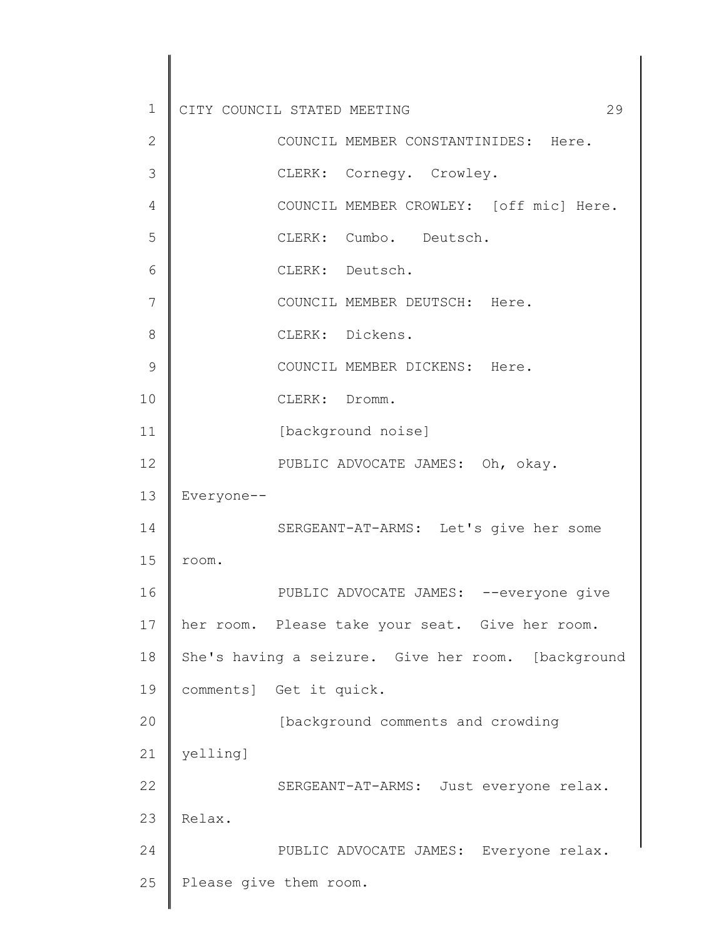| $\mathbf 1$  | 29<br>CITY COUNCIL STATED MEETING                  |
|--------------|----------------------------------------------------|
| $\mathbf{2}$ | COUNCIL MEMBER CONSTANTINIDES: Here.               |
| 3            | CLERK: Cornegy. Crowley.                           |
| 4            | COUNCIL MEMBER CROWLEY: [off mic] Here.            |
| 5            | CLERK: Cumbo. Deutsch.                             |
| 6            | CLERK: Deutsch.                                    |
| 7            | COUNCIL MEMBER DEUTSCH: Here.                      |
| 8            | CLERK: Dickens.                                    |
| 9            | COUNCIL MEMBER DICKENS: Here.                      |
| 10           | CLERK: Dromm.                                      |
| 11           | [background noise]                                 |
| 12           | PUBLIC ADVOCATE JAMES: Oh, okay.                   |
| 13           | Everyone--                                         |
| 14           | SERGEANT-AT-ARMS: Let's give her some              |
| 15           | room.                                              |
| 16           | PUBLIC ADVOCATE JAMES: --everyone give             |
| 17           | her room. Please take your seat. Give her room.    |
| 18           | She's having a seizure. Give her room. [background |
| 19           | comments] Get it quick.                            |
| 20           | [background comments and crowding                  |
| 21           | yelling]                                           |
| 22           | SERGEANT-AT-ARMS: Just everyone relax.             |
| 23           | Relax.                                             |
| 24           | PUBLIC ADVOCATE JAMES: Everyone relax.             |
| 25           | Please give them room.                             |
|              |                                                    |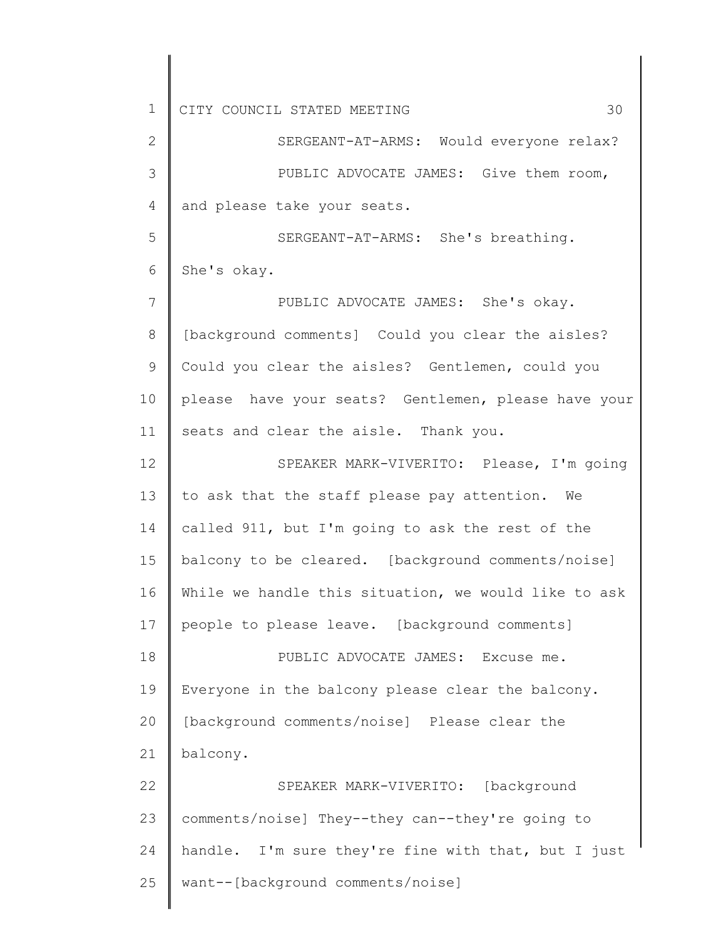1 2 3 4 5 6 7 8 9 10 11 12 13 14 15 16 17 18 19 20 21 22 23 24 25 CITY COUNCIL STATED MEETING 30 SERGEANT-AT-ARMS: Would everyone relax? PUBLIC ADVOCATE JAMES: Give them room, and please take your seats. SERGEANT-AT-ARMS: She's breathing. She's okay. PUBLIC ADVOCATE JAMES: She's okay. [background comments] Could you clear the aisles? Could you clear the aisles? Gentlemen, could you please have your seats? Gentlemen, please have your seats and clear the aisle. Thank you. SPEAKER MARK-VIVERITO: Please, I'm going to ask that the staff please pay attention. We called 911, but I'm going to ask the rest of the balcony to be cleared. [background comments/noise] While we handle this situation, we would like to ask people to please leave. [background comments] PUBLIC ADVOCATE JAMES: Excuse me. Everyone in the balcony please clear the balcony. [background comments/noise] Please clear the balcony. SPEAKER MARK-VIVERITO: [background comments/noise] They--they can--they're going to handle. I'm sure they're fine with that, but I just want--[background comments/noise]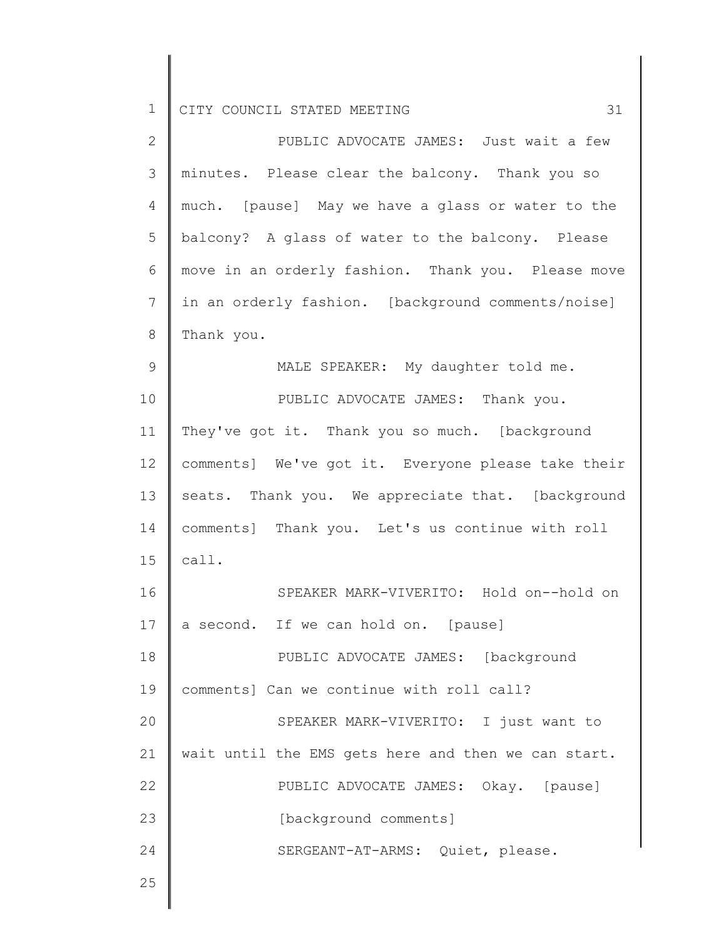| $\overline{2}$ | PUBLIC ADVOCATE JAMES: Just wait a few              |  |  |  |  |
|----------------|-----------------------------------------------------|--|--|--|--|
| 3              | minutes. Please clear the balcony. Thank you so     |  |  |  |  |
| $\overline{4}$ | much. [pause] May we have a glass or water to the   |  |  |  |  |
| 5              | balcony? A glass of water to the balcony. Please    |  |  |  |  |
| 6              | move in an orderly fashion. Thank you. Please move  |  |  |  |  |
| $\overline{7}$ | in an orderly fashion. [background comments/noise]  |  |  |  |  |
| $\,8\,$        | Thank you.                                          |  |  |  |  |
| $\mathcal{G}$  | MALE SPEAKER: My daughter told me.                  |  |  |  |  |
| 10             | PUBLIC ADVOCATE JAMES: Thank you.                   |  |  |  |  |
| 11             | They've got it. Thank you so much. [background      |  |  |  |  |
| 12             | comments] We've got it. Everyone please take their  |  |  |  |  |
| 13             | seats. Thank you. We appreciate that. [background   |  |  |  |  |
| 14             | comments] Thank you. Let's us continue with roll    |  |  |  |  |
| 15             | call.                                               |  |  |  |  |
| 16             | SPEAKER MARK-VIVERITO: Hold on--hold on             |  |  |  |  |
| 17             | a second. If we can hold on. [pause]                |  |  |  |  |
| 18             | PUBLIC ADVOCATE JAMES: [background                  |  |  |  |  |
| 19             | comments] Can we continue with roll call?           |  |  |  |  |
| 20             | SPEAKER MARK-VIVERITO: I just want to               |  |  |  |  |
| 21             | wait until the EMS gets here and then we can start. |  |  |  |  |
| 22             | PUBLIC ADVOCATE JAMES: Okay. [pause]                |  |  |  |  |
| 23             | [background comments]                               |  |  |  |  |
| 24             | SERGEANT-AT-ARMS: Quiet, please.                    |  |  |  |  |
| 25             |                                                     |  |  |  |  |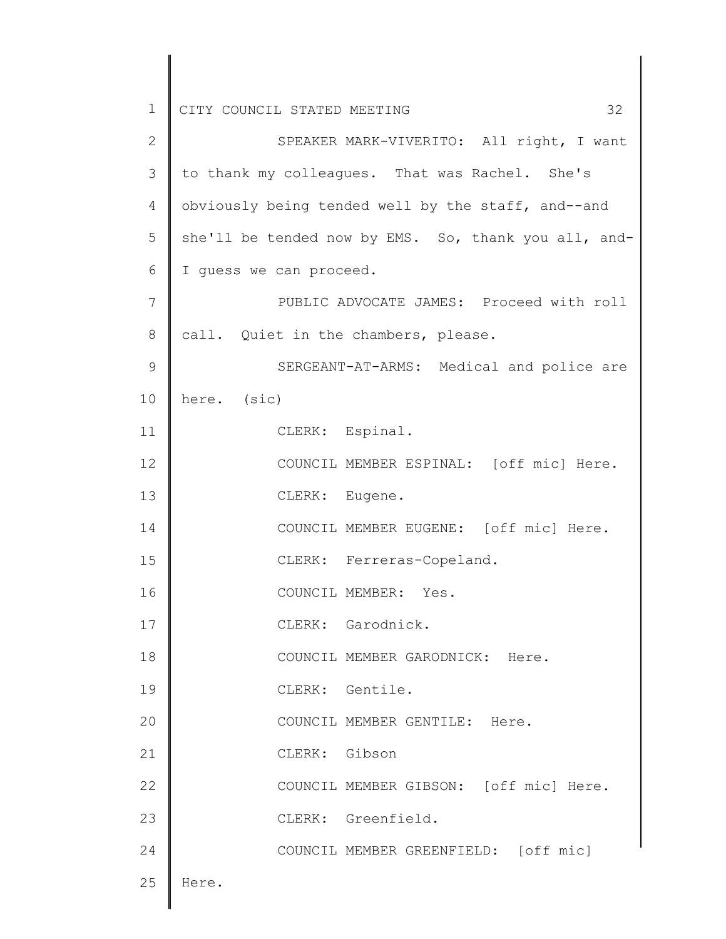1 2 3 4 5 6 7 8 9 10 11 12 13 14 15 16 17 18 19 20 21 22 23 24 25 CITY COUNCIL STATED MEETING 32 SPEAKER MARK-VIVERITO: All right, I want to thank my colleagues. That was Rachel. She's obviously being tended well by the staff, and--and she'll be tended now by EMS. So, thank you all, and-I guess we can proceed. PUBLIC ADVOCATE JAMES: Proceed with roll call. Quiet in the chambers, please. SERGEANT-AT-ARMS: Medical and police are here. (sic) CLERK: Espinal. COUNCIL MEMBER ESPINAL: [off mic] Here. CLERK: Eugene. COUNCIL MEMBER EUGENE: [off mic] Here. CLERK: Ferreras-Copeland. COUNCIL MEMBER: Yes. CLERK: Garodnick. COUNCIL MEMBER GARODNICK: Here. CLERK: Gentile. COUNCIL MEMBER GENTILE: Here. CLERK: Gibson COUNCIL MEMBER GIBSON: [off mic] Here. CLERK: Greenfield. COUNCIL MEMBER GREENFIELD: [off mic] Here.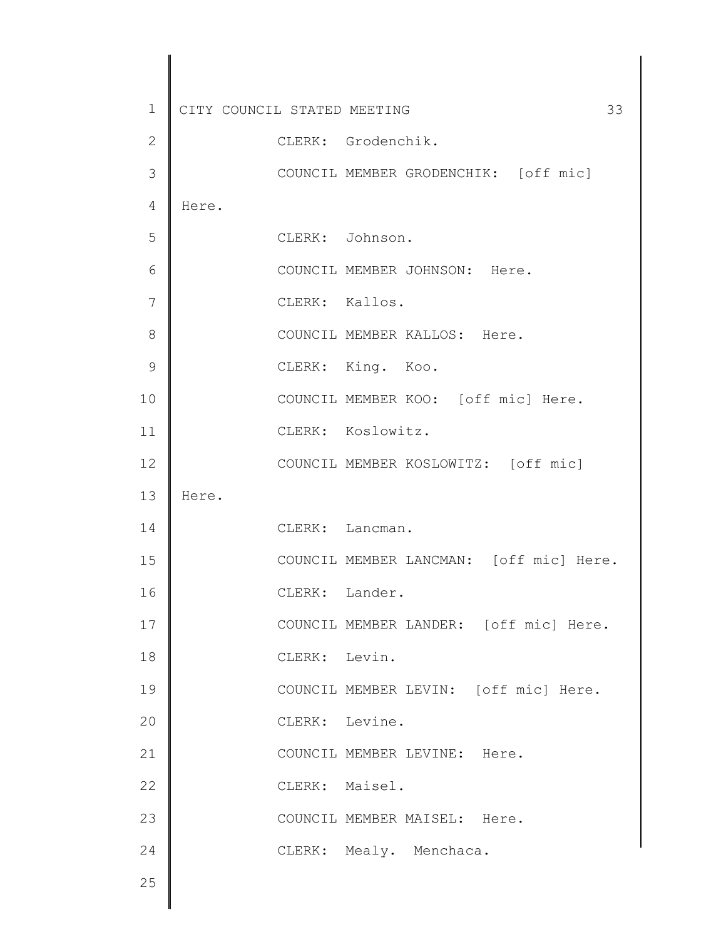| 1             | CITY COUNCIL STATED MEETING |                |                                         | 33 |
|---------------|-----------------------------|----------------|-----------------------------------------|----|
| $\mathbf{2}$  |                             |                | CLERK: Grodenchik.                      |    |
| 3             |                             |                | COUNCIL MEMBER GRODENCHIK: [off mic]    |    |
| 4             | Here.                       |                |                                         |    |
| 5             |                             |                | CLERK: Johnson.                         |    |
| 6             |                             |                | COUNCIL MEMBER JOHNSON: Here.           |    |
| 7             |                             | CLERK: Kallos. |                                         |    |
| 8             |                             |                | COUNCIL MEMBER KALLOS: Here.            |    |
| $\mathcal{G}$ |                             |                | CLERK: King. Koo.                       |    |
| 10            |                             |                | COUNCIL MEMBER KOO: [off mic] Here.     |    |
| 11            |                             |                | CLERK: Koslowitz.                       |    |
| 12            |                             |                | COUNCIL MEMBER KOSLOWITZ: [off mic]     |    |
| 13            | Here.                       |                |                                         |    |
| 14            |                             |                | CLERK: Lancman.                         |    |
| 15            |                             |                | COUNCIL MEMBER LANCMAN: [off mic] Here. |    |
| 16            |                             | CLERK: Lander. |                                         |    |
| 17            |                             |                | COUNCIL MEMBER LANDER: [off mic] Here.  |    |
| 18            |                             | CLERK: Levin.  |                                         |    |
| 19            |                             |                | COUNCIL MEMBER LEVIN: [off mic] Here.   |    |
| 20            |                             | CLERK: Levine. |                                         |    |
| 21            |                             |                | COUNCIL MEMBER LEVINE: Here.            |    |
| 22            |                             | CLERK: Maisel. |                                         |    |
| 23            |                             |                | COUNCIL MEMBER MAISEL: Here.            |    |
| 24            |                             |                | CLERK: Mealy. Menchaca.                 |    |
| 25            |                             |                |                                         |    |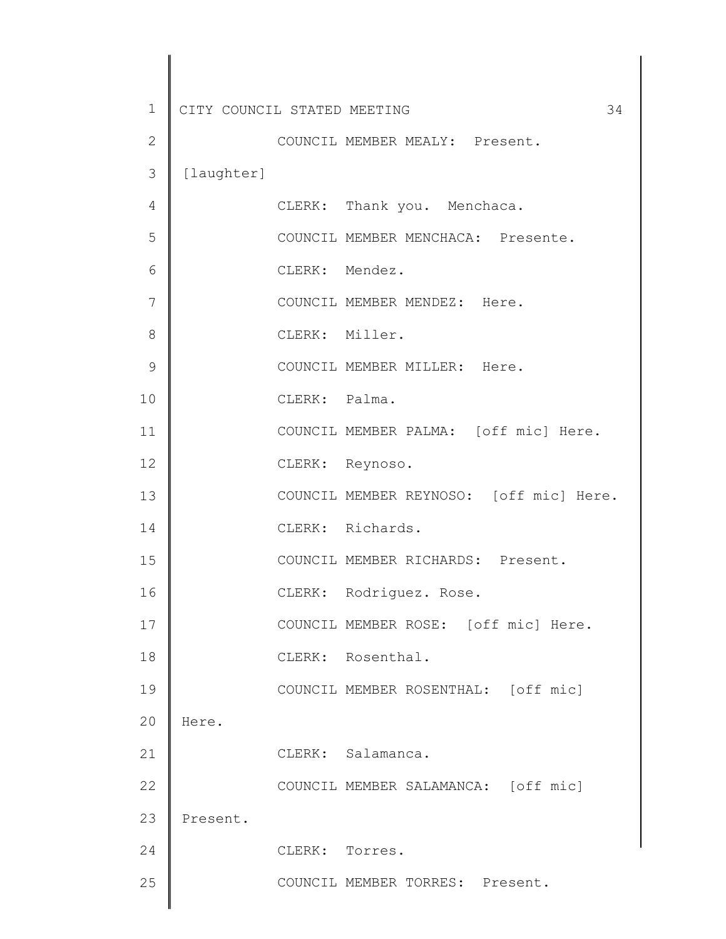| $\mathbf 1$<br>CITY COUNCIL STATED MEETING<br>34<br>$\mathbf{2}$<br>COUNCIL MEMBER MEALY: Present.<br>3<br>[laughter]<br>4<br>CLERK: Thank you. Menchaca.<br>5<br>COUNCIL MEMBER MENCHACA: Presente.<br>CLERK: Mendez.<br>6<br>7<br>COUNCIL MEMBER MENDEZ: Here.<br>8<br>CLERK: Miller.<br>$\mathcal{G}$<br>COUNCIL MEMBER MILLER: Here.<br>10<br>CLERK: Palma.<br>11<br>COUNCIL MEMBER PALMA: [off mic] Here.<br>12<br>CLERK: Reynoso.<br>13<br>COUNCIL MEMBER REYNOSO: [off mic] Here.<br>CLERK: Richards.<br>14<br>15<br>COUNCIL MEMBER RICHARDS: Present.<br>16<br>Rodriguez. Rose.<br>CLERK:<br>17<br>COUNCIL MEMBER ROSE: [off mic] Here.<br>18<br>CLERK: Rosenthal.<br>19<br>COUNCIL MEMBER ROSENTHAL: [off mic]<br>20<br>Here.<br>21<br>CLERK: Salamanca.<br>22<br>COUNCIL MEMBER SALAMANCA: [off mic]<br>23<br>Present.<br>24<br>CLERK: Torres.<br>25<br>COUNCIL MEMBER TORRES: Present. |  |  |  |
|---------------------------------------------------------------------------------------------------------------------------------------------------------------------------------------------------------------------------------------------------------------------------------------------------------------------------------------------------------------------------------------------------------------------------------------------------------------------------------------------------------------------------------------------------------------------------------------------------------------------------------------------------------------------------------------------------------------------------------------------------------------------------------------------------------------------------------------------------------------------------------------------------|--|--|--|
|                                                                                                                                                                                                                                                                                                                                                                                                                                                                                                                                                                                                                                                                                                                                                                                                                                                                                                   |  |  |  |
|                                                                                                                                                                                                                                                                                                                                                                                                                                                                                                                                                                                                                                                                                                                                                                                                                                                                                                   |  |  |  |
|                                                                                                                                                                                                                                                                                                                                                                                                                                                                                                                                                                                                                                                                                                                                                                                                                                                                                                   |  |  |  |
|                                                                                                                                                                                                                                                                                                                                                                                                                                                                                                                                                                                                                                                                                                                                                                                                                                                                                                   |  |  |  |
|                                                                                                                                                                                                                                                                                                                                                                                                                                                                                                                                                                                                                                                                                                                                                                                                                                                                                                   |  |  |  |
|                                                                                                                                                                                                                                                                                                                                                                                                                                                                                                                                                                                                                                                                                                                                                                                                                                                                                                   |  |  |  |
|                                                                                                                                                                                                                                                                                                                                                                                                                                                                                                                                                                                                                                                                                                                                                                                                                                                                                                   |  |  |  |
|                                                                                                                                                                                                                                                                                                                                                                                                                                                                                                                                                                                                                                                                                                                                                                                                                                                                                                   |  |  |  |
|                                                                                                                                                                                                                                                                                                                                                                                                                                                                                                                                                                                                                                                                                                                                                                                                                                                                                                   |  |  |  |
|                                                                                                                                                                                                                                                                                                                                                                                                                                                                                                                                                                                                                                                                                                                                                                                                                                                                                                   |  |  |  |
|                                                                                                                                                                                                                                                                                                                                                                                                                                                                                                                                                                                                                                                                                                                                                                                                                                                                                                   |  |  |  |
|                                                                                                                                                                                                                                                                                                                                                                                                                                                                                                                                                                                                                                                                                                                                                                                                                                                                                                   |  |  |  |
|                                                                                                                                                                                                                                                                                                                                                                                                                                                                                                                                                                                                                                                                                                                                                                                                                                                                                                   |  |  |  |
|                                                                                                                                                                                                                                                                                                                                                                                                                                                                                                                                                                                                                                                                                                                                                                                                                                                                                                   |  |  |  |
|                                                                                                                                                                                                                                                                                                                                                                                                                                                                                                                                                                                                                                                                                                                                                                                                                                                                                                   |  |  |  |
|                                                                                                                                                                                                                                                                                                                                                                                                                                                                                                                                                                                                                                                                                                                                                                                                                                                                                                   |  |  |  |
|                                                                                                                                                                                                                                                                                                                                                                                                                                                                                                                                                                                                                                                                                                                                                                                                                                                                                                   |  |  |  |
|                                                                                                                                                                                                                                                                                                                                                                                                                                                                                                                                                                                                                                                                                                                                                                                                                                                                                                   |  |  |  |
|                                                                                                                                                                                                                                                                                                                                                                                                                                                                                                                                                                                                                                                                                                                                                                                                                                                                                                   |  |  |  |
|                                                                                                                                                                                                                                                                                                                                                                                                                                                                                                                                                                                                                                                                                                                                                                                                                                                                                                   |  |  |  |
|                                                                                                                                                                                                                                                                                                                                                                                                                                                                                                                                                                                                                                                                                                                                                                                                                                                                                                   |  |  |  |
|                                                                                                                                                                                                                                                                                                                                                                                                                                                                                                                                                                                                                                                                                                                                                                                                                                                                                                   |  |  |  |
|                                                                                                                                                                                                                                                                                                                                                                                                                                                                                                                                                                                                                                                                                                                                                                                                                                                                                                   |  |  |  |
|                                                                                                                                                                                                                                                                                                                                                                                                                                                                                                                                                                                                                                                                                                                                                                                                                                                                                                   |  |  |  |
|                                                                                                                                                                                                                                                                                                                                                                                                                                                                                                                                                                                                                                                                                                                                                                                                                                                                                                   |  |  |  |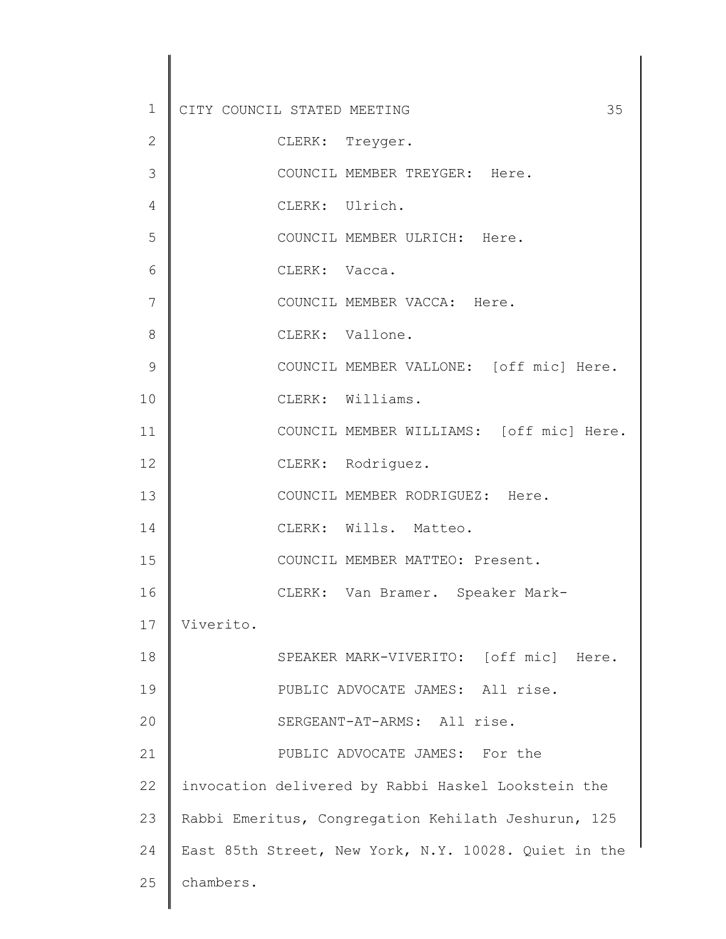| $\mathbf 1$  | CITY COUNCIL STATED MEETING<br>35                    |
|--------------|------------------------------------------------------|
| $\mathbf{2}$ | CLERK: Treyger.                                      |
| 3            | COUNCIL MEMBER TREYGER: Here.                        |
| 4            | CLERK: Ulrich.                                       |
| 5            | COUNCIL MEMBER ULRICH: Here.                         |
| 6            | CLERK: Vacca.                                        |
| 7            | COUNCIL MEMBER VACCA: Here.                          |
| 8            | CLERK: Vallone.                                      |
| 9            | COUNCIL MEMBER VALLONE: [off mic] Here.              |
| 10           | CLERK: Williams.                                     |
| 11           | COUNCIL MEMBER WILLIAMS: [off mic] Here.             |
| 12           | CLERK: Rodriguez.                                    |
| 13           | COUNCIL MEMBER RODRIGUEZ: Here.                      |
| 14           | CLERK: Wills. Matteo.                                |
| 15           | COUNCIL MEMBER MATTEO: Present.                      |
| 16           | CLERK: Van Bramer. Speaker Mark-                     |
| 17           | Viverito.                                            |
| 18           | SPEAKER MARK-VIVERITO: [off mic] Here.               |
| 19           | PUBLIC ADVOCATE JAMES: All rise.                     |
| 20           | SERGEANT-AT-ARMS: All rise.                          |
| 21           | PUBLIC ADVOCATE JAMES: For the                       |
| 22           | invocation delivered by Rabbi Haskel Lookstein the   |
| 23           | Rabbi Emeritus, Congregation Kehilath Jeshurun, 125  |
| 24           | East 85th Street, New York, N.Y. 10028. Quiet in the |
| 25           | chambers.                                            |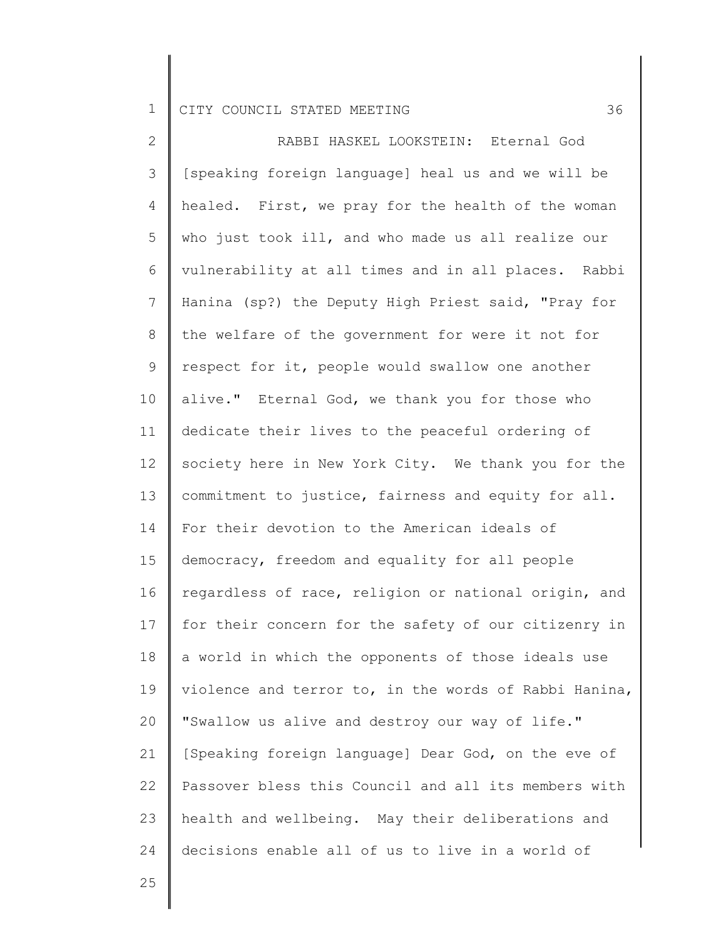2 3 4 5 6 7 8 9 10 11 12 13 14 15 16 17 18 19 20 21 22 23 24 RABBI HASKEL LOOKSTEIN: Eternal God [speaking foreign language] heal us and we will be healed. First, we pray for the health of the woman who just took ill, and who made us all realize our vulnerability at all times and in all places. Rabbi Hanina (sp?) the Deputy High Priest said, "Pray for the welfare of the government for were it not for respect for it, people would swallow one another alive." Eternal God, we thank you for those who dedicate their lives to the peaceful ordering of society here in New York City. We thank you for the commitment to justice, fairness and equity for all. For their devotion to the American ideals of democracy, freedom and equality for all people regardless of race, religion or national origin, and for their concern for the safety of our citizenry in a world in which the opponents of those ideals use violence and terror to, in the words of Rabbi Hanina, "Swallow us alive and destroy our way of life." [Speaking foreign language] Dear God, on the eve of Passover bless this Council and all its members with health and wellbeing. May their deliberations and decisions enable all of us to live in a world of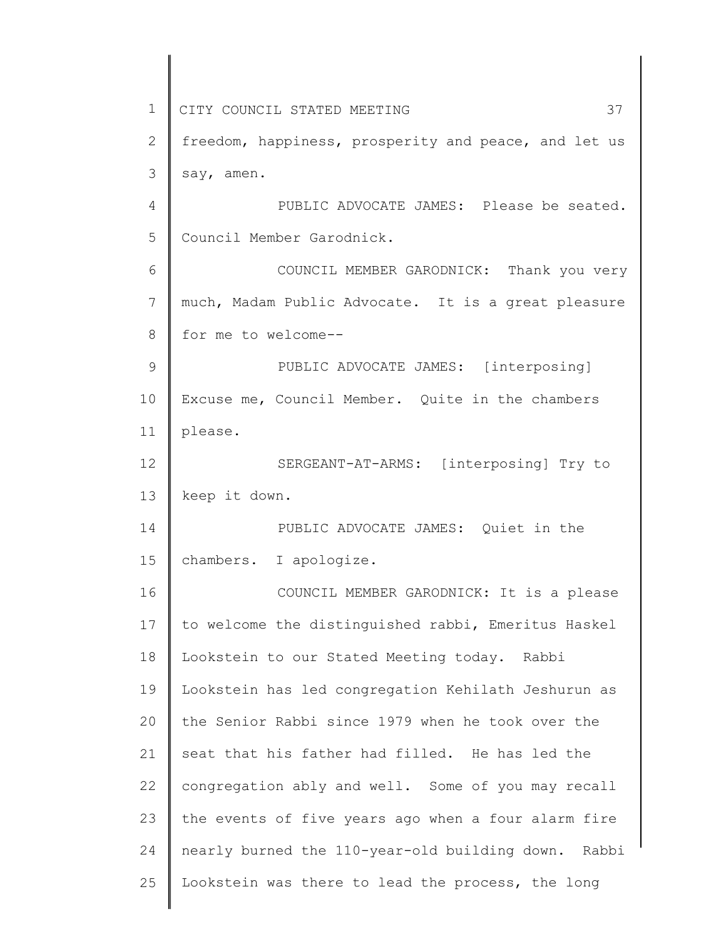1 2 3 4 5 6 7 8 9 10 11 12 13 14 15 16 17 18 19 20 21 22 23 24 25 CITY COUNCIL STATED MEETING 37 freedom, happiness, prosperity and peace, and let us say, amen. PUBLIC ADVOCATE JAMES: Please be seated. Council Member Garodnick. COUNCIL MEMBER GARODNICK: Thank you very much, Madam Public Advocate. It is a great pleasure for me to welcome-- PUBLIC ADVOCATE JAMES: [interposing] Excuse me, Council Member. Quite in the chambers please. SERGEANT-AT-ARMS: [interposing] Try to keep it down. PUBLIC ADVOCATE JAMES: Quiet in the chambers. I apologize. COUNCIL MEMBER GARODNICK: It is a please to welcome the distinguished rabbi, Emeritus Haskel Lookstein to our Stated Meeting today. Rabbi Lookstein has led congregation Kehilath Jeshurun as the Senior Rabbi since 1979 when he took over the seat that his father had filled. He has led the congregation ably and well. Some of you may recall the events of five years ago when a four alarm fire nearly burned the 110-year-old building down. Rabbi Lookstein was there to lead the process, the long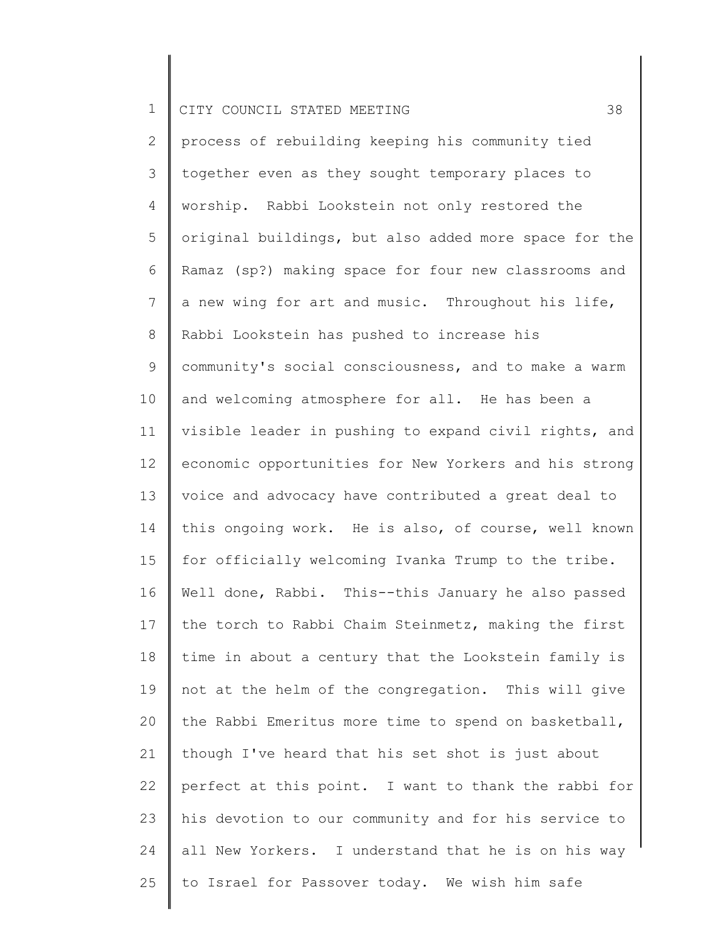2 3 4 5 6 7 8 9 10 11 12 13 14 15 16 17 18 19 20 21 22 23 24 25 process of rebuilding keeping his community tied together even as they sought temporary places to worship. Rabbi Lookstein not only restored the original buildings, but also added more space for the Ramaz (sp?) making space for four new classrooms and a new wing for art and music. Throughout his life, Rabbi Lookstein has pushed to increase his community's social consciousness, and to make a warm and welcoming atmosphere for all. He has been a visible leader in pushing to expand civil rights, and economic opportunities for New Yorkers and his strong voice and advocacy have contributed a great deal to this ongoing work. He is also, of course, well known for officially welcoming Ivanka Trump to the tribe. Well done, Rabbi. This--this January he also passed the torch to Rabbi Chaim Steinmetz, making the first time in about a century that the Lookstein family is not at the helm of the congregation. This will give the Rabbi Emeritus more time to spend on basketball, though I've heard that his set shot is just about perfect at this point. I want to thank the rabbi for his devotion to our community and for his service to all New Yorkers. I understand that he is on his way to Israel for Passover today. We wish him safe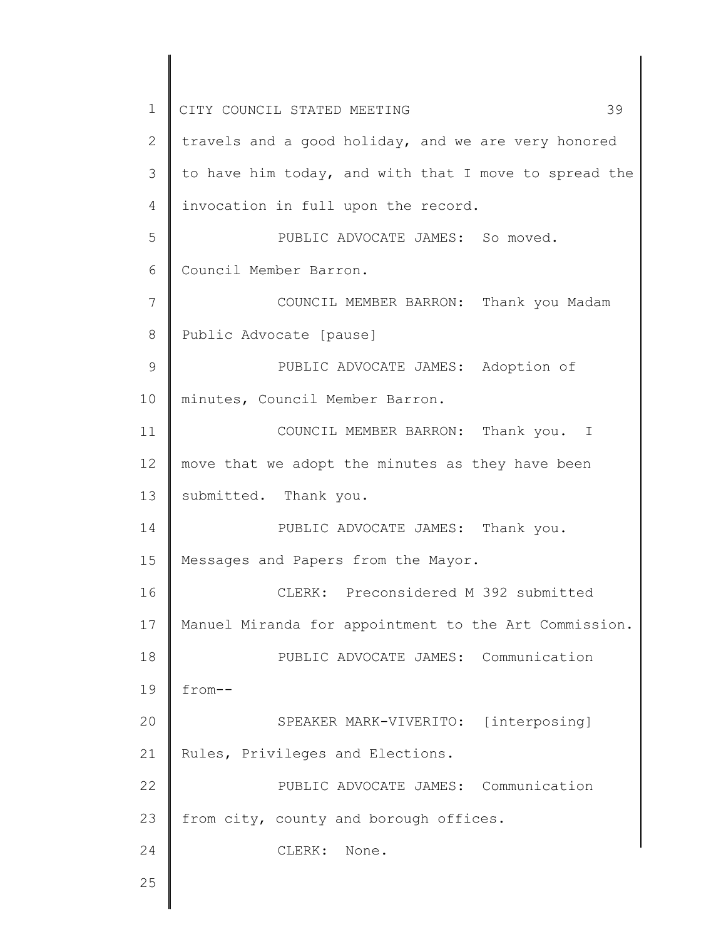1 2 3 4 5 6 7 8 9 10 11 12 13 14 15 16 17 18 19 20 21 22 23 24 25 CITY COUNCIL STATED MEETING 39 travels and a good holiday, and we are very honored to have him today, and with that I move to spread the invocation in full upon the record. PUBLIC ADVOCATE JAMES: So moved. Council Member Barron. COUNCIL MEMBER BARRON: Thank you Madam Public Advocate [pause] PUBLIC ADVOCATE JAMES: Adoption of minutes, Council Member Barron. COUNCIL MEMBER BARRON: Thank you. I move that we adopt the minutes as they have been submitted. Thank you. PUBLIC ADVOCATE JAMES: Thank you. Messages and Papers from the Mayor. CLERK: Preconsidered M 392 submitted Manuel Miranda for appointment to the Art Commission. PUBLIC ADVOCATE JAMES: Communication from-- SPEAKER MARK-VIVERITO: [interposing] Rules, Privileges and Elections. PUBLIC ADVOCATE JAMES: Communication from city, county and borough offices. CLERK: None.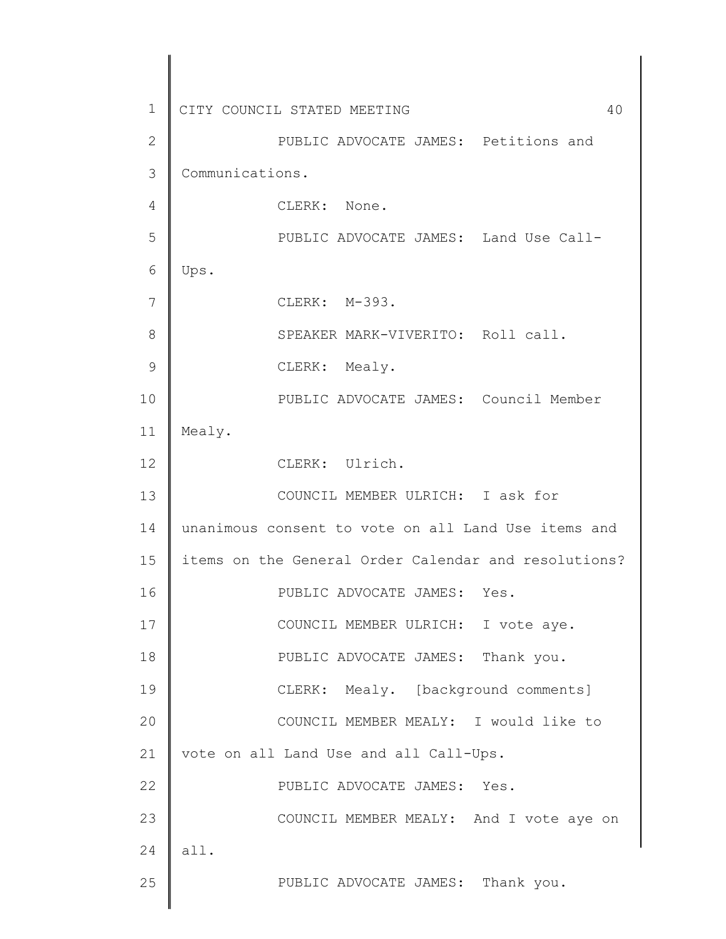1 2 3 4 5 6 7 8 9 10 11 12 13 14 15 16 17 18 19 20 21 22 23 24 25 CITY COUNCIL STATED MEETING 40 PUBLIC ADVOCATE JAMES: Petitions and Communications. CLERK: None. PUBLIC ADVOCATE JAMES: Land Use Call-Ups. CLERK: M-393. SPEAKER MARK-VIVERITO: Roll call. CLERK: Mealy. PUBLIC ADVOCATE JAMES: Council Member Mealy. CLERK: Ulrich. COUNCIL MEMBER ULRICH: I ask for unanimous consent to vote on all Land Use items and items on the General Order Calendar and resolutions? PUBLIC ADVOCATE JAMES: Yes. COUNCIL MEMBER ULRICH: I vote aye. PUBLIC ADVOCATE JAMES: Thank you. CLERK: Mealy. [background comments] COUNCIL MEMBER MEALY: I would like to vote on all Land Use and all Call-Ups. PUBLIC ADVOCATE JAMES: Yes. COUNCIL MEMBER MEALY: And I vote aye on all. PUBLIC ADVOCATE JAMES: Thank you.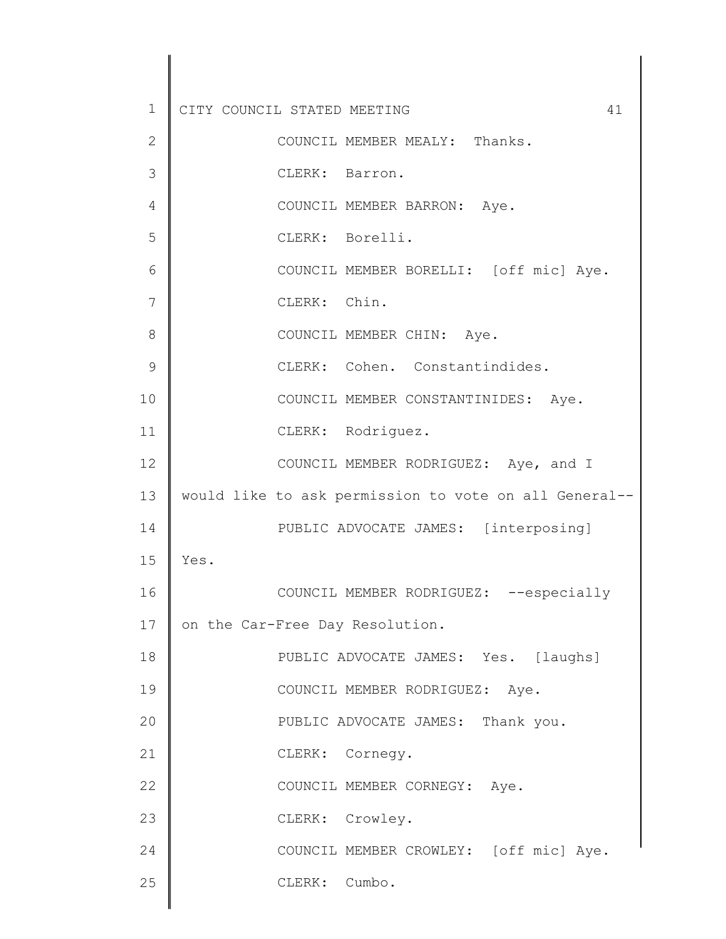1 2 3 4 5 6 7 8 9 10 11 12 13 14 15 16 17 18 19 20 21 22 23 24 25 CITY COUNCIL STATED MEETING 41 COUNCIL MEMBER MEALY: Thanks. CLERK: Barron. COUNCIL MEMBER BARRON: Aye. CLERK: Borelli. COUNCIL MEMBER BORELLI: [off mic] Aye. CLERK: Chin. COUNCIL MEMBER CHIN: Aye. CLERK: Cohen. Constantindides. COUNCIL MEMBER CONSTANTINIDES: Aye. CLERK: Rodriguez. COUNCIL MEMBER RODRIGUEZ: Aye, and I would like to ask permission to vote on all General-- PUBLIC ADVOCATE JAMES: [interposing] Yes. COUNCIL MEMBER RODRIGUEZ: --especially on the Car-Free Day Resolution. PUBLIC ADVOCATE JAMES: Yes. [laughs] COUNCIL MEMBER RODRIGUEZ: Aye. PUBLIC ADVOCATE JAMES: Thank you. CLERK: Cornegy. COUNCIL MEMBER CORNEGY: Aye. CLERK: Crowley. COUNCIL MEMBER CROWLEY: [off mic] Aye. CLERK: Cumbo.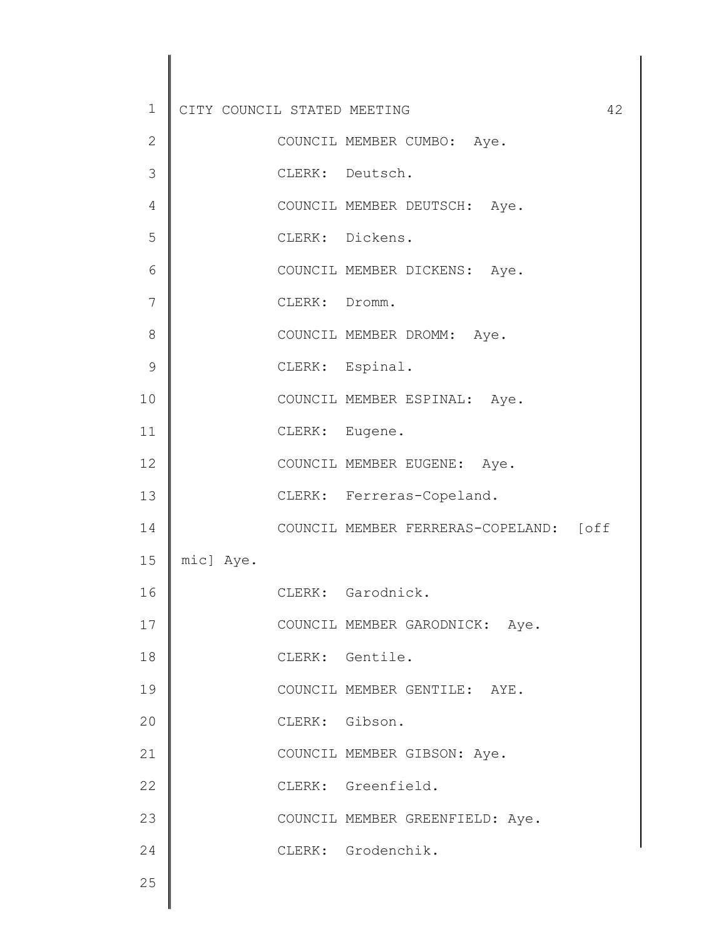| $\mathbf 1$   | CITY COUNCIL STATED MEETING |                | 42                                     |
|---------------|-----------------------------|----------------|----------------------------------------|
| $\mathbf{2}$  |                             |                | COUNCIL MEMBER CUMBO: Aye.             |
| 3             |                             |                | CLERK: Deutsch.                        |
| 4             |                             |                | COUNCIL MEMBER DEUTSCH: Aye.           |
| 5             |                             |                | CLERK: Dickens.                        |
| 6             |                             |                | COUNCIL MEMBER DICKENS: Aye.           |
| 7             |                             | CLERK: Dromm.  |                                        |
| 8             |                             |                | COUNCIL MEMBER DROMM: Aye.             |
| $\mathcal{G}$ |                             |                | CLERK: Espinal.                        |
| 10            |                             |                | COUNCIL MEMBER ESPINAL: Aye.           |
| 11            |                             | CLERK: Eugene. |                                        |
| 12            |                             |                | COUNCIL MEMBER EUGENE: Aye.            |
| 13            |                             |                | CLERK: Ferreras-Copeland.              |
| 14            |                             |                | COUNCIL MEMBER FERRERAS-COPELAND: [off |
| 15            | mic] Aye.                   |                |                                        |
| 16            |                             |                | CLERK: Garodnick.                      |
| 17            |                             |                | COUNCIL MEMBER GARODNICK: Aye.         |
| $18\,$        |                             |                | CLERK: Gentile.                        |
| 19            |                             |                | COUNCIL MEMBER GENTILE: AYE.           |
| 20            |                             | CLERK: Gibson. |                                        |
| 21            |                             |                | COUNCIL MEMBER GIBSON: Aye.            |
| 22            |                             |                | CLERK: Greenfield.                     |
| 23            |                             |                | COUNCIL MEMBER GREENFIELD: Aye.        |
| 24            |                             |                | CLERK: Grodenchik.                     |
| 25            |                             |                |                                        |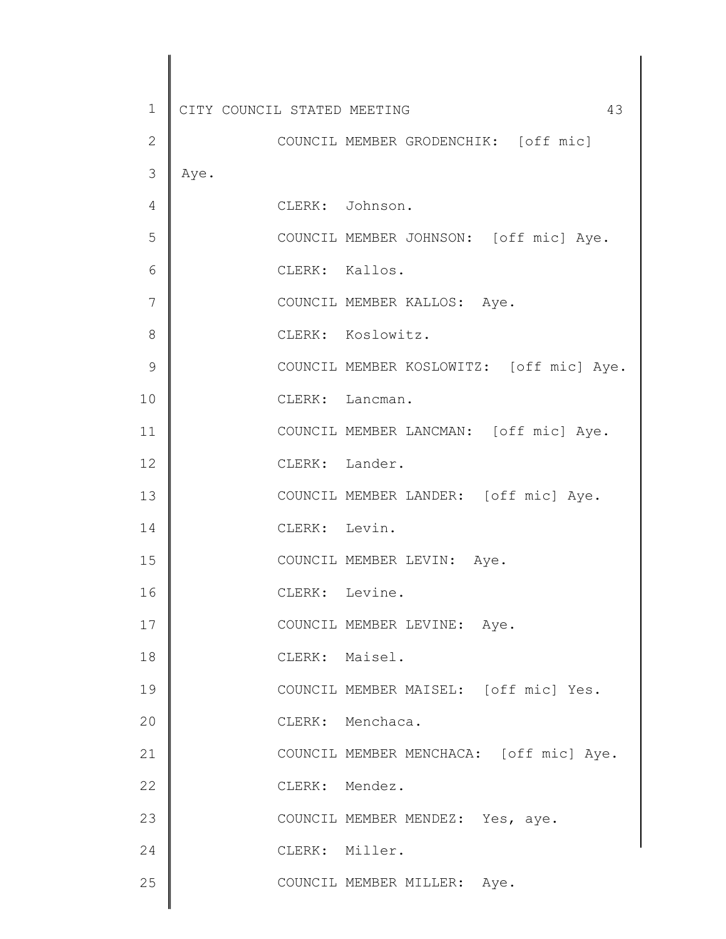| $\mathbf 1$   | CITY COUNCIL STATED MEETING<br>43        |
|---------------|------------------------------------------|
| $\mathbf{2}$  | COUNCIL MEMBER GRODENCHIK: [off mic]     |
| 3             | Aye.                                     |
| 4             | CLERK: Johnson.                          |
| 5             | COUNCIL MEMBER JOHNSON: [off mic] Aye.   |
| 6             | CLERK: Kallos.                           |
| 7             | COUNCIL MEMBER KALLOS: Aye.              |
| 8             | CLERK: Koslowitz.                        |
| $\mathcal{G}$ | COUNCIL MEMBER KOSLOWITZ: [off mic] Aye. |
| 10            | CLERK: Lancman.                          |
| 11            | COUNCIL MEMBER LANCMAN: [off mic] Aye.   |
| 12            | CLERK: Lander.                           |
| 13            | COUNCIL MEMBER LANDER: [off mic] Aye.    |
| 14            | CLERK: Levin.                            |
| 15            | COUNCIL MEMBER LEVIN: Aye.               |
| 16            | CLERK: Levine.                           |
| 17            | COUNCIL MEMBER LEVINE: Aye.              |
| 18            | CLERK: Maisel.                           |
| 19            | COUNCIL MEMBER MAISEL: [off mic] Yes.    |
| 20            | CLERK: Menchaca.                         |
| 21            | COUNCIL MEMBER MENCHACA: [off mic] Aye.  |
| 22            | CLERK: Mendez.                           |
| 23            | COUNCIL MEMBER MENDEZ: Yes, aye.         |
| 24            | CLERK: Miller.                           |
| 25            | COUNCIL MEMBER MILLER: Aye.              |
|               |                                          |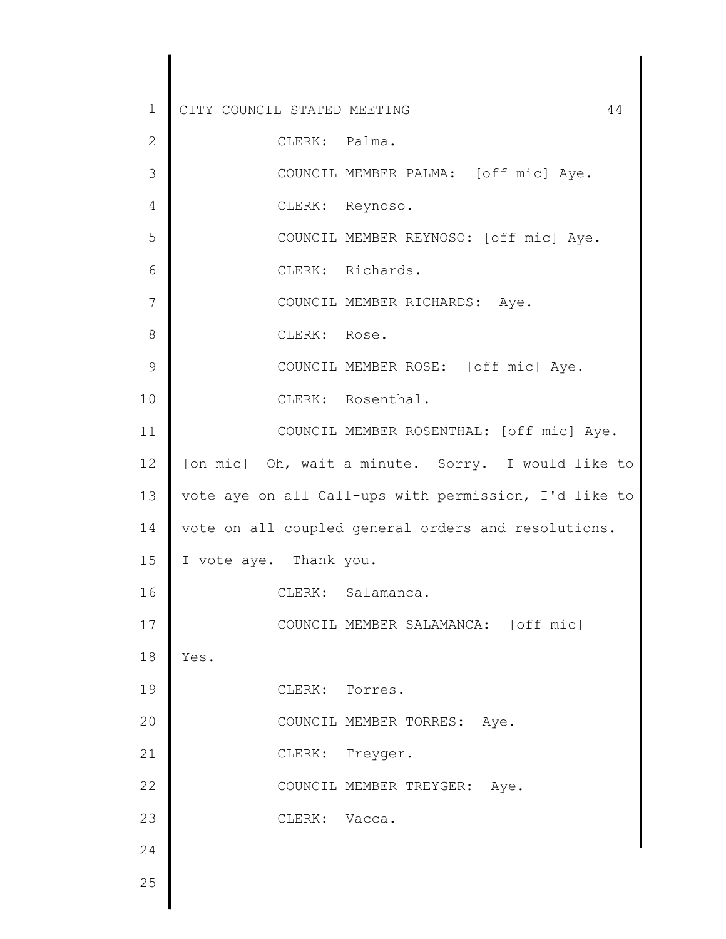1 2 3 4 5 6 7 8 9 10 11 12 13 14 15 16 17 18 19 20 21 22 23 24 25 CITY COUNCIL STATED MEETING 44 CLERK: Palma. COUNCIL MEMBER PALMA: [off mic] Aye. CLERK: Reynoso. COUNCIL MEMBER REYNOSO: [off mic] Aye. CLERK: Richards. COUNCIL MEMBER RICHARDS: Aye. CLERK: Rose. COUNCIL MEMBER ROSE: [off mic] Aye. CLERK: Rosenthal. COUNCIL MEMBER ROSENTHAL: [off mic] Aye. [on mic] Oh, wait a minute. Sorry. I would like to vote aye on all Call-ups with permission, I'd like to vote on all coupled general orders and resolutions. I vote aye. Thank you. CLERK: Salamanca. COUNCIL MEMBER SALAMANCA: [off mic] Yes. CLERK: Torres. COUNCIL MEMBER TORRES: Aye. CLERK: Treyger. COUNCIL MEMBER TREYGER: Aye. CLERK: Vacca.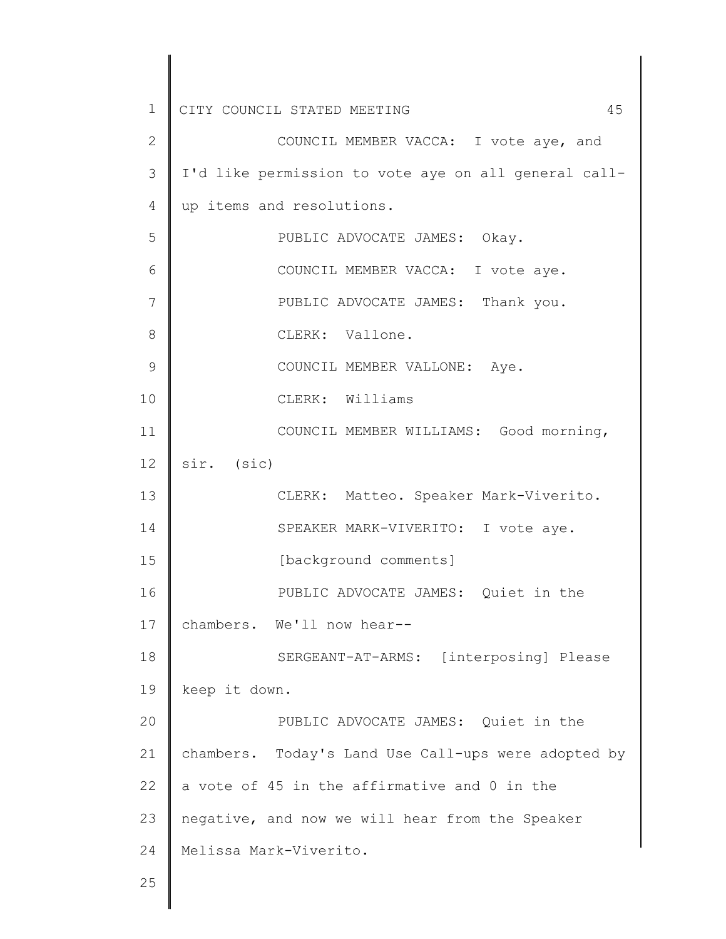| $\mathbf 1$    | 45<br>CITY COUNCIL STATED MEETING                    |
|----------------|------------------------------------------------------|
| $\overline{2}$ | COUNCIL MEMBER VACCA: I vote aye, and                |
| 3              | I'd like permission to vote aye on all general call- |
| 4              | up items and resolutions.                            |
| 5              | PUBLIC ADVOCATE JAMES: Okay.                         |
| 6              | COUNCIL MEMBER VACCA: I vote aye.                    |
| 7              | PUBLIC ADVOCATE JAMES: Thank you.                    |
| 8              | CLERK: Vallone.                                      |
| 9              | COUNCIL MEMBER VALLONE: Aye.                         |
| 10             | CLERK: Williams                                      |
| 11             | COUNCIL MEMBER WILLIAMS: Good morning,               |
| 12             | sir. (sic)                                           |
| 13             | CLERK: Matteo. Speaker Mark-Viverito.                |
| 14             | SPEAKER MARK-VIVERITO: I vote aye.                   |
| 15             | [background comments]                                |
| 16             | PUBLIC ADVOCATE JAMES: Quiet in the                  |
| 17             | chambers. We'll now hear--                           |
| 18             | SERGEANT-AT-ARMS: [interposing] Please               |
| 19             | keep it down.                                        |
| 20             | PUBLIC ADVOCATE JAMES: Quiet in the                  |
| 21             | chambers. Today's Land Use Call-ups were adopted by  |
| 22             | a vote of 45 in the affirmative and 0 in the         |
| 23             | negative, and now we will hear from the Speaker      |
| 24             | Melissa Mark-Viverito.                               |
| 25             |                                                      |
|                |                                                      |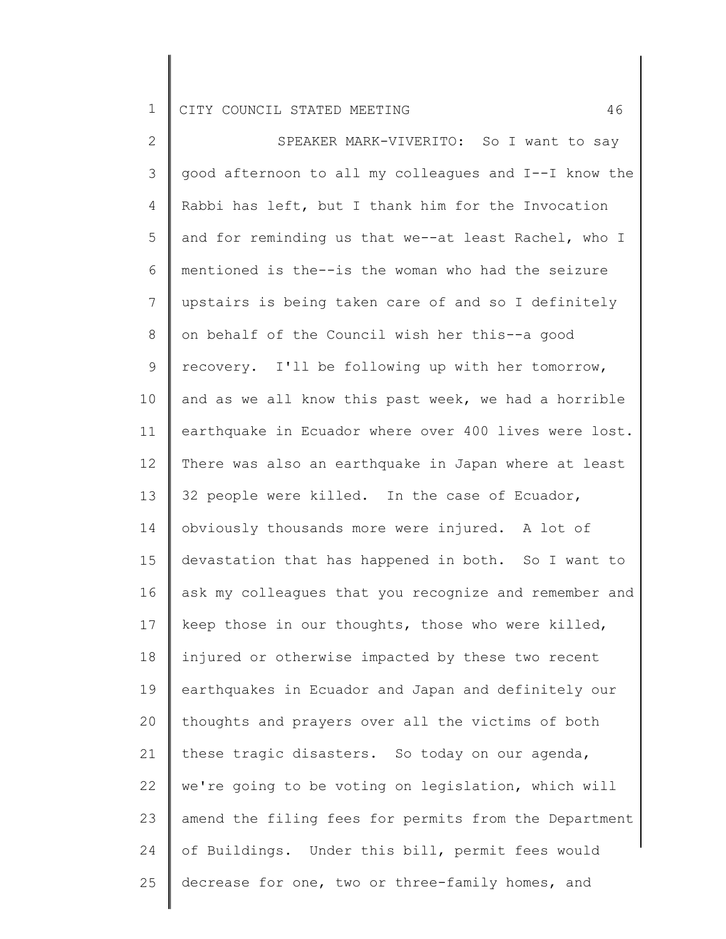2 3 4 5 6 7 8 9 10 11 12 13 14 15 16 17 18 19 20 21 22 23 24 25 SPEAKER MARK-VIVERITO: So I want to say good afternoon to all my colleagues and I--I know the Rabbi has left, but I thank him for the Invocation and for reminding us that we--at least Rachel, who I mentioned is the--is the woman who had the seizure upstairs is being taken care of and so I definitely on behalf of the Council wish her this--a good recovery. I'll be following up with her tomorrow, and as we all know this past week, we had a horrible earthquake in Ecuador where over 400 lives were lost. There was also an earthquake in Japan where at least 32 people were killed. In the case of Ecuador, obviously thousands more were injured. A lot of devastation that has happened in both. So I want to ask my colleagues that you recognize and remember and keep those in our thoughts, those who were killed, injured or otherwise impacted by these two recent earthquakes in Ecuador and Japan and definitely our thoughts and prayers over all the victims of both these tragic disasters. So today on our agenda, we're going to be voting on legislation, which will amend the filing fees for permits from the Department of Buildings. Under this bill, permit fees would decrease for one, two or three-family homes, and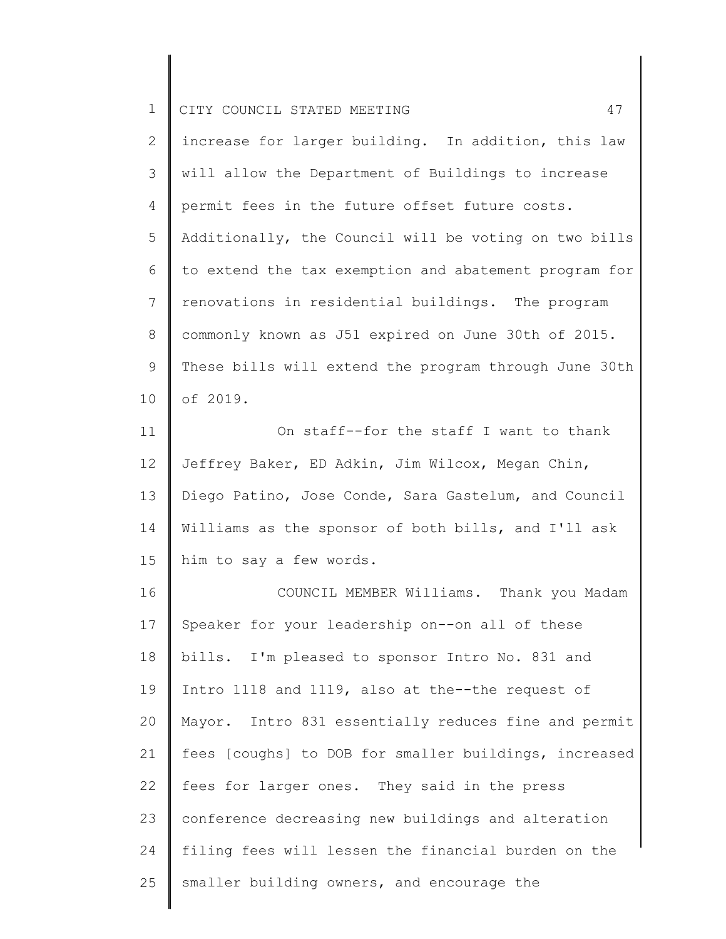| $\mathbf 1$    | 47<br>CITY COUNCIL STATED MEETING                     |
|----------------|-------------------------------------------------------|
| $\mathbf{2}$   | increase for larger building. In addition, this law   |
| 3              | will allow the Department of Buildings to increase    |
| $\overline{4}$ | permit fees in the future offset future costs.        |
| 5              | Additionally, the Council will be voting on two bills |
| 6              | to extend the tax exemption and abatement program for |
| $7\phantom{.}$ | renovations in residential buildings. The program     |
| 8              | commonly known as J51 expired on June 30th of 2015.   |
| $\mathsf 9$    | These bills will extend the program through June 30th |
| 10             | of 2019.                                              |
| 11             | On staff--for the staff I want to thank               |
| 12             | Jeffrey Baker, ED Adkin, Jim Wilcox, Megan Chin,      |
| 13             | Diego Patino, Jose Conde, Sara Gastelum, and Council  |
| 14             | Williams as the sponsor of both bills, and I'll ask   |
| 15             | him to say a few words.                               |
| 16             | COUNCIL MEMBER Williams. Thank you Madam              |
| 17             | Speaker for your leadership on--on all of these       |
| 18             | bills. I'm pleased to sponsor Intro No. 831 and       |
| 19             | Intro 1118 and 1119, also at the--the request of      |
| 20             | Mayor. Intro 831 essentially reduces fine and permit  |
| 21             | fees [coughs] to DOB for smaller buildings, increased |
| 22             | fees for larger ones. They said in the press          |
| 23             | conference decreasing new buildings and alteration    |
| 24             | filing fees will lessen the financial burden on the   |
| 25             | smaller building owners, and encourage the            |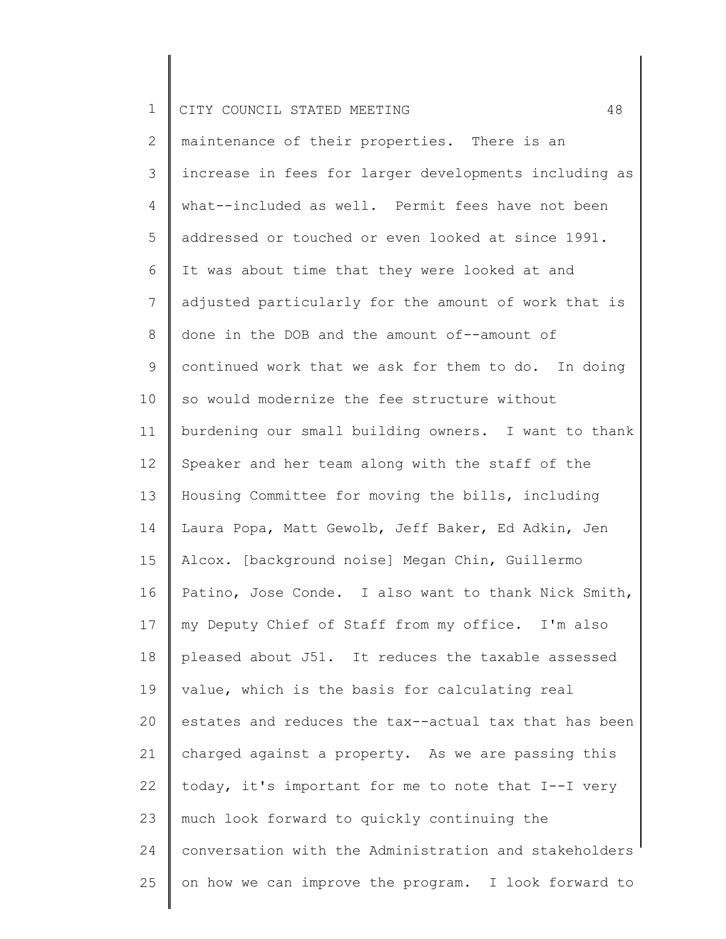2 3 4 5 6 7 8 9 10 11 12 13 14 15 16 17 18 19 20 21 22 23 24 25 maintenance of their properties. There is an increase in fees for larger developments including as what--included as well. Permit fees have not been addressed or touched or even looked at since 1991. It was about time that they were looked at and adjusted particularly for the amount of work that is done in the DOB and the amount of--amount of continued work that we ask for them to do. In doing so would modernize the fee structure without burdening our small building owners. I want to thank Speaker and her team along with the staff of the Housing Committee for moving the bills, including Laura Popa, Matt Gewolb, Jeff Baker, Ed Adkin, Jen Alcox. [background noise] Megan Chin, Guillermo Patino, Jose Conde. I also want to thank Nick Smith, my Deputy Chief of Staff from my office. I'm also pleased about J51. It reduces the taxable assessed value, which is the basis for calculating real estates and reduces the tax--actual tax that has been charged against a property. As we are passing this today, it's important for me to note that I--I very much look forward to quickly continuing the conversation with the Administration and stakeholders on how we can improve the program. I look forward to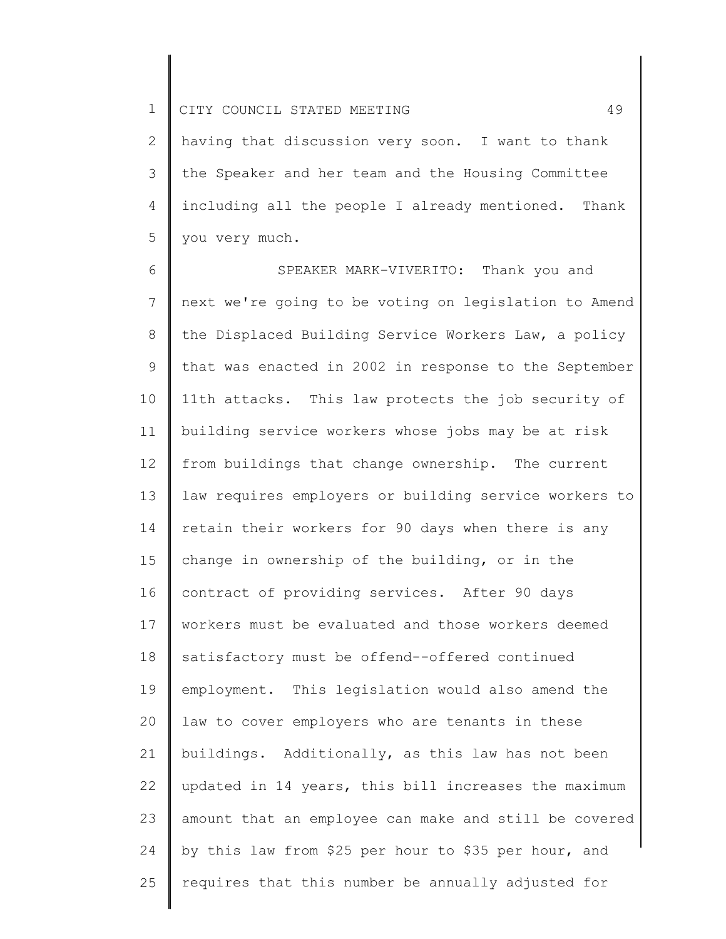2 3 4 5 having that discussion very soon. I want to thank the Speaker and her team and the Housing Committee including all the people I already mentioned. Thank you very much.

6 7 8 9 10 11 12 13 14 15 16 17 18 19 20 21 22 23 24 25 SPEAKER MARK-VIVERITO: Thank you and next we're going to be voting on legislation to Amend the Displaced Building Service Workers Law, a policy that was enacted in 2002 in response to the September 11th attacks. This law protects the job security of building service workers whose jobs may be at risk from buildings that change ownership. The current law requires employers or building service workers to retain their workers for 90 days when there is any change in ownership of the building, or in the contract of providing services. After 90 days workers must be evaluated and those workers deemed satisfactory must be offend--offered continued employment. This legislation would also amend the law to cover employers who are tenants in these buildings. Additionally, as this law has not been updated in 14 years, this bill increases the maximum amount that an employee can make and still be covered by this law from \$25 per hour to \$35 per hour, and requires that this number be annually adjusted for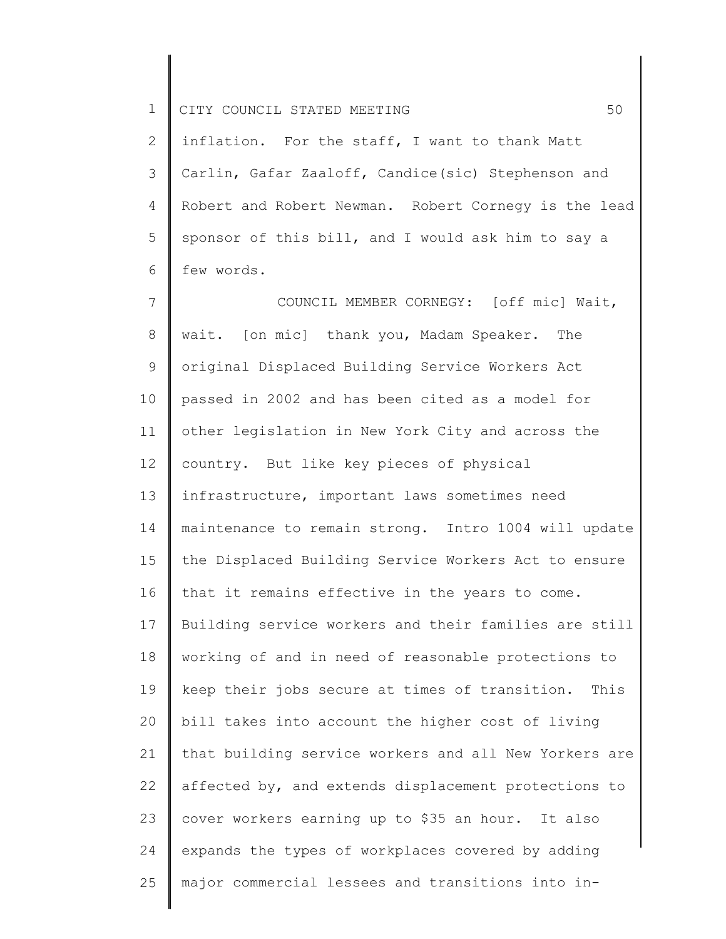2 3 4 5 6 inflation. For the staff, I want to thank Matt Carlin, Gafar Zaaloff, Candice(sic) Stephenson and Robert and Robert Newman. Robert Cornegy is the lead sponsor of this bill, and I would ask him to say a few words.

7 8 9 10 11 12 13 14 15 16 17 18 19 20 21 22 23 24 25 COUNCIL MEMBER CORNEGY: [off mic] Wait, wait. [on mic] thank you, Madam Speaker. The original Displaced Building Service Workers Act passed in 2002 and has been cited as a model for other legislation in New York City and across the country. But like key pieces of physical infrastructure, important laws sometimes need maintenance to remain strong. Intro 1004 will update the Displaced Building Service Workers Act to ensure that it remains effective in the years to come. Building service workers and their families are still working of and in need of reasonable protections to keep their jobs secure at times of transition. This bill takes into account the higher cost of living that building service workers and all New Yorkers are affected by, and extends displacement protections to cover workers earning up to \$35 an hour. It also expands the types of workplaces covered by adding major commercial lessees and transitions into in-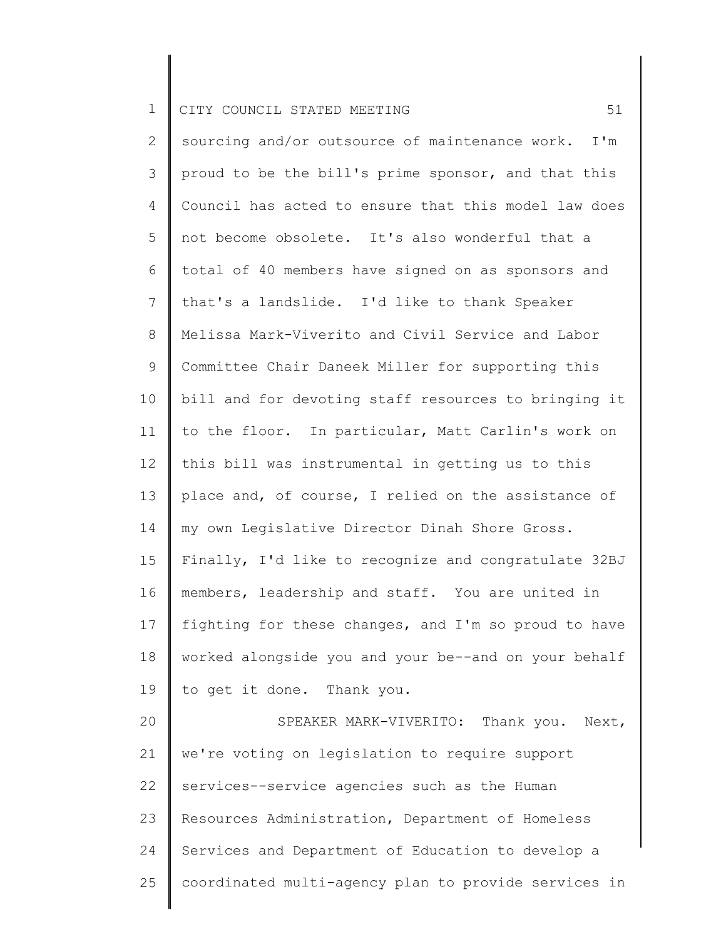2 3 4 5 6 7 8 9 10 11 12 13 14 15 16 17 18 19 20 21 22 23 24 25 sourcing and/or outsource of maintenance work. I'm proud to be the bill's prime sponsor, and that this Council has acted to ensure that this model law does not become obsolete. It's also wonderful that a total of 40 members have signed on as sponsors and that's a landslide. I'd like to thank Speaker Melissa Mark-Viverito and Civil Service and Labor Committee Chair Daneek Miller for supporting this bill and for devoting staff resources to bringing it to the floor. In particular, Matt Carlin's work on this bill was instrumental in getting us to this place and, of course, I relied on the assistance of my own Legislative Director Dinah Shore Gross. Finally, I'd like to recognize and congratulate 32BJ members, leadership and staff. You are united in fighting for these changes, and I'm so proud to have worked alongside you and your be--and on your behalf to get it done. Thank you. SPEAKER MARK-VIVERITO: Thank you. Next, we're voting on legislation to require support services--service agencies such as the Human Resources Administration, Department of Homeless Services and Department of Education to develop a coordinated multi-agency plan to provide services in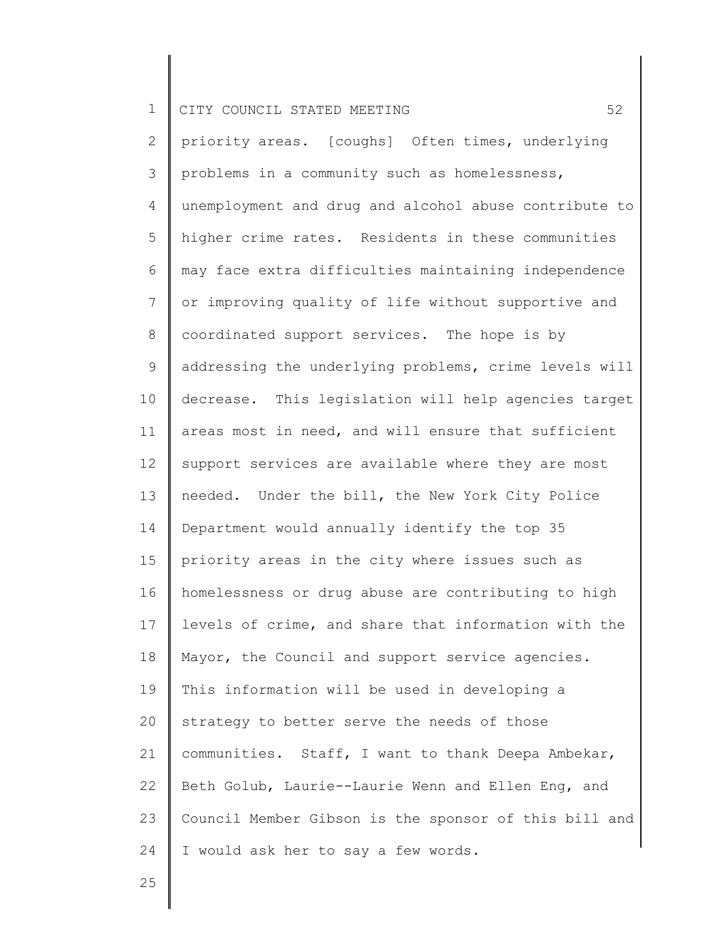2 3 4 5 6 7 8 9 10 11 12 13 14 15 16 17 18 19 20 21 22 23 24 priority areas. [coughs] Often times, underlying problems in a community such as homelessness, unemployment and drug and alcohol abuse contribute to higher crime rates. Residents in these communities may face extra difficulties maintaining independence or improving quality of life without supportive and coordinated support services. The hope is by addressing the underlying problems, crime levels will decrease. This legislation will help agencies target areas most in need, and will ensure that sufficient support services are available where they are most needed. Under the bill, the New York City Police Department would annually identify the top 35 priority areas in the city where issues such as homelessness or drug abuse are contributing to high levels of crime, and share that information with the Mayor, the Council and support service agencies. This information will be used in developing a strategy to better serve the needs of those communities. Staff, I want to thank Deepa Ambekar, Beth Golub, Laurie--Laurie Wenn and Ellen Eng, and Council Member Gibson is the sponsor of this bill and I would ask her to say a few words.

25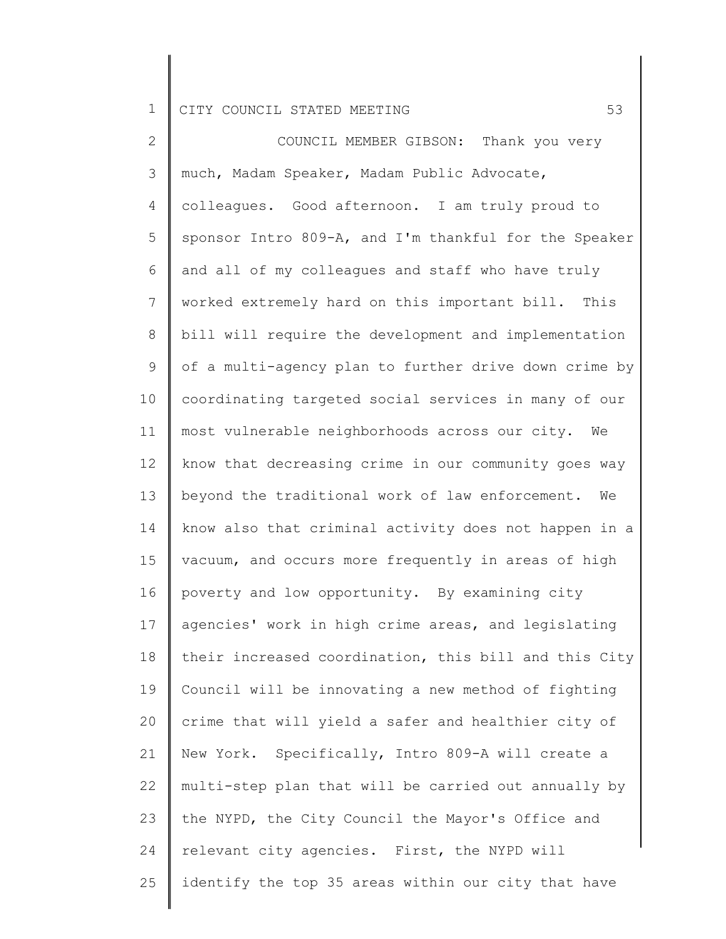2 3 4 5 6 7 8 9 10 11 12 13 14 15 16 17 18 19 20 21 22 23 24 25 COUNCIL MEMBER GIBSON: Thank you very much, Madam Speaker, Madam Public Advocate, colleagues. Good afternoon. I am truly proud to sponsor Intro 809-A, and I'm thankful for the Speaker and all of my colleagues and staff who have truly worked extremely hard on this important bill. This bill will require the development and implementation of a multi-agency plan to further drive down crime by coordinating targeted social services in many of our most vulnerable neighborhoods across our city. We know that decreasing crime in our community goes way beyond the traditional work of law enforcement. We know also that criminal activity does not happen in a vacuum, and occurs more frequently in areas of high poverty and low opportunity. By examining city agencies' work in high crime areas, and legislating their increased coordination, this bill and this City Council will be innovating a new method of fighting crime that will yield a safer and healthier city of New York. Specifically, Intro 809-A will create a multi-step plan that will be carried out annually by the NYPD, the City Council the Mayor's Office and relevant city agencies. First, the NYPD will identify the top 35 areas within our city that have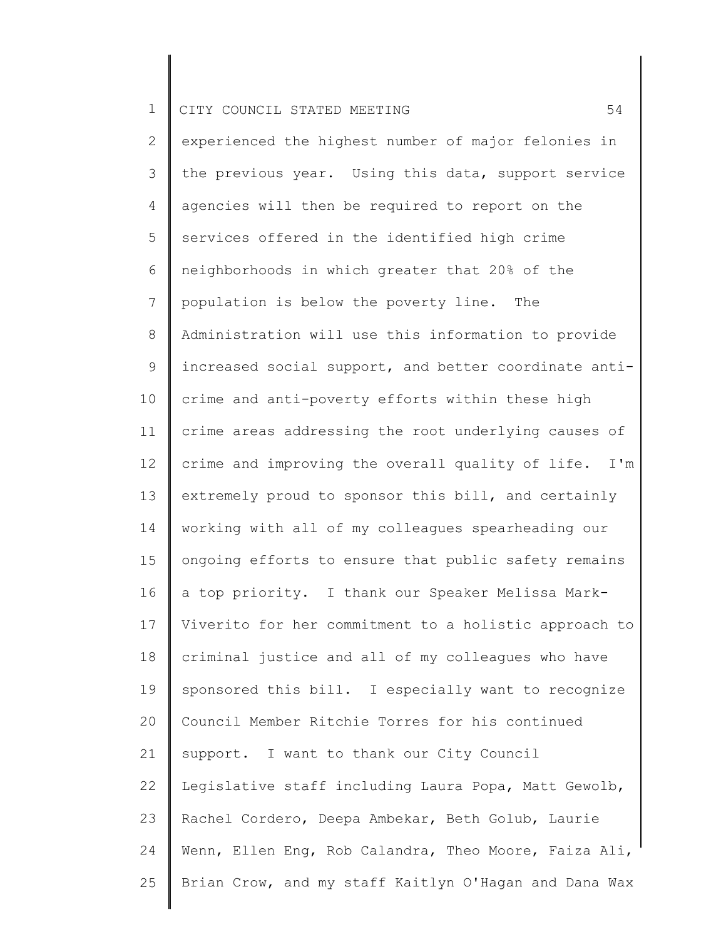2 3 4 5 6 7 8 9 10 11 12 13 14 15 16 17 18 19 20 21 22 23 24 25 experienced the highest number of major felonies in the previous year. Using this data, support service agencies will then be required to report on the services offered in the identified high crime neighborhoods in which greater that 20% of the population is below the poverty line. The Administration will use this information to provide increased social support, and better coordinate anticrime and anti-poverty efforts within these high crime areas addressing the root underlying causes of crime and improving the overall quality of life. I'm extremely proud to sponsor this bill, and certainly working with all of my colleagues spearheading our ongoing efforts to ensure that public safety remains a top priority. I thank our Speaker Melissa Mark-Viverito for her commitment to a holistic approach to criminal justice and all of my colleagues who have sponsored this bill. I especially want to recognize Council Member Ritchie Torres for his continued support. I want to thank our City Council Legislative staff including Laura Popa, Matt Gewolb, Rachel Cordero, Deepa Ambekar, Beth Golub, Laurie Wenn, Ellen Eng, Rob Calandra, Theo Moore, Faiza Ali, Brian Crow, and my staff Kaitlyn O'Hagan and Dana Wax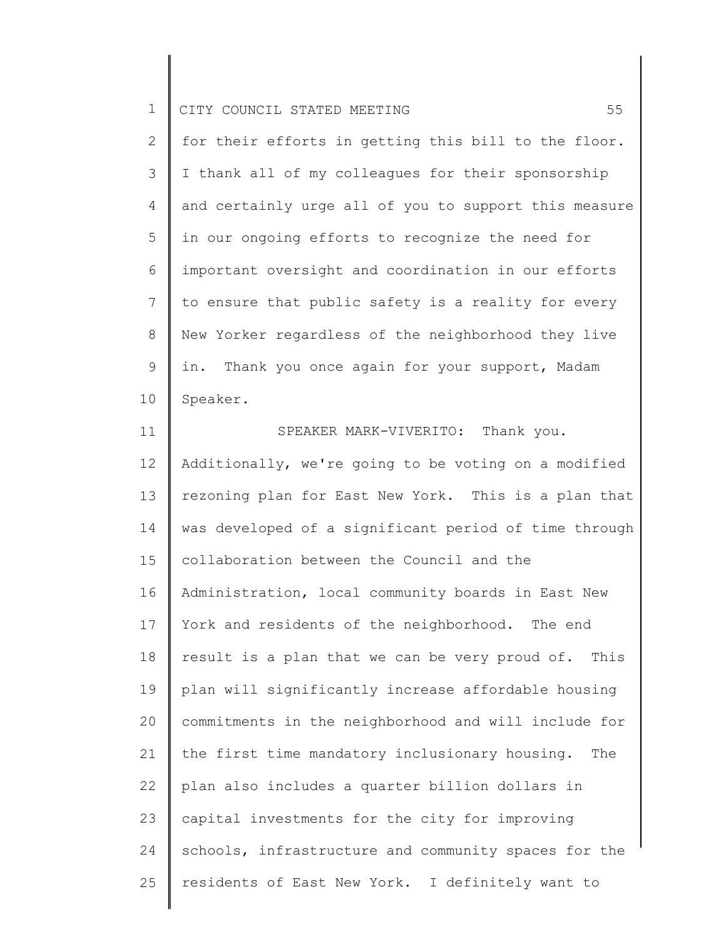2 3 4 5 6 7 8 9 10 for their efforts in getting this bill to the floor. I thank all of my colleagues for their sponsorship and certainly urge all of you to support this measure in our ongoing efforts to recognize the need for important oversight and coordination in our efforts to ensure that public safety is a reality for every New Yorker regardless of the neighborhood they live in. Thank you once again for your support, Madam Speaker.

11 12 13 14 15 16 17 18 19 20 21 22 23 24 25 SPEAKER MARK-VIVERITO: Thank you. Additionally, we're going to be voting on a modified rezoning plan for East New York. This is a plan that was developed of a significant period of time through collaboration between the Council and the Administration, local community boards in East New York and residents of the neighborhood. The end result is a plan that we can be very proud of. This plan will significantly increase affordable housing commitments in the neighborhood and will include for the first time mandatory inclusionary housing. The plan also includes a quarter billion dollars in capital investments for the city for improving schools, infrastructure and community spaces for the residents of East New York. I definitely want to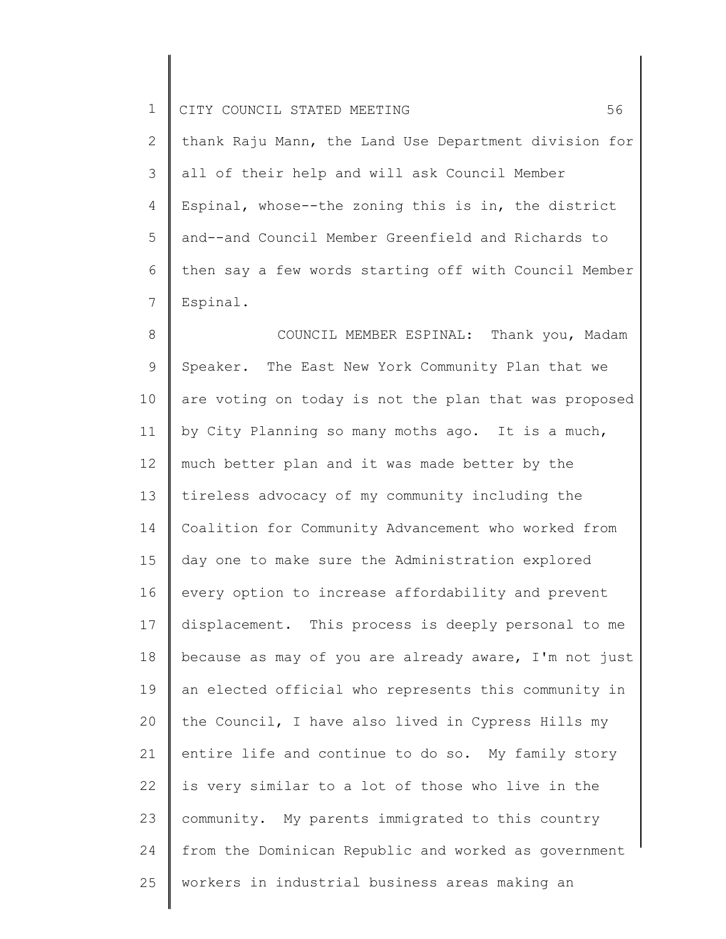2 3 4 5 6 7 thank Raju Mann, the Land Use Department division for all of their help and will ask Council Member Espinal, whose--the zoning this is in, the district and--and Council Member Greenfield and Richards to then say a few words starting off with Council Member Espinal.

8 9 10 11 12 13 14 15 16 17 18 19 20 21 22 23 24 25 COUNCIL MEMBER ESPINAL: Thank you, Madam Speaker. The East New York Community Plan that we are voting on today is not the plan that was proposed by City Planning so many moths ago. It is a much, much better plan and it was made better by the tireless advocacy of my community including the Coalition for Community Advancement who worked from day one to make sure the Administration explored every option to increase affordability and prevent displacement. This process is deeply personal to me because as may of you are already aware, I'm not just an elected official who represents this community in the Council, I have also lived in Cypress Hills my entire life and continue to do so. My family story is very similar to a lot of those who live in the community. My parents immigrated to this country from the Dominican Republic and worked as government workers in industrial business areas making an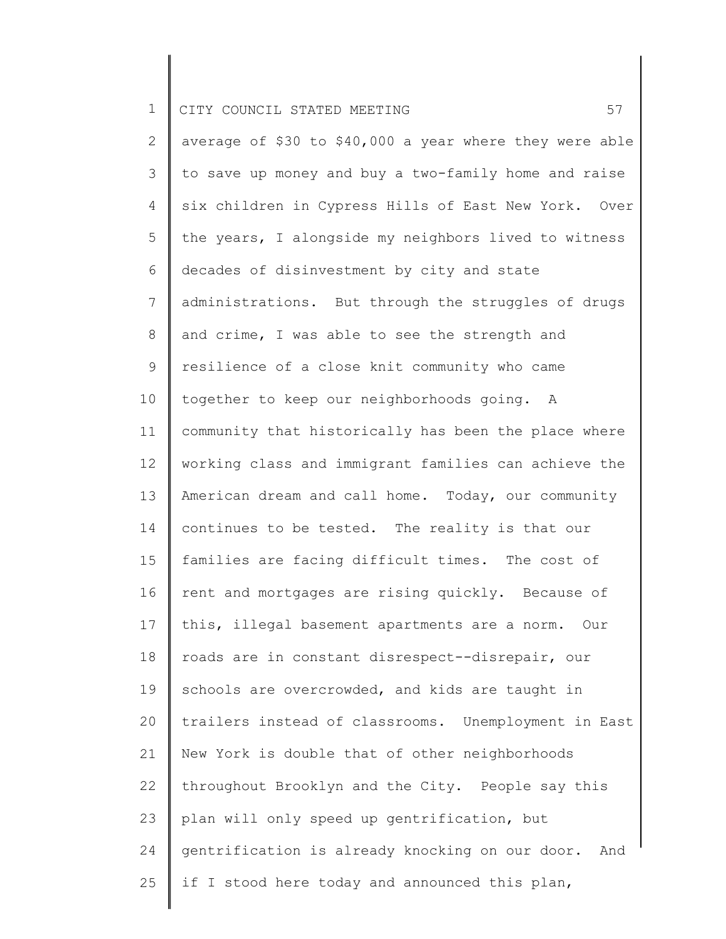2 3 4 5 6 7 8 9 10 11 12 13 14 15 16 17 18 19 20 21 22 23 24 25 average of \$30 to \$40,000 a year where they were able to save up money and buy a two-family home and raise six children in Cypress Hills of East New York. Over the years, I alongside my neighbors lived to witness decades of disinvestment by city and state administrations. But through the struggles of drugs and crime, I was able to see the strength and resilience of a close knit community who came together to keep our neighborhoods going. A community that historically has been the place where working class and immigrant families can achieve the American dream and call home. Today, our community continues to be tested. The reality is that our families are facing difficult times. The cost of rent and mortgages are rising quickly. Because of this, illegal basement apartments are a norm. Our roads are in constant disrespect--disrepair, our schools are overcrowded, and kids are taught in trailers instead of classrooms. Unemployment in East New York is double that of other neighborhoods throughout Brooklyn and the City. People say this plan will only speed up gentrification, but gentrification is already knocking on our door. And if I stood here today and announced this plan,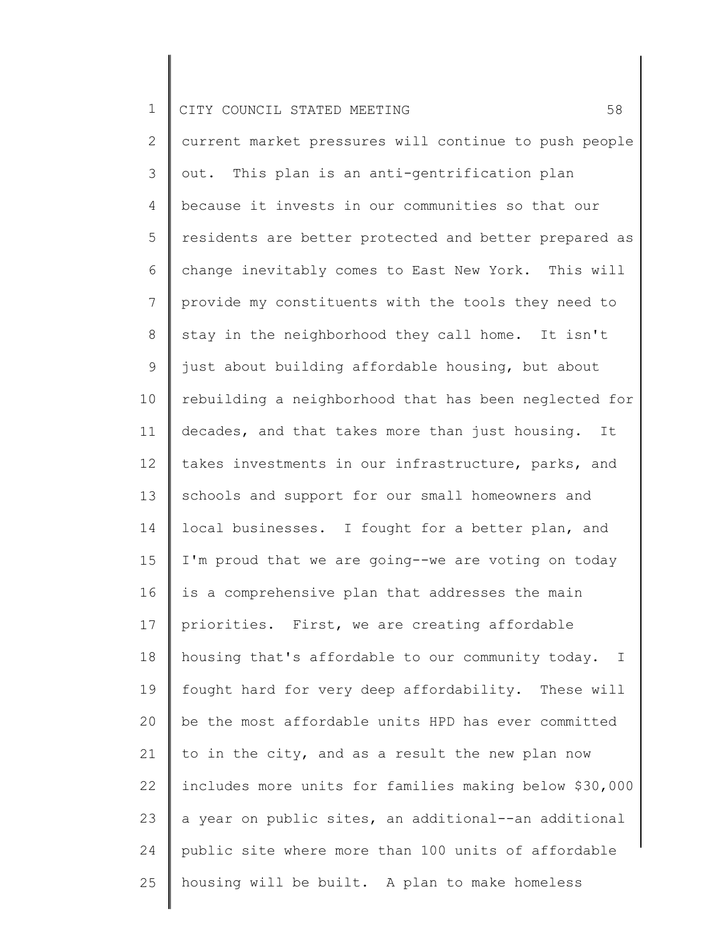| $\mathbf 1$    | 58<br>CITY COUNCIL STATED MEETING                      |
|----------------|--------------------------------------------------------|
| $\overline{2}$ | current market pressures will continue to push people  |
| 3              | out. This plan is an anti-gentrification plan          |
| 4              | because it invests in our communities so that our      |
| 5              | residents are better protected and better prepared as  |
| 6              | change inevitably comes to East New York. This will    |
| $7\phantom{.}$ | provide my constituents with the tools they need to    |
| 8              | stay in the neighborhood they call home. It isn't      |
| 9              | just about building affordable housing, but about      |
| 10             | rebuilding a neighborhood that has been neglected for  |
| 11             | decades, and that takes more than just housing. It     |
| 12             | takes investments in our infrastructure, parks, and    |
| 13             | schools and support for our small homeowners and       |
| 14             | local businesses. I fought for a better plan, and      |
| 15             | I'm proud that we are going--we are voting on today    |
| 16             | is a comprehensive plan that addresses the main        |
| 17             | priorities. First, we are creating affordable          |
| 18             | housing that's affordable to our community today. I    |
| 19             | fought hard for very deep affordability. These will    |
| 20             | be the most affordable units HPD has ever committed    |
| 21             | to in the city, and as a result the new plan now       |
| 22             | includes more units for families making below \$30,000 |
| 23             | a year on public sites, an additional--an additional   |
| 24             | public site where more than 100 units of affordable    |
| 25             | housing will be built. A plan to make homeless         |
|                |                                                        |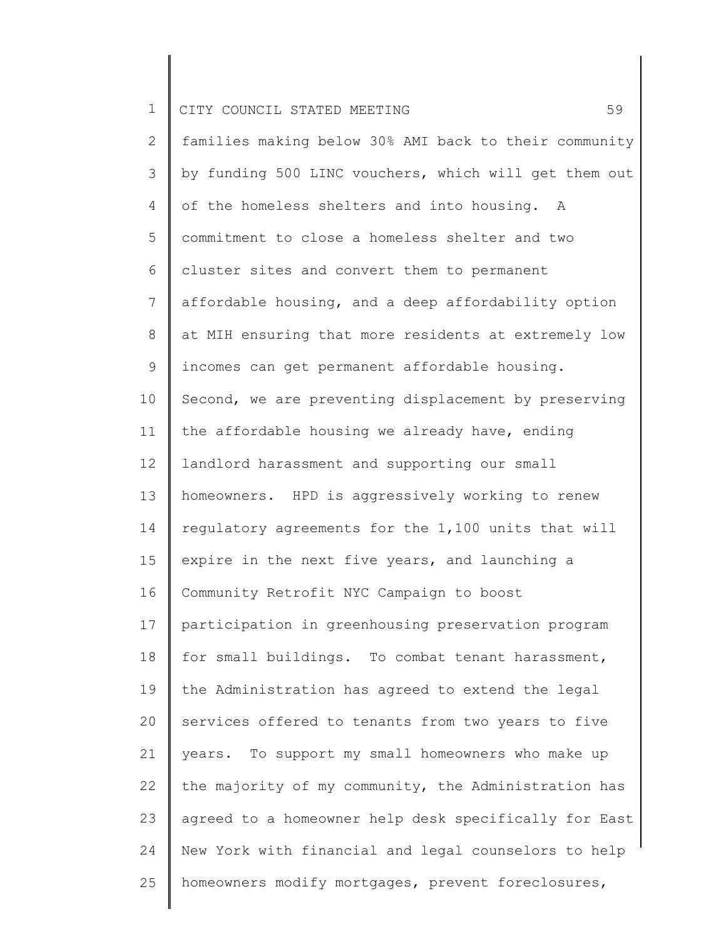| $\mathbf 1$    | 59<br>CITY COUNCIL STATED MEETING                     |
|----------------|-------------------------------------------------------|
| $\mathbf{2}$   | families making below 30% AMI back to their community |
| 3              | by funding 500 LINC vouchers, which will get them out |
| 4              | of the homeless shelters and into housing. A          |
| 5              | commitment to close a homeless shelter and two        |
| 6              | cluster sites and convert them to permanent           |
| $\overline{7}$ | affordable housing, and a deep affordability option   |
| $8\,$          | at MIH ensuring that more residents at extremely low  |
| $\mathsf 9$    | incomes can get permanent affordable housing.         |
| 10             | Second, we are preventing displacement by preserving  |
| 11             | the affordable housing we already have, ending        |
| 12             | landlord harassment and supporting our small          |
| 13             | homeowners. HPD is aggressively working to renew      |
| 14             | regulatory agreements for the 1,100 units that will   |
| 15             | expire in the next five years, and launching a        |
| 16             | Community Retrofit NYC Campaign to boost              |
| 17             | participation in greenhousing preservation program    |
| 18             | for small buildings. To combat tenant harassment,     |
| 19             | the Administration has agreed to extend the legal     |
| 20             | services offered to tenants from two years to five    |
| 21             | years. To support my small homeowners who make up     |
| 22             | the majority of my community, the Administration has  |
| 23             | agreed to a homeowner help desk specifically for East |
| 24             | New York with financial and legal counselors to help  |
| 25             | homeowners modify mortgages, prevent foreclosures,    |
|                |                                                       |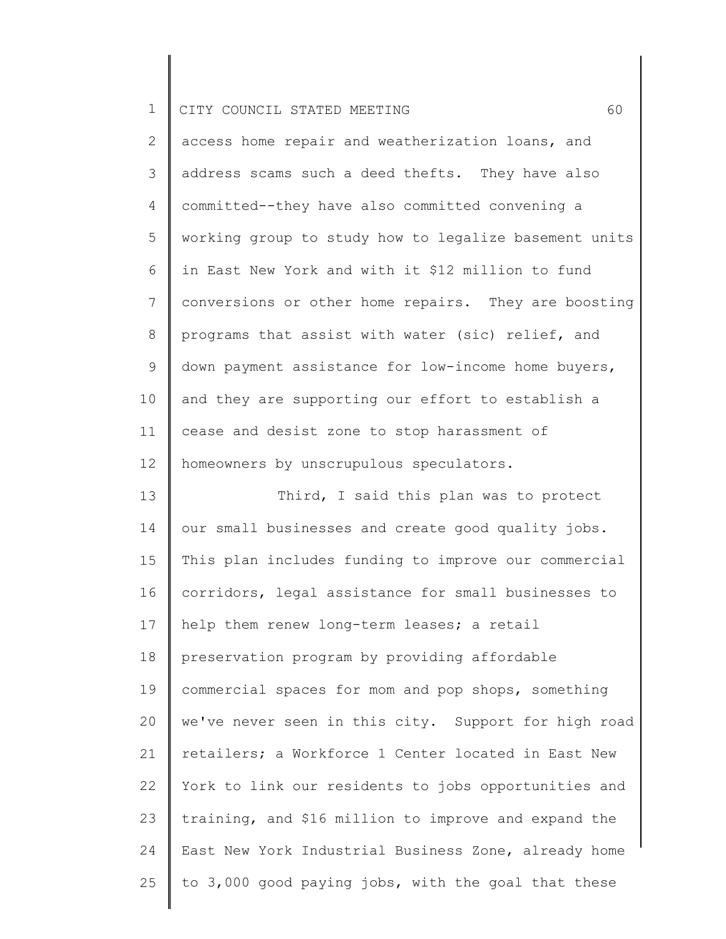2 3 4 5 6 7 8 9 10 11 12 access home repair and weatherization loans, and address scams such a deed thefts. They have also committed--they have also committed convening a working group to study how to legalize basement units in East New York and with it \$12 million to fund conversions or other home repairs. They are boosting programs that assist with water (sic) relief, and down payment assistance for low-income home buyers, and they are supporting our effort to establish a cease and desist zone to stop harassment of homeowners by unscrupulous speculators.

13 14 15 16 17 18 19 20 21 22 23 24 25 Third, I said this plan was to protect our small businesses and create good quality jobs. This plan includes funding to improve our commercial corridors, legal assistance for small businesses to help them renew long-term leases; a retail preservation program by providing affordable commercial spaces for mom and pop shops, something we've never seen in this city. Support for high road retailers; a Workforce 1 Center located in East New York to link our residents to jobs opportunities and training, and \$16 million to improve and expand the East New York Industrial Business Zone, already home to 3,000 good paying jobs, with the goal that these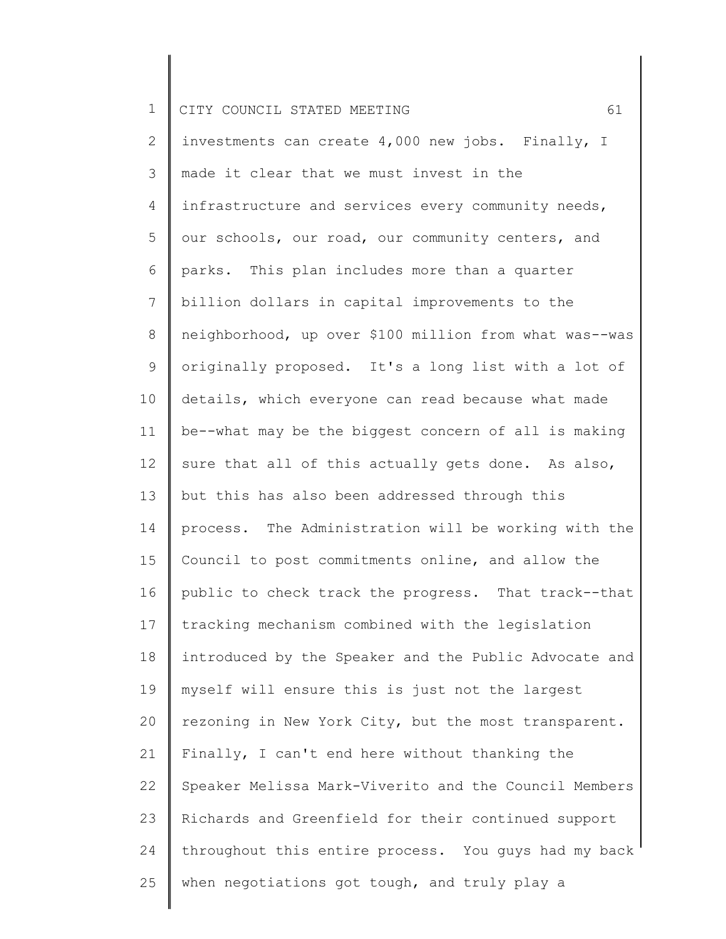1 2 3 4 5 6 7 8 9 10 11 12 13 14 15 16 17 18 19 20 21 22 23 24 25 CITY COUNCIL STATED MEETING 61 investments can create 4,000 new jobs. Finally, I made it clear that we must invest in the infrastructure and services every community needs, our schools, our road, our community centers, and parks. This plan includes more than a quarter billion dollars in capital improvements to the neighborhood, up over \$100 million from what was--was originally proposed. It's a long list with a lot of details, which everyone can read because what made be--what may be the biggest concern of all is making sure that all of this actually gets done. As also, but this has also been addressed through this process. The Administration will be working with the Council to post commitments online, and allow the public to check track the progress. That track--that tracking mechanism combined with the legislation introduced by the Speaker and the Public Advocate and myself will ensure this is just not the largest rezoning in New York City, but the most transparent. Finally, I can't end here without thanking the Speaker Melissa Mark-Viverito and the Council Members Richards and Greenfield for their continued support throughout this entire process. You guys had my back when negotiations got tough, and truly play a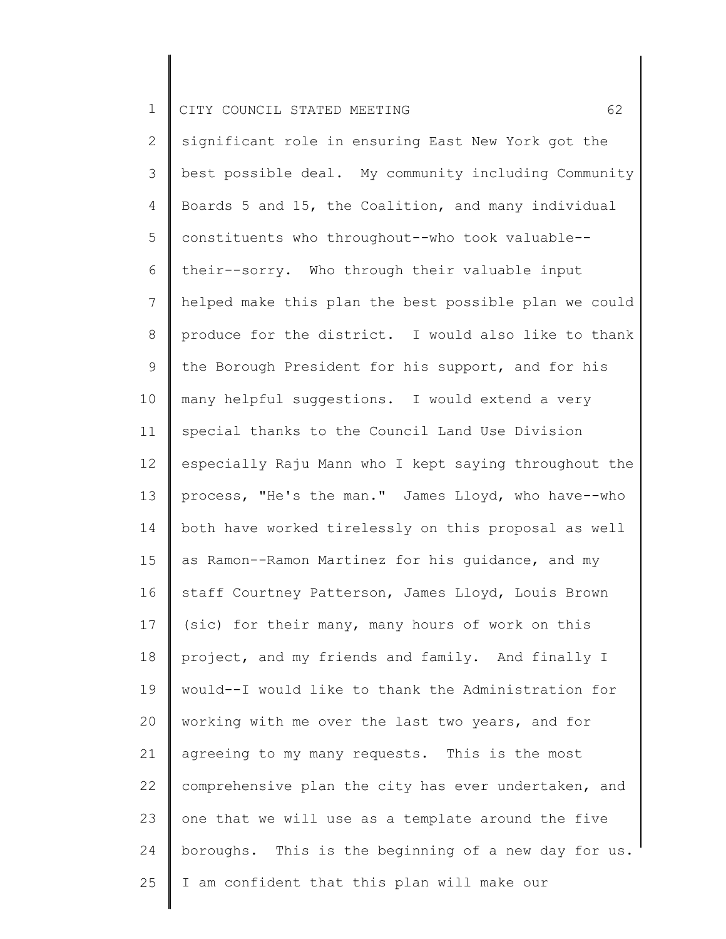2 3 4 5 6 7 8 9 10 11 12 13 14 15 16 17 18 19 20 21 22 23 24 25 significant role in ensuring East New York got the best possible deal. My community including Community Boards 5 and 15, the Coalition, and many individual constituents who throughout--who took valuable- their--sorry. Who through their valuable input helped make this plan the best possible plan we could produce for the district. I would also like to thank the Borough President for his support, and for his many helpful suggestions. I would extend a very special thanks to the Council Land Use Division especially Raju Mann who I kept saying throughout the process, "He's the man." James Lloyd, who have--who both have worked tirelessly on this proposal as well as Ramon--Ramon Martinez for his guidance, and my staff Courtney Patterson, James Lloyd, Louis Brown (sic) for their many, many hours of work on this project, and my friends and family. And finally I would--I would like to thank the Administration for working with me over the last two years, and for agreeing to my many requests. This is the most comprehensive plan the city has ever undertaken, and one that we will use as a template around the five boroughs. This is the beginning of a new day for us. I am confident that this plan will make our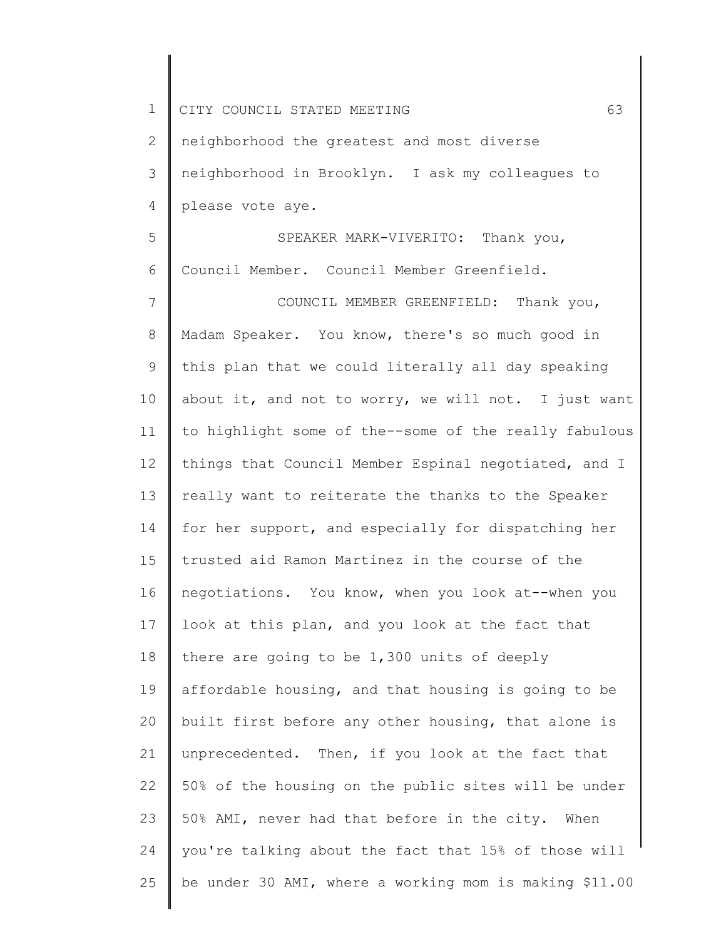| $\mathbf 1$    | 63<br>CITY COUNCIL STATED MEETING                      |
|----------------|--------------------------------------------------------|
| $\mathbf{2}$   | neighborhood the greatest and most diverse             |
| 3              | neighborhood in Brooklyn. I ask my colleagues to       |
| 4              | please vote aye.                                       |
| 5              | SPEAKER MARK-VIVERITO: Thank you,                      |
| 6              | Council Member. Council Member Greenfield.             |
| $\overline{7}$ | COUNCIL MEMBER GREENFIELD: Thank you,                  |
| $\,8\,$        | Madam Speaker. You know, there's so much good in       |
| $\mathsf 9$    | this plan that we could literally all day speaking     |
| 10             | about it, and not to worry, we will not. I just want   |
| 11             | to highlight some of the--some of the really fabulous  |
| 12             | things that Council Member Espinal negotiated, and I   |
| 13             | really want to reiterate the thanks to the Speaker     |
| 14             | for her support, and especially for dispatching her    |
| 15             | trusted aid Ramon Martinez in the course of the        |
| 16             | negotiations. You know, when you look at--when you     |
| 17             | look at this plan, and you look at the fact that       |
| 18             | there are going to be 1,300 units of deeply            |
| 19             | affordable housing, and that housing is going to be    |
| 20             | built first before any other housing, that alone is    |
| 21             | unprecedented. Then, if you look at the fact that      |
| 22             | 50% of the housing on the public sites will be under   |
| 23             | 50% AMI, never had that before in the city. When       |
| 24             | you're talking about the fact that 15% of those will   |
| 25             | be under 30 AMI, where a working mom is making \$11.00 |
|                |                                                        |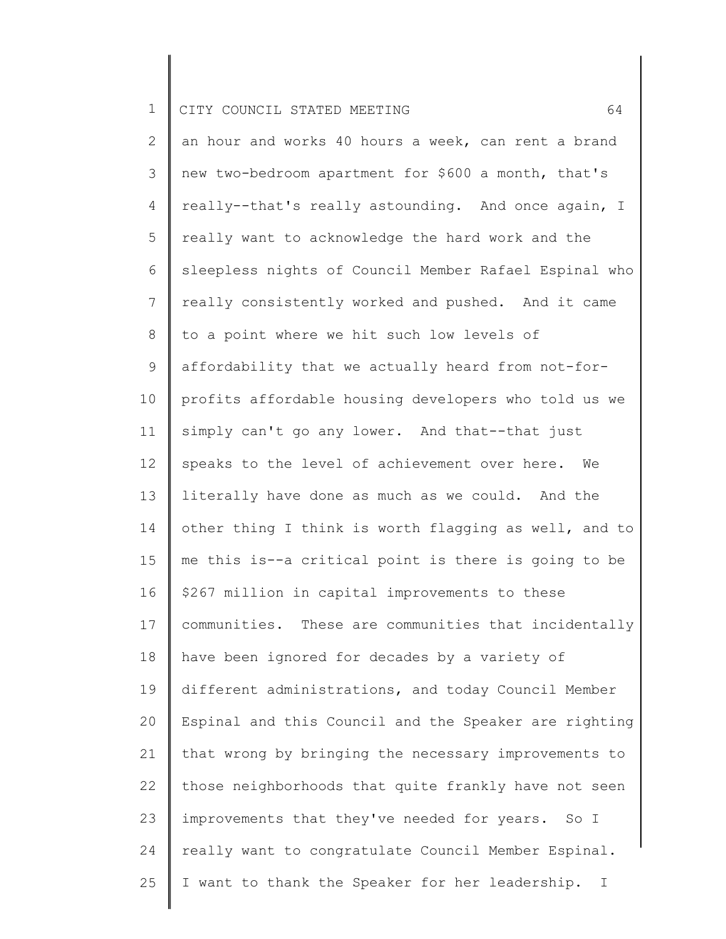2 3 4 5 6 7 8 9 10 11 12 13 14 15 16 17 18 19 20 21 22 23 24 25 an hour and works 40 hours a week, can rent a brand new two-bedroom apartment for \$600 a month, that's really--that's really astounding. And once again, I really want to acknowledge the hard work and the sleepless nights of Council Member Rafael Espinal who really consistently worked and pushed. And it came to a point where we hit such low levels of affordability that we actually heard from not-forprofits affordable housing developers who told us we simply can't go any lower. And that--that just speaks to the level of achievement over here. We literally have done as much as we could. And the other thing I think is worth flagging as well, and to me this is--a critical point is there is going to be \$267 million in capital improvements to these communities. These are communities that incidentally have been ignored for decades by a variety of different administrations, and today Council Member Espinal and this Council and the Speaker are righting that wrong by bringing the necessary improvements to those neighborhoods that quite frankly have not seen improvements that they've needed for years. So I really want to congratulate Council Member Espinal. I want to thank the Speaker for her leadership. I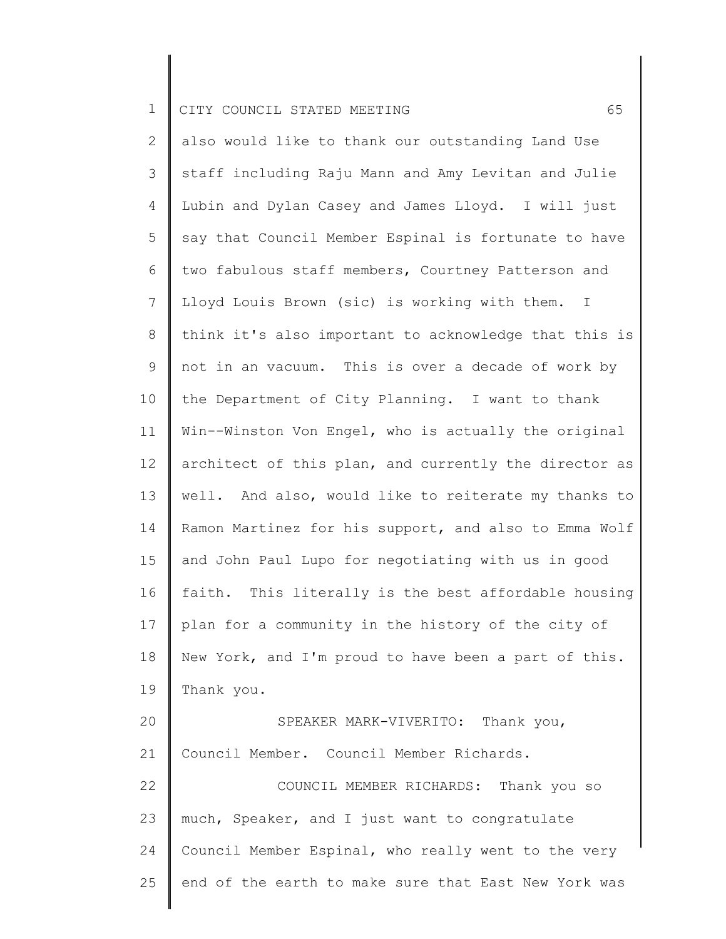2 3 4 5 6 7 8 9 10 11 12 13 14 15 16 17 18 19 20 21 22 23 24 25 also would like to thank our outstanding Land Use staff including Raju Mann and Amy Levitan and Julie Lubin and Dylan Casey and James Lloyd. I will just say that Council Member Espinal is fortunate to have two fabulous staff members, Courtney Patterson and Lloyd Louis Brown (sic) is working with them. I think it's also important to acknowledge that this is not in an vacuum. This is over a decade of work by the Department of City Planning. I want to thank Win--Winston Von Engel, who is actually the original architect of this plan, and currently the director as well. And also, would like to reiterate my thanks to Ramon Martinez for his support, and also to Emma Wolf and John Paul Lupo for negotiating with us in good faith. This literally is the best affordable housing plan for a community in the history of the city of New York, and I'm proud to have been a part of this. Thank you. SPEAKER MARK-VIVERITO: Thank you, Council Member. Council Member Richards. COUNCIL MEMBER RICHARDS: Thank you so much, Speaker, and I just want to congratulate Council Member Espinal, who really went to the very end of the earth to make sure that East New York was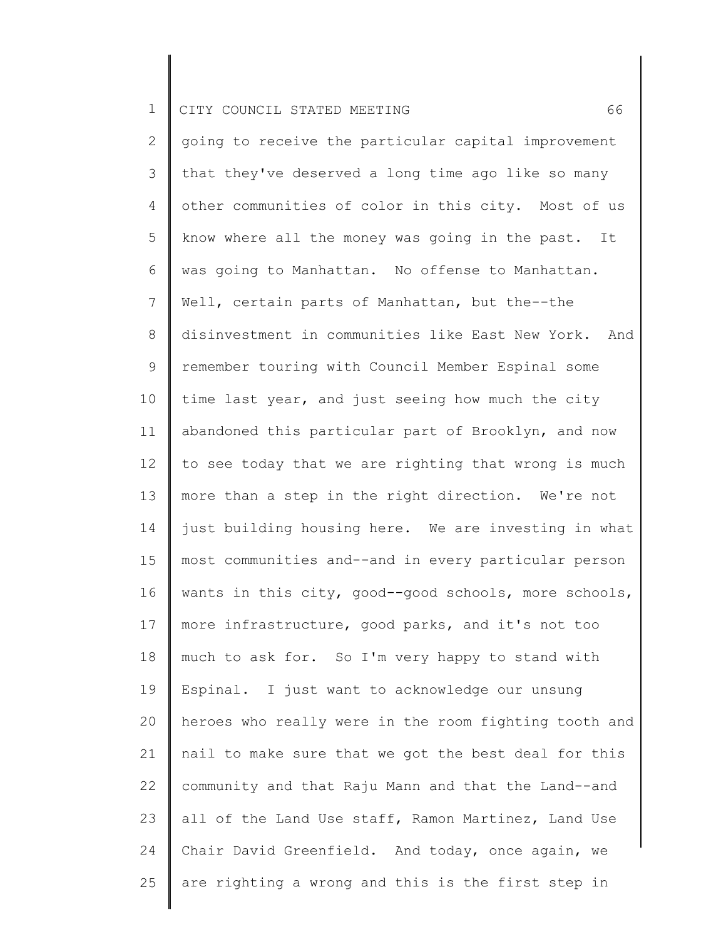2 3 4 5 6 7 8 9 10 11 12 13 14 15 16 17 18 19 20 21 22 23 24 25 going to receive the particular capital improvement that they've deserved a long time ago like so many other communities of color in this city. Most of us know where all the money was going in the past. It was going to Manhattan. No offense to Manhattan. Well, certain parts of Manhattan, but the--the disinvestment in communities like East New York. And remember touring with Council Member Espinal some time last year, and just seeing how much the city abandoned this particular part of Brooklyn, and now to see today that we are righting that wrong is much more than a step in the right direction. We're not just building housing here. We are investing in what most communities and--and in every particular person wants in this city, good--good schools, more schools, more infrastructure, good parks, and it's not too much to ask for. So I'm very happy to stand with Espinal. I just want to acknowledge our unsung heroes who really were in the room fighting tooth and nail to make sure that we got the best deal for this community and that Raju Mann and that the Land--and all of the Land Use staff, Ramon Martinez, Land Use Chair David Greenfield. And today, once again, we are righting a wrong and this is the first step in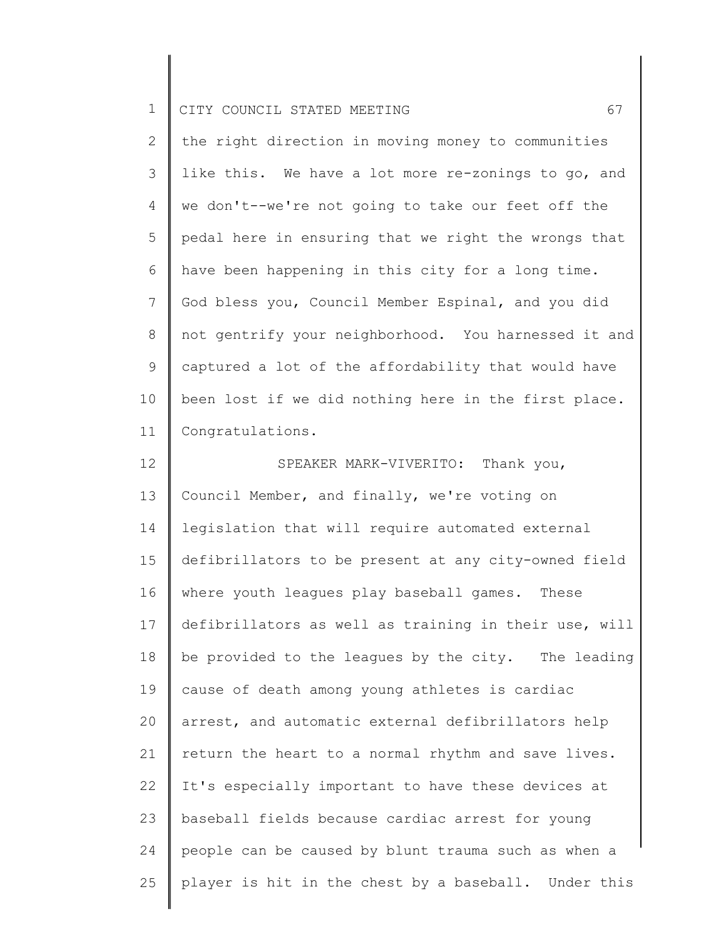| ᆠ |  | I CITY COUNCIL STATED MEETING |  |  |  |  |  |
|---|--|-------------------------------|--|--|--|--|--|
|---|--|-------------------------------|--|--|--|--|--|

2 3 4 5 6 7 8 9 10 11 the right direction in moving money to communities like this. We have a lot more re-zonings to go, and we don't--we're not going to take our feet off the pedal here in ensuring that we right the wrongs that have been happening in this city for a long time. God bless you, Council Member Espinal, and you did not gentrify your neighborhood. You harnessed it and captured a lot of the affordability that would have been lost if we did nothing here in the first place. Congratulations.

12 13 14 15 16 17 18 19 20 21 22 23 24 25 SPEAKER MARK-VIVERITO: Thank you, Council Member, and finally, we're voting on legislation that will require automated external defibrillators to be present at any city-owned field where youth leagues play baseball games. These defibrillators as well as training in their use, will be provided to the leagues by the city. The leading cause of death among young athletes is cardiac arrest, and automatic external defibrillators help return the heart to a normal rhythm and save lives. It's especially important to have these devices at baseball fields because cardiac arrest for young people can be caused by blunt trauma such as when a player is hit in the chest by a baseball. Under this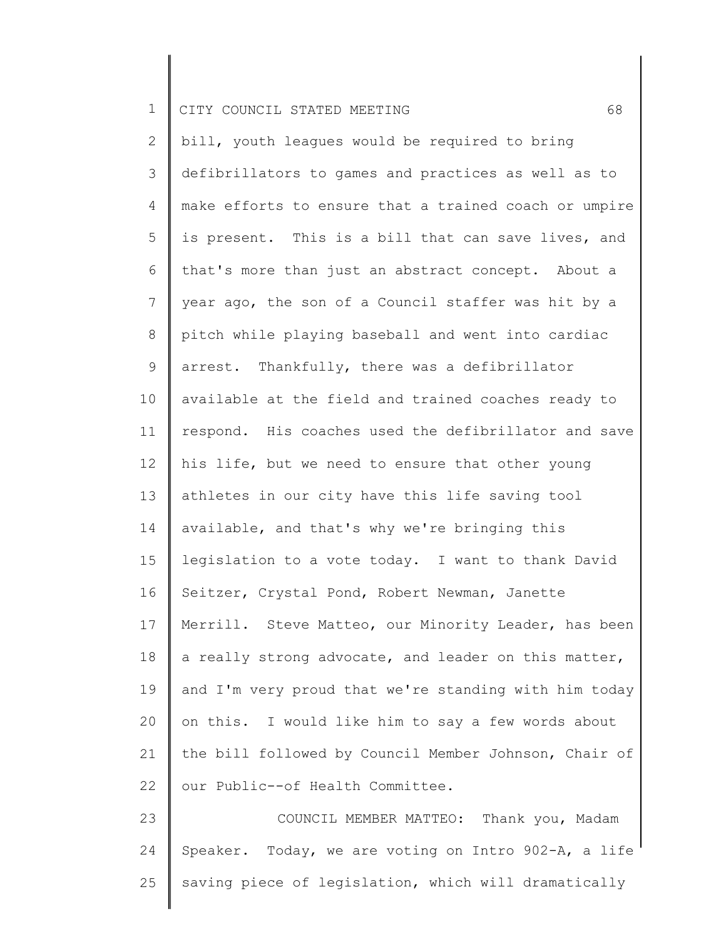| .   CITY COUNCIL STATED MEETING |  |
|---------------------------------|--|
|---------------------------------|--|

2 3 4 5 6 7 8 9 10 11 12 13 14 15 16 17 18 19 20 21 22 23 bill, youth leagues would be required to bring defibrillators to games and practices as well as to make efforts to ensure that a trained coach or umpire is present. This is a bill that can save lives, and that's more than just an abstract concept. About a year ago, the son of a Council staffer was hit by a pitch while playing baseball and went into cardiac arrest. Thankfully, there was a defibrillator available at the field and trained coaches ready to respond. His coaches used the defibrillator and save his life, but we need to ensure that other young athletes in our city have this life saving tool available, and that's why we're bringing this legislation to a vote today. I want to thank David Seitzer, Crystal Pond, Robert Newman, Janette Merrill. Steve Matteo, our Minority Leader, has been a really strong advocate, and leader on this matter, and I'm very proud that we're standing with him today on this. I would like him to say a few words about the bill followed by Council Member Johnson, Chair of our Public--of Health Committee. COUNCIL MEMBER MATTEO: Thank you, Madam

24 25 Speaker. Today, we are voting on Intro 902-A, a life saving piece of legislation, which will dramatically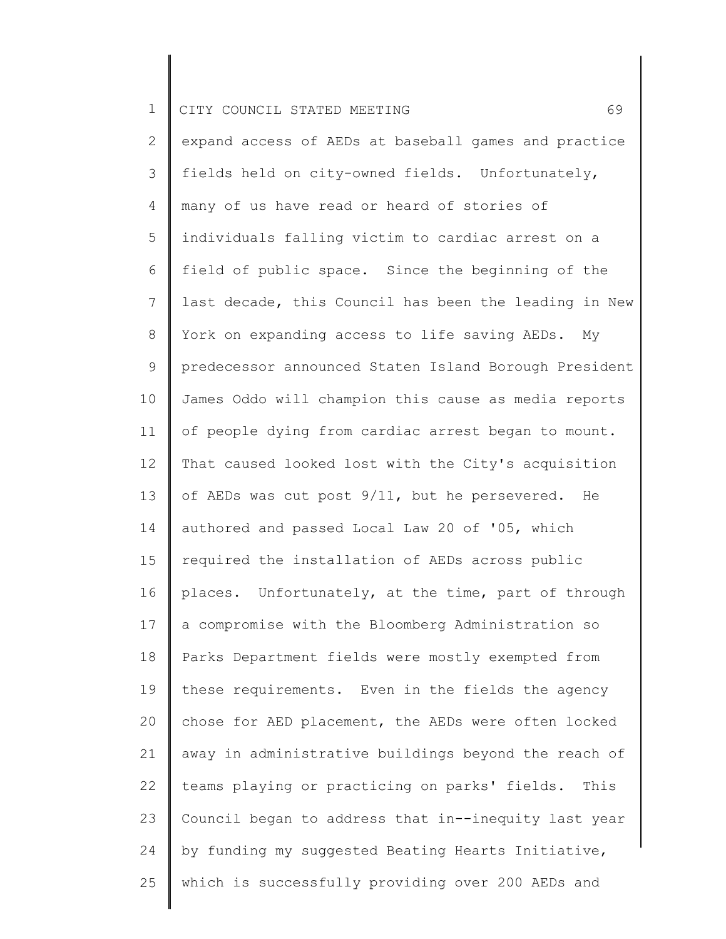2 3 4 5 6 7 8 9 10 11 12 13 14 15 16 17 18 19 20 21 22 23 24 25 expand access of AEDs at baseball games and practice fields held on city-owned fields. Unfortunately, many of us have read or heard of stories of individuals falling victim to cardiac arrest on a field of public space. Since the beginning of the last decade, this Council has been the leading in New York on expanding access to life saving AEDs. My predecessor announced Staten Island Borough President James Oddo will champion this cause as media reports of people dying from cardiac arrest began to mount. That caused looked lost with the City's acquisition of AEDs was cut post 9/11, but he persevered. He authored and passed Local Law 20 of '05, which required the installation of AEDs across public places. Unfortunately, at the time, part of through a compromise with the Bloomberg Administration so Parks Department fields were mostly exempted from these requirements. Even in the fields the agency chose for AED placement, the AEDs were often locked away in administrative buildings beyond the reach of teams playing or practicing on parks' fields. This Council began to address that in--inequity last year by funding my suggested Beating Hearts Initiative, which is successfully providing over 200 AEDs and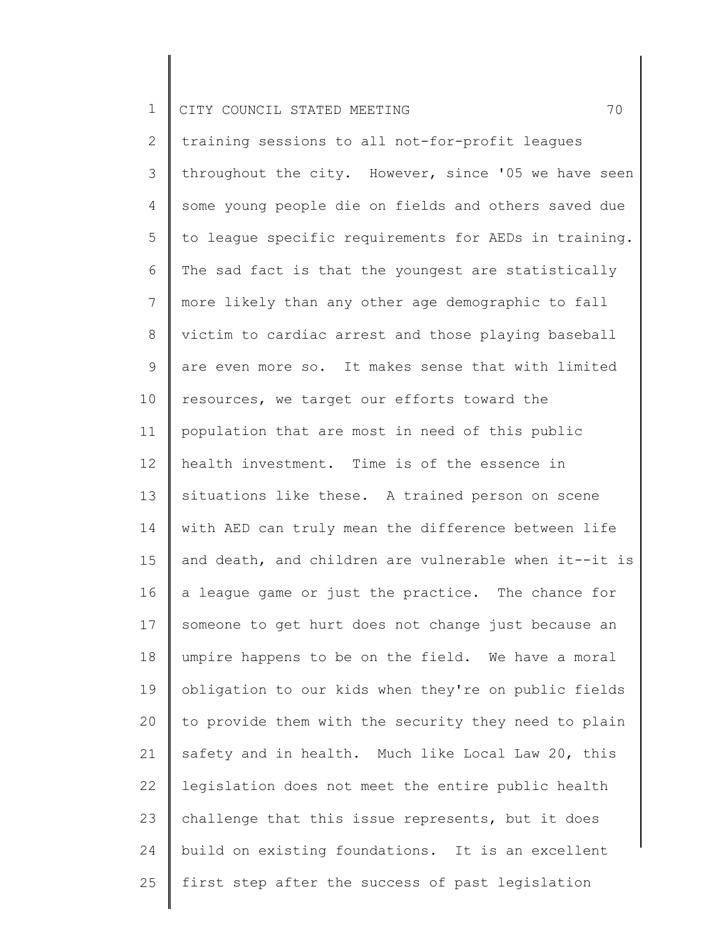2 3 4 5 6 7 8 9 10 11 12 13 14 15 16 17 18 19 20 21 22 23 24 25 training sessions to all not-for-profit leagues throughout the city. However, since '05 we have seen some young people die on fields and others saved due to league specific requirements for AEDs in training. The sad fact is that the youngest are statistically more likely than any other age demographic to fall victim to cardiac arrest and those playing baseball are even more so. It makes sense that with limited resources, we target our efforts toward the population that are most in need of this public health investment. Time is of the essence in situations like these. A trained person on scene with AED can truly mean the difference between life and death, and children are vulnerable when it--it is a league game or just the practice. The chance for someone to get hurt does not change just because an umpire happens to be on the field. We have a moral obligation to our kids when they're on public fields to provide them with the security they need to plain safety and in health. Much like Local Law 20, this legislation does not meet the entire public health challenge that this issue represents, but it does build on existing foundations. It is an excellent first step after the success of past legislation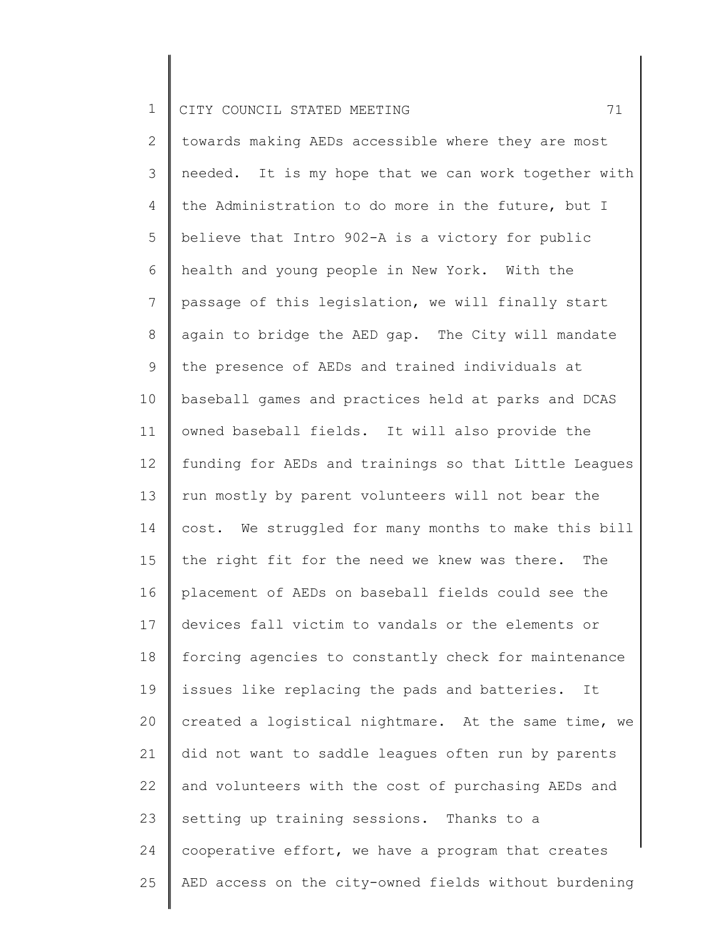2 3 4 5 6 7 8 9 10 11 12 13 14 15 16 17 18 19 20 21 22 23 24 25 towards making AEDs accessible where they are most needed. It is my hope that we can work together with the Administration to do more in the future, but I believe that Intro 902-A is a victory for public health and young people in New York. With the passage of this legislation, we will finally start again to bridge the AED gap. The City will mandate the presence of AEDs and trained individuals at baseball games and practices held at parks and DCAS owned baseball fields. It will also provide the funding for AEDs and trainings so that Little Leagues run mostly by parent volunteers will not bear the cost. We struggled for many months to make this bill the right fit for the need we knew was there. The placement of AEDs on baseball fields could see the devices fall victim to vandals or the elements or forcing agencies to constantly check for maintenance issues like replacing the pads and batteries. It created a logistical nightmare. At the same time, we did not want to saddle leagues often run by parents and volunteers with the cost of purchasing AEDs and setting up training sessions. Thanks to a cooperative effort, we have a program that creates AED access on the city-owned fields without burdening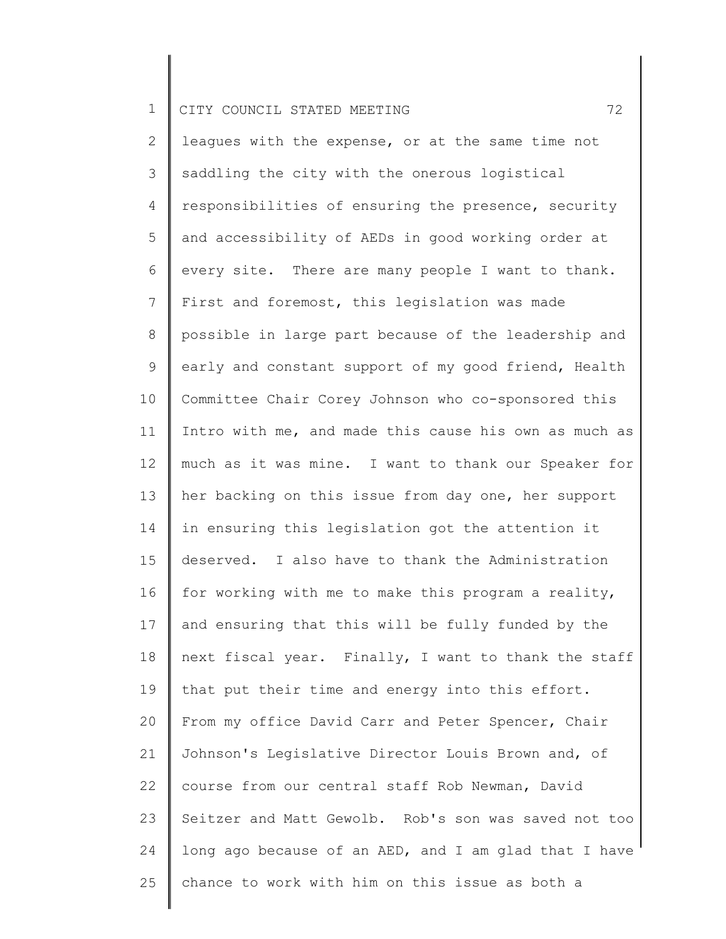2 3 4 5 6 7 8 9 10 11 12 13 14 15 16 17 18 19 20 21 22 23 24 25 leagues with the expense, or at the same time not saddling the city with the onerous logistical responsibilities of ensuring the presence, security and accessibility of AEDs in good working order at every site. There are many people I want to thank. First and foremost, this legislation was made possible in large part because of the leadership and early and constant support of my good friend, Health Committee Chair Corey Johnson who co-sponsored this Intro with me, and made this cause his own as much as much as it was mine. I want to thank our Speaker for her backing on this issue from day one, her support in ensuring this legislation got the attention it deserved. I also have to thank the Administration for working with me to make this program a reality, and ensuring that this will be fully funded by the next fiscal year. Finally, I want to thank the staff that put their time and energy into this effort. From my office David Carr and Peter Spencer, Chair Johnson's Legislative Director Louis Brown and, of course from our central staff Rob Newman, David Seitzer and Matt Gewolb. Rob's son was saved not too long ago because of an AED, and I am glad that I have chance to work with him on this issue as both a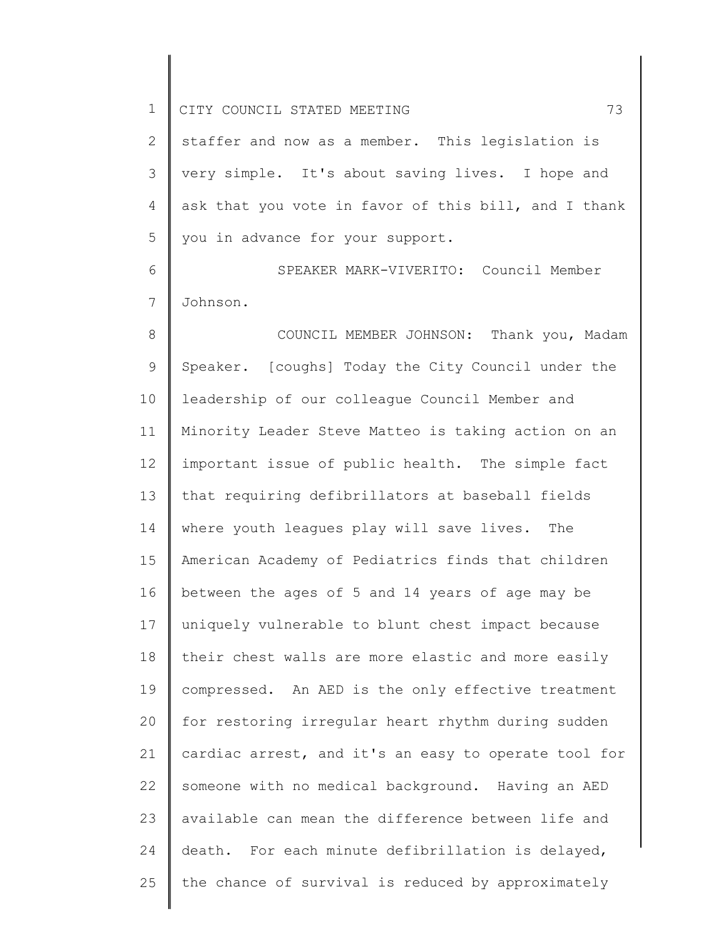2 3 4 5 staffer and now as a member. This legislation is very simple. It's about saving lives. I hope and ask that you vote in favor of this bill, and I thank you in advance for your support.

6 7 SPEAKER MARK-VIVERITO: Council Member Johnson.

8 9 10 11 12 13 14 15 16 17 18 19 20 21 22 23 24 25 COUNCIL MEMBER JOHNSON: Thank you, Madam Speaker. [coughs] Today the City Council under the leadership of our colleague Council Member and Minority Leader Steve Matteo is taking action on an important issue of public health. The simple fact that requiring defibrillators at baseball fields where youth leagues play will save lives. The American Academy of Pediatrics finds that children between the ages of 5 and 14 years of age may be uniquely vulnerable to blunt chest impact because their chest walls are more elastic and more easily compressed. An AED is the only effective treatment for restoring irregular heart rhythm during sudden cardiac arrest, and it's an easy to operate tool for someone with no medical background. Having an AED available can mean the difference between life and death. For each minute defibrillation is delayed, the chance of survival is reduced by approximately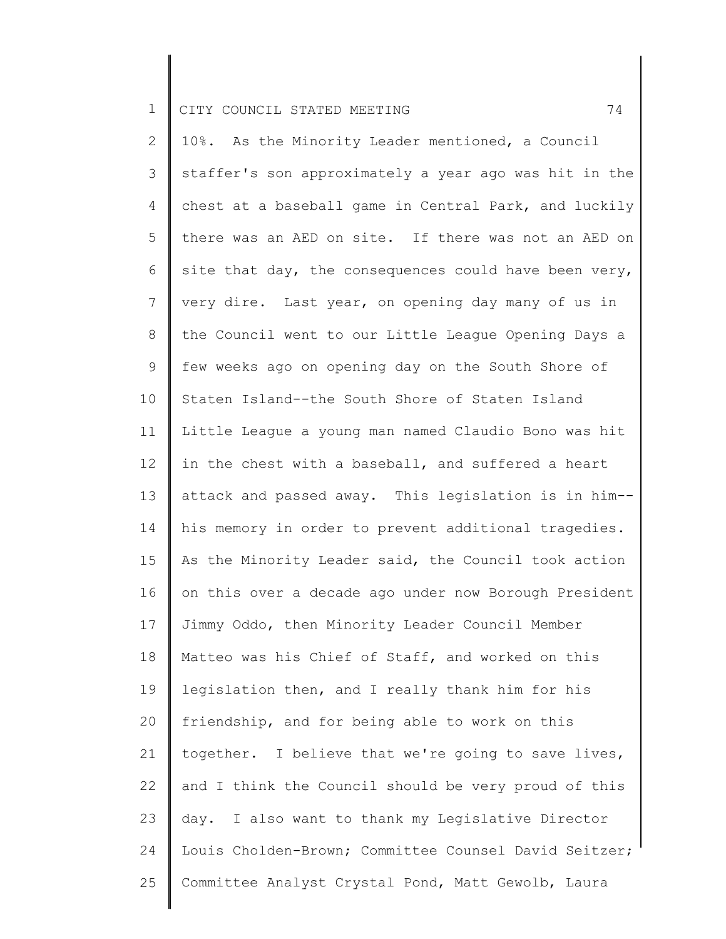2 3 4 5 6 7 8 9 10 11 12 13 14 15 16 17 18 19 20 21 22 23 24 25 10%. As the Minority Leader mentioned, a Council staffer's son approximately a year ago was hit in the chest at a baseball game in Central Park, and luckily there was an AED on site. If there was not an AED on site that day, the consequences could have been  $very,$ very dire. Last year, on opening day many of us in the Council went to our Little League Opening Days a few weeks ago on opening day on the South Shore of Staten Island--the South Shore of Staten Island Little League a young man named Claudio Bono was hit in the chest with a baseball, and suffered a heart attack and passed away. This legislation is in him- his memory in order to prevent additional tragedies. As the Minority Leader said, the Council took action on this over a decade ago under now Borough President Jimmy Oddo, then Minority Leader Council Member Matteo was his Chief of Staff, and worked on this legislation then, and I really thank him for his friendship, and for being able to work on this together. I believe that we're going to save lives, and I think the Council should be very proud of this day. I also want to thank my Legislative Director Louis Cholden-Brown; Committee Counsel David Seitzer; Committee Analyst Crystal Pond, Matt Gewolb, Laura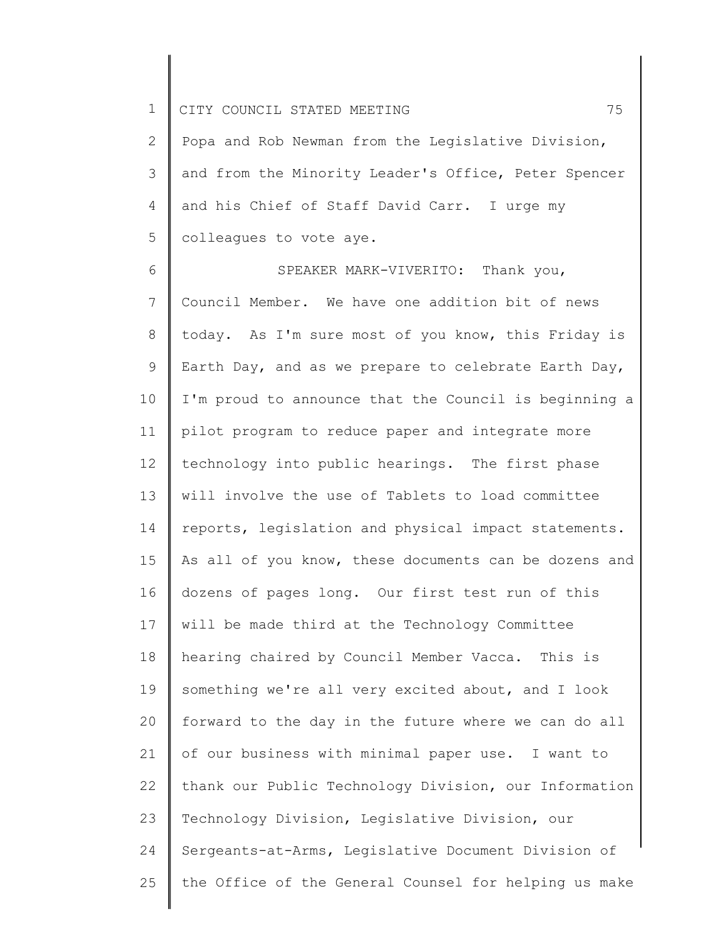2 3 4 5 Popa and Rob Newman from the Legislative Division, and from the Minority Leader's Office, Peter Spencer and his Chief of Staff David Carr. I urge my colleagues to vote aye.

6 7 8 9 10 11 12 13 14 15 16 17 18 19 20 21 22 23 24 25 SPEAKER MARK-VIVERITO: Thank you, Council Member. We have one addition bit of news today. As I'm sure most of you know, this Friday is Earth Day, and as we prepare to celebrate Earth Day, I'm proud to announce that the Council is beginning a pilot program to reduce paper and integrate more technology into public hearings. The first phase will involve the use of Tablets to load committee reports, legislation and physical impact statements. As all of you know, these documents can be dozens and dozens of pages long. Our first test run of this will be made third at the Technology Committee hearing chaired by Council Member Vacca. This is something we're all very excited about, and I look forward to the day in the future where we can do all of our business with minimal paper use. I want to thank our Public Technology Division, our Information Technology Division, Legislative Division, our Sergeants-at-Arms, Legislative Document Division of the Office of the General Counsel for helping us make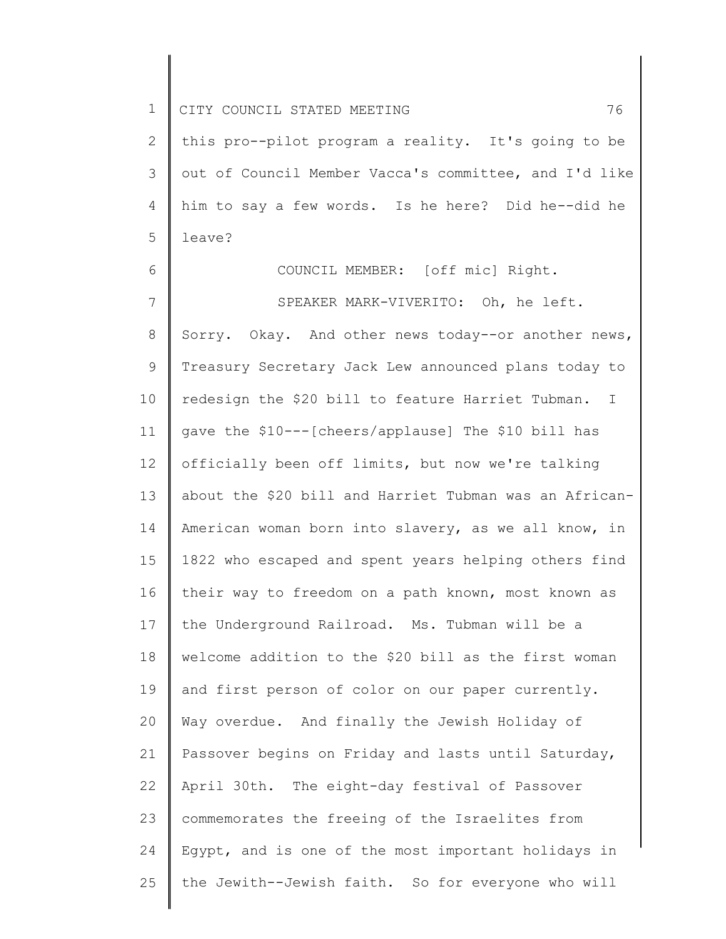| $\mathbf 1$  | 76<br>CITY COUNCIL STATED MEETING                      |
|--------------|--------------------------------------------------------|
| $\mathbf{2}$ | this pro--pilot program a reality. It's going to be    |
| 3            | out of Council Member Vacca's committee, and I'd like  |
| 4            | him to say a few words. Is he here? Did he--did he     |
| 5            | leave?                                                 |
| 6            | COUNCIL MEMBER: [off mic] Right.                       |
| 7            | SPEAKER MARK-VIVERITO: Oh, he left.                    |
| 8            | Sorry. Okay. And other news today--or another news,    |
| 9            | Treasury Secretary Jack Lew announced plans today to   |
| 10           | redesign the \$20 bill to feature Harriet Tubman. I    |
| 11           | gave the \$10 --- [cheers/applause] The \$10 bill has  |
| 12           | officially been off limits, but now we're talking      |
| 13           | about the \$20 bill and Harriet Tubman was an African- |
| 14           | American woman born into slavery, as we all know, in   |
| 15           | 1822 who escaped and spent years helping others find   |
| 16           | their way to freedom on a path known, most known as    |
| 17           | the Underground Railroad. Ms. Tubman will be a         |
| 18           | welcome addition to the \$20 bill as the first woman   |
| 19           | and first person of color on our paper currently.      |
| 20           | Way overdue. And finally the Jewish Holiday of         |
| 21           | Passover begins on Friday and lasts until Saturday,    |
| 22           | April 30th. The eight-day festival of Passover         |
| 23           | commemorates the freeing of the Israelites from        |
| 24           | Egypt, and is one of the most important holidays in    |
| 25           | the Jewith--Jewish faith. So for everyone who will     |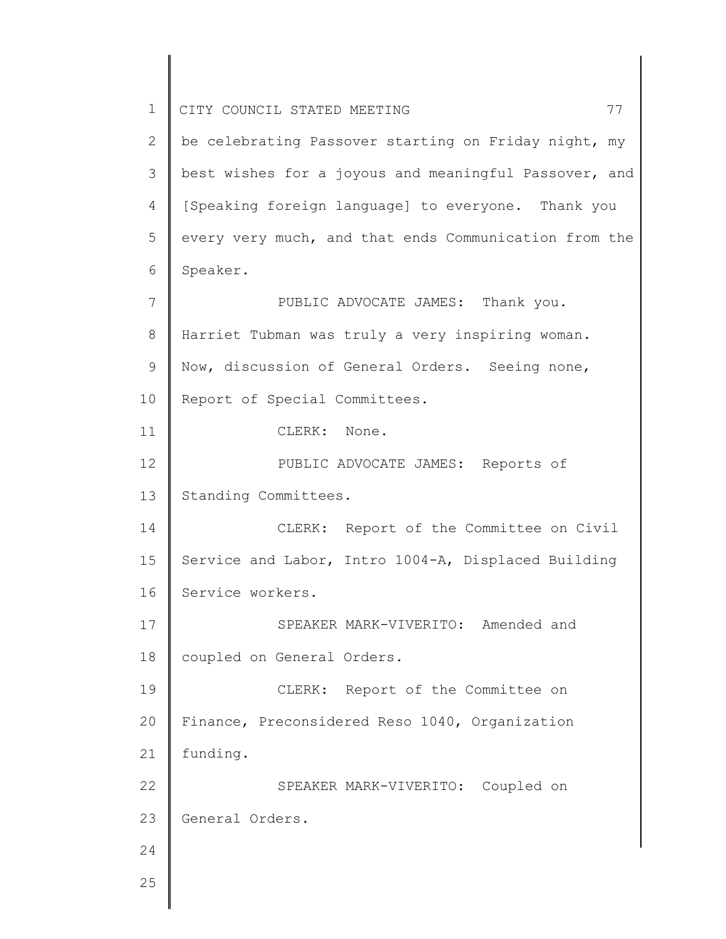1 2 3 4 5 6 7 8 9 10 11 12 13 14 15 16 17 18 19 20 21 22 23 24 25 CITY COUNCIL STATED MEETING 77 be celebrating Passover starting on Friday night, my best wishes for a joyous and meaningful Passover, and [Speaking foreign language] to everyone. Thank you every very much, and that ends Communication from the Speaker. PUBLIC ADVOCATE JAMES: Thank you. Harriet Tubman was truly a very inspiring woman. Now, discussion of General Orders. Seeing none, Report of Special Committees. CLERK: None. PUBLIC ADVOCATE JAMES: Reports of Standing Committees. CLERK: Report of the Committee on Civil Service and Labor, Intro 1004-A, Displaced Building Service workers. SPEAKER MARK-VIVERITO: Amended and coupled on General Orders. CLERK: Report of the Committee on Finance, Preconsidered Reso 1040, Organization funding. SPEAKER MARK-VIVERITO: Coupled on General Orders.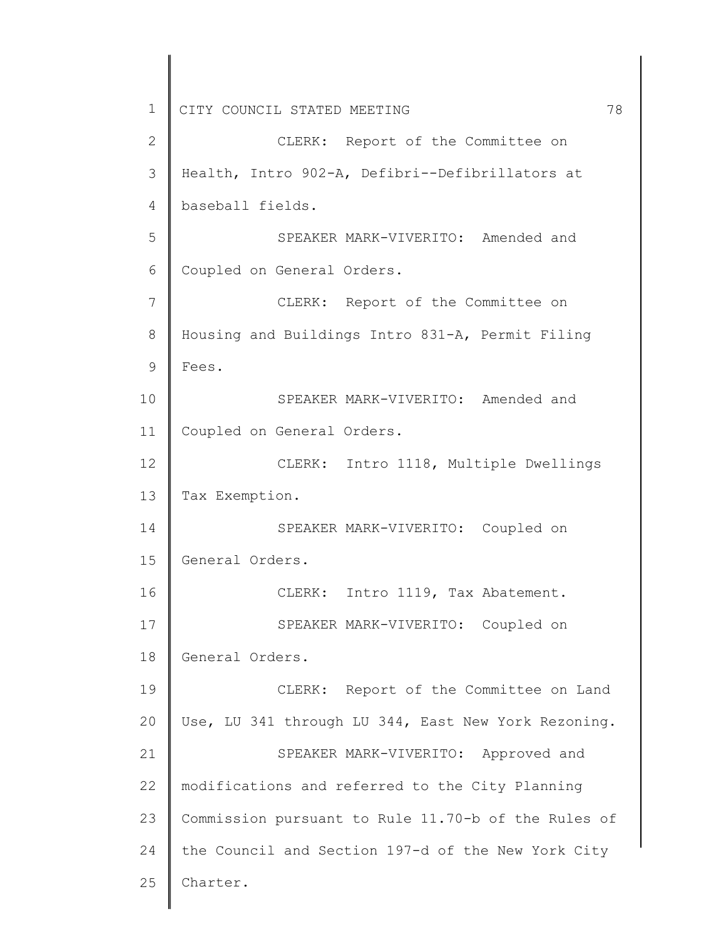1 2 3 4 5 6 7 8 9 10 11 12 13 14 15 16 17 18 19 20 21 22 23 24 25 CITY COUNCIL STATED MEETING 78 CLERK: Report of the Committee on Health, Intro 902-A, Defibri--Defibrillators at baseball fields. SPEAKER MARK-VIVERITO: Amended and Coupled on General Orders. CLERK: Report of the Committee on Housing and Buildings Intro 831-A, Permit Filing Fees. SPEAKER MARK-VIVERITO: Amended and Coupled on General Orders. CLERK: Intro 1118, Multiple Dwellings Tax Exemption. SPEAKER MARK-VIVERITO: Coupled on General Orders. CLERK: Intro 1119, Tax Abatement. SPEAKER MARK-VIVERITO: Coupled on General Orders. CLERK: Report of the Committee on Land Use, LU 341 through LU 344, East New York Rezoning. SPEAKER MARK-VIVERITO: Approved and modifications and referred to the City Planning Commission pursuant to Rule 11.70-b of the Rules of the Council and Section 197-d of the New York City Charter.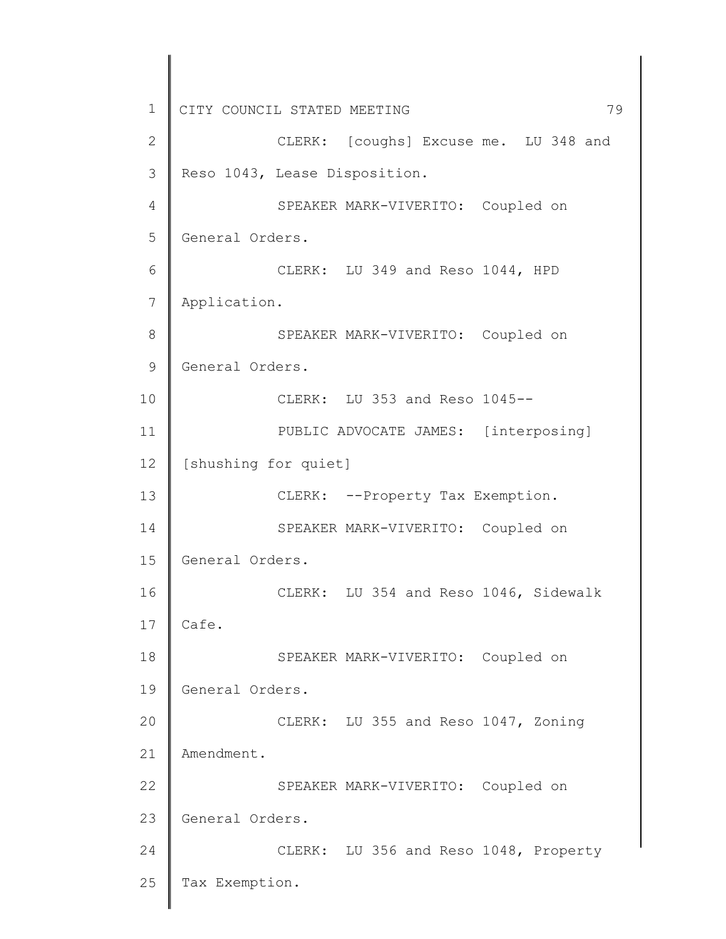1 2 3 4 5 6 7 8 9 10 11 12 13 14 15 16 17 18 19 20 21 22 23 24 25 CITY COUNCIL STATED MEETING 79 CLERK: [coughs] Excuse me. LU 348 and Reso 1043, Lease Disposition. SPEAKER MARK-VIVERITO: Coupled on General Orders. CLERK: LU 349 and Reso 1044, HPD Application. SPEAKER MARK-VIVERITO: Coupled on General Orders. CLERK: LU 353 and Reso 1045-- PUBLIC ADVOCATE JAMES: [interposing] [shushing for quiet] CLERK: --Property Tax Exemption. SPEAKER MARK-VIVERITO: Coupled on General Orders. CLERK: LU 354 and Reso 1046, Sidewalk Cafe. SPEAKER MARK-VIVERITO: Coupled on General Orders. CLERK: LU 355 and Reso 1047, Zoning Amendment. SPEAKER MARK-VIVERITO: Coupled on General Orders. CLERK: LU 356 and Reso 1048, Property Tax Exemption.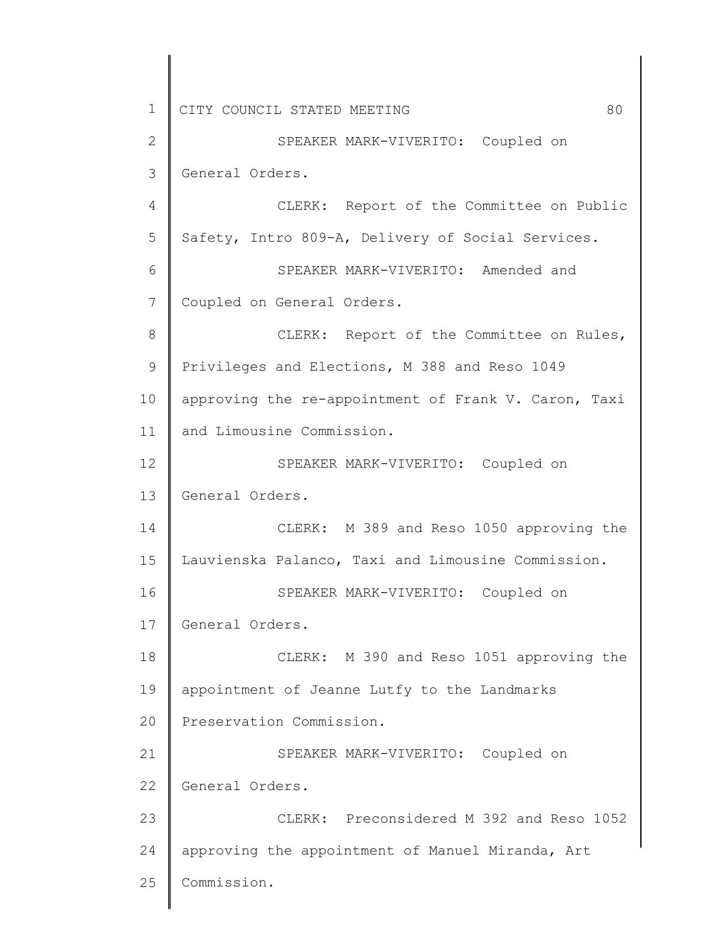1 2 3 4 5 6 7 8 9 10 11 12 13 14 15 16 17 18 19 20 21 22 23 24 25 CITY COUNCIL STATED MEETING 80 SPEAKER MARK-VIVERITO: Coupled on General Orders. CLERK: Report of the Committee on Public Safety, Intro 809-A, Delivery of Social Services. SPEAKER MARK-VIVERITO: Amended and Coupled on General Orders. CLERK: Report of the Committee on Rules, Privileges and Elections, M 388 and Reso 1049 approving the re-appointment of Frank V. Caron, Taxi and Limousine Commission. SPEAKER MARK-VIVERITO: Coupled on General Orders. CLERK: M 389 and Reso 1050 approving the Lauvienska Palanco, Taxi and Limousine Commission. SPEAKER MARK-VIVERITO: Coupled on General Orders. CLERK: M 390 and Reso 1051 approving the appointment of Jeanne Lutfy to the Landmarks Preservation Commission. SPEAKER MARK-VIVERITO: Coupled on General Orders. CLERK: Preconsidered M 392 and Reso 1052 approving the appointment of Manuel Miranda, Art Commission.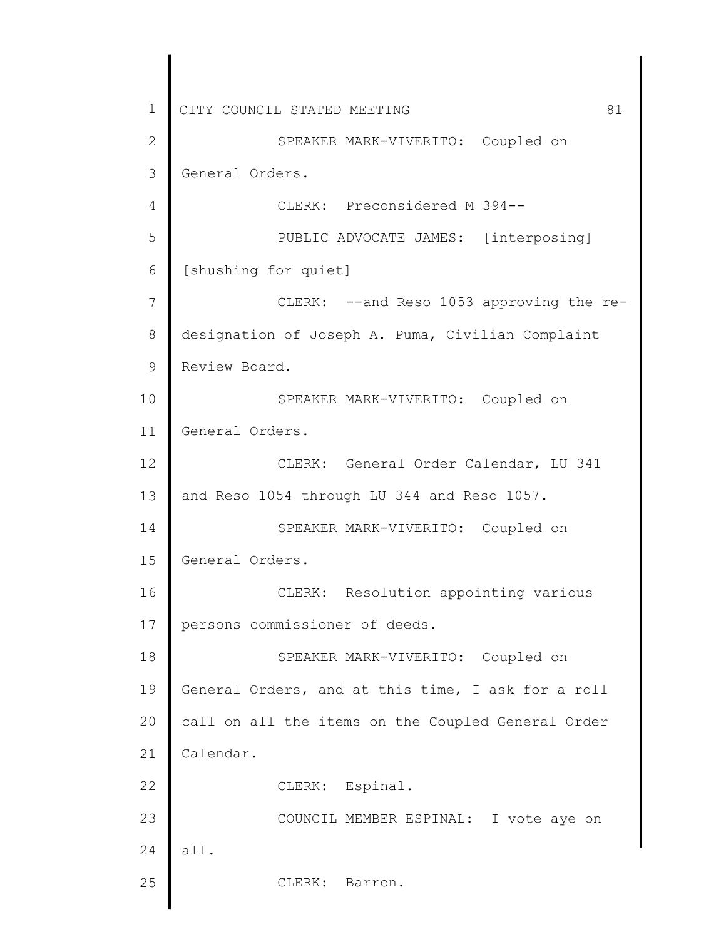1 2 3 4 5 6 7 8 9 10 11 12 13 14 15 16 17 18 19 20 21 22 23 24 25 CITY COUNCIL STATED MEETING 61 SPEAKER MARK-VIVERITO: Coupled on General Orders. CLERK: Preconsidered M 394-- PUBLIC ADVOCATE JAMES: [interposing] [shushing for quiet] CLERK: --and Reso 1053 approving the redesignation of Joseph A. Puma, Civilian Complaint Review Board. SPEAKER MARK-VIVERITO: Coupled on General Orders. CLERK: General Order Calendar, LU 341 and Reso 1054 through LU 344 and Reso 1057. SPEAKER MARK-VIVERITO: Coupled on General Orders. CLERK: Resolution appointing various persons commissioner of deeds. SPEAKER MARK-VIVERITO: Coupled on General Orders, and at this time, I ask for a roll call on all the items on the Coupled General Order Calendar. CLERK: Espinal. COUNCIL MEMBER ESPINAL: I vote aye on all. CLERK: Barron.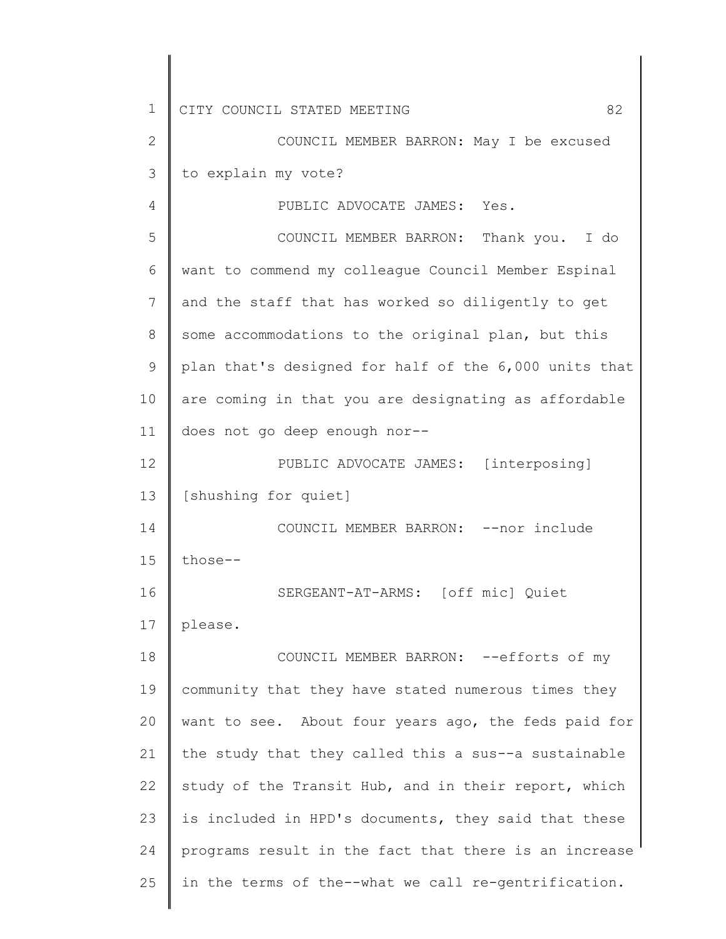1 2 3 4 5 6 7 8 9 10 11 12 13 14 15 16 17 18 19 20 21 22 23 24 25 CITY COUNCIL STATED MEETING 82 COUNCIL MEMBER BARRON: May I be excused to explain my vote? PUBLIC ADVOCATE JAMES: Yes. COUNCIL MEMBER BARRON: Thank you. I do want to commend my colleague Council Member Espinal and the staff that has worked so diligently to get some accommodations to the original plan, but this plan that's designed for half of the 6,000 units that are coming in that you are designating as affordable does not go deep enough nor-- PUBLIC ADVOCATE JAMES: [interposing] [shushing for quiet] COUNCIL MEMBER BARRON: --nor include those-- SERGEANT-AT-ARMS: [off mic] Quiet please. COUNCIL MEMBER BARRON: --efforts of my community that they have stated numerous times they want to see. About four years ago, the feds paid for the study that they called this a sus--a sustainable study of the Transit Hub, and in their report, which is included in HPD's documents, they said that these programs result in the fact that there is an increase in the terms of the--what we call re-gentrification.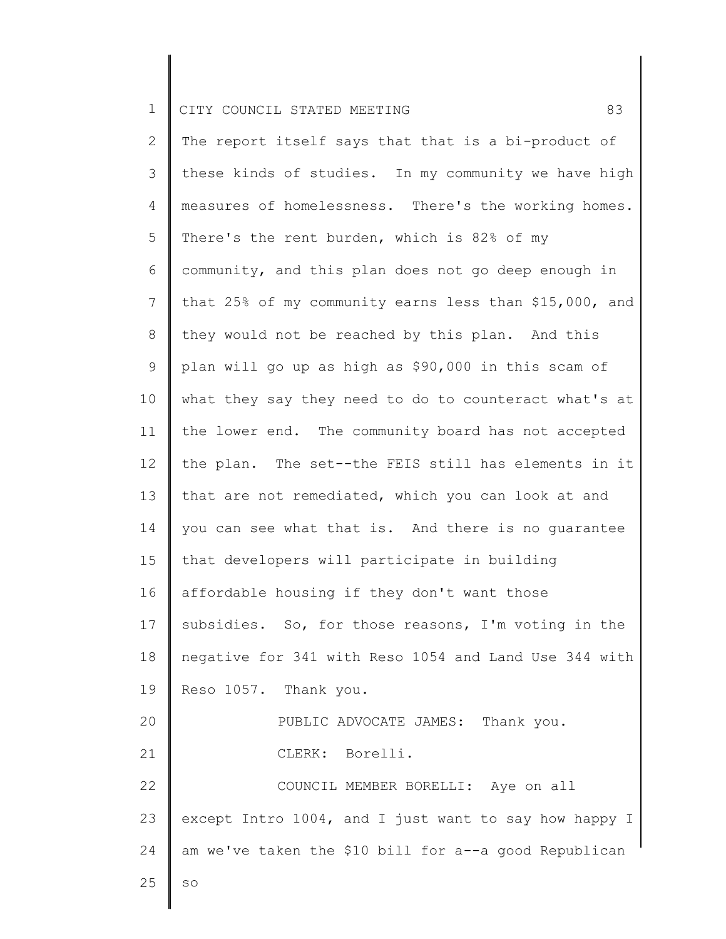2 3 4 5 6 7 8 9 10 11 12 13 14 15 16 17 18 19 20 21 22 23 24 25 The report itself says that that is a bi-product of these kinds of studies. In my community we have high measures of homelessness. There's the working homes. There's the rent burden, which is 82% of my community, and this plan does not go deep enough in that 25% of my community earns less than \$15,000, and they would not be reached by this plan. And this plan will go up as high as \$90,000 in this scam of what they say they need to do to counteract what's at the lower end. The community board has not accepted the plan. The set--the FEIS still has elements in it that are not remediated, which you can look at and you can see what that is. And there is no guarantee that developers will participate in building affordable housing if they don't want those subsidies. So, for those reasons, I'm voting in the negative for 341 with Reso 1054 and Land Use 344 with Reso 1057. Thank you. PUBLIC ADVOCATE JAMES: Thank you. CLERK: Borelli. COUNCIL MEMBER BORELLI: Aye on all except Intro 1004, and I just want to say how happy I am we've taken the \$10 bill for a--a good Republican so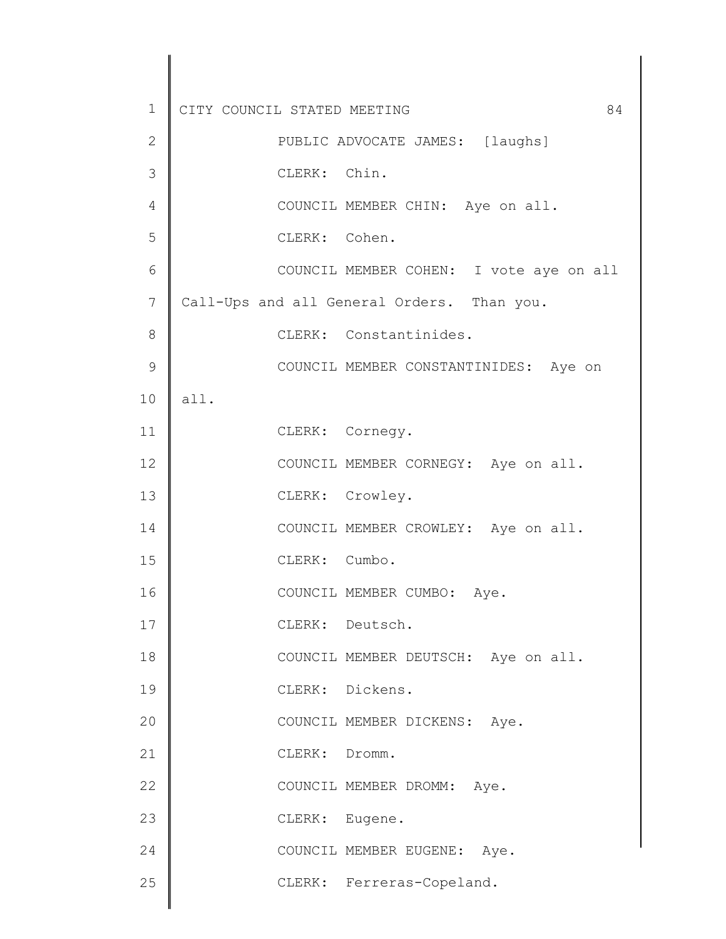| $\mathbf 1$ | CITY COUNCIL STATED MEETING<br>84          |
|-------------|--------------------------------------------|
| 2           | PUBLIC ADVOCATE JAMES: [laughs]            |
| 3           | CLERK: Chin.                               |
| 4           | COUNCIL MEMBER CHIN: Aye on all.           |
| 5           | CLERK: Cohen.                              |
| 6           | COUNCIL MEMBER COHEN: I vote aye on all    |
| 7           | Call-Ups and all General Orders. Than you. |
| 8           | CLERK: Constantinides.                     |
| 9           | COUNCIL MEMBER CONSTANTINIDES: Aye on      |
| 10          | all.                                       |
| 11          | CLERK: Cornegy.                            |
| 12          | COUNCIL MEMBER CORNEGY: Aye on all.        |
| 13          | CLERK: Crowley.                            |
| 14          | COUNCIL MEMBER CROWLEY: Aye on all.        |
| 15          | CLERK: Cumbo.                              |
| 16          | COUNCIL MEMBER CUMBO: Aye.                 |
| 17          | CLERK: Deutsch.                            |
| 18          | COUNCIL MEMBER DEUTSCH: Aye on all.        |
| 19          | CLERK: Dickens.                            |
| 20          | COUNCIL MEMBER DICKENS: Aye.               |
| 21          | CLERK: Dromm.                              |
| 22          | COUNCIL MEMBER DROMM: Aye.                 |
| 23          | CLERK: Eugene.                             |
| 24          | COUNCIL MEMBER EUGENE: Aye.                |
| 25          | CLERK: Ferreras-Copeland.                  |
|             |                                            |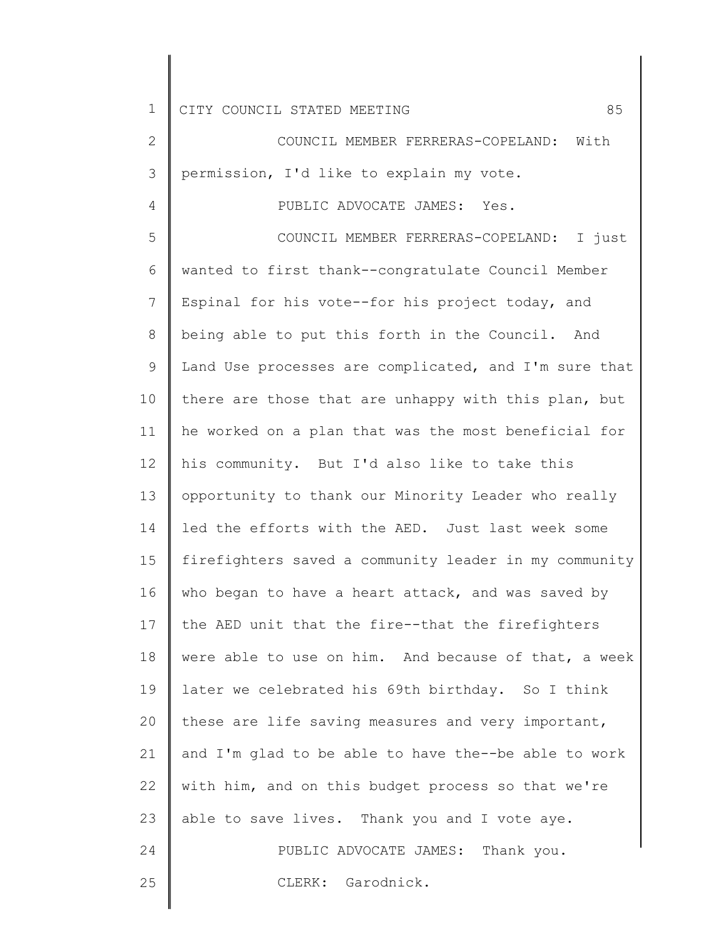4

2 3 COUNCIL MEMBER FERRERAS-COPELAND: With permission, I'd like to explain my vote.

## PUBLIC ADVOCATE JAMES: Yes.

5 6 7 8 9 10 11 12 13 14 15 16 17 18 19 20 21 22 23 24 25 COUNCIL MEMBER FERRERAS-COPELAND: I just wanted to first thank--congratulate Council Member Espinal for his vote--for his project today, and being able to put this forth in the Council. And Land Use processes are complicated, and I'm sure that there are those that are unhappy with this plan, but he worked on a plan that was the most beneficial for his community. But I'd also like to take this opportunity to thank our Minority Leader who really led the efforts with the AED. Just last week some firefighters saved a community leader in my community who began to have a heart attack, and was saved by the AED unit that the fire--that the firefighters were able to use on him. And because of that, a week later we celebrated his 69th birthday. So I think these are life saving measures and very important, and I'm glad to be able to have the--be able to work with him, and on this budget process so that we're able to save lives. Thank you and I vote aye. PUBLIC ADVOCATE JAMES: Thank you. CLERK: Garodnick.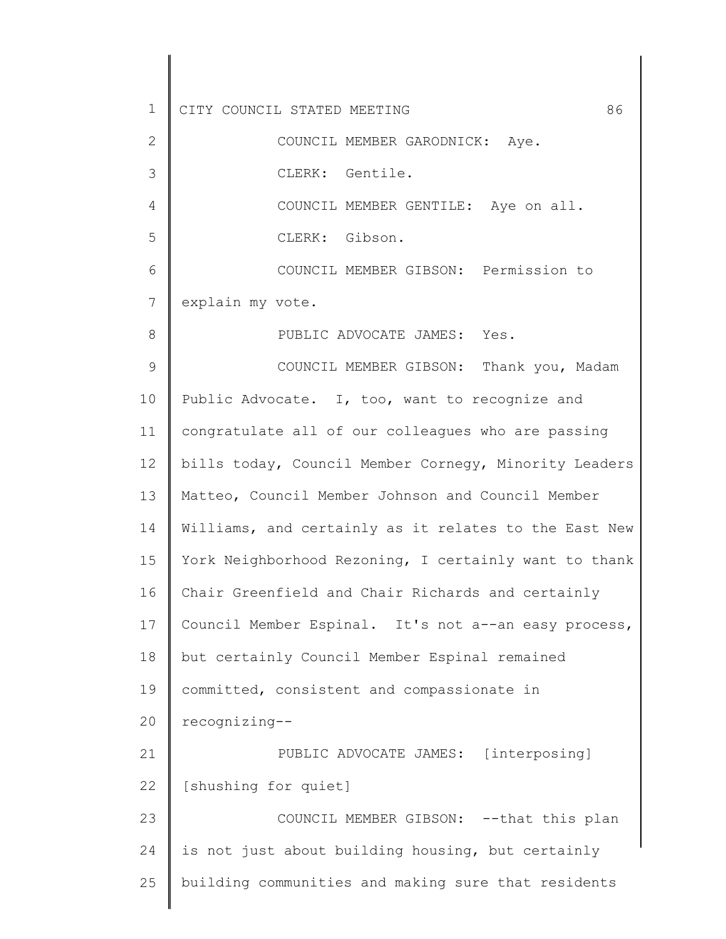1 2 3 4 5 6 7 8 9 10 11 12 13 14 15 16 17 18 19 20 21 22 23 24 25 CITY COUNCIL STATED MEETING 86 COUNCIL MEMBER GARODNICK: Aye. CLERK: Gentile. COUNCIL MEMBER GENTILE: Aye on all. CLERK: Gibson. COUNCIL MEMBER GIBSON: Permission to explain my vote. PUBLIC ADVOCATE JAMES: Yes. COUNCIL MEMBER GIBSON: Thank you, Madam Public Advocate. I, too, want to recognize and congratulate all of our colleagues who are passing bills today, Council Member Cornegy, Minority Leaders Matteo, Council Member Johnson and Council Member Williams, and certainly as it relates to the East New York Neighborhood Rezoning, I certainly want to thank Chair Greenfield and Chair Richards and certainly Council Member Espinal. It's not a--an easy process, but certainly Council Member Espinal remained committed, consistent and compassionate in recognizing-- PUBLIC ADVOCATE JAMES: [interposing] [shushing for quiet] COUNCIL MEMBER GIBSON: --that this plan is not just about building housing, but certainly building communities and making sure that residents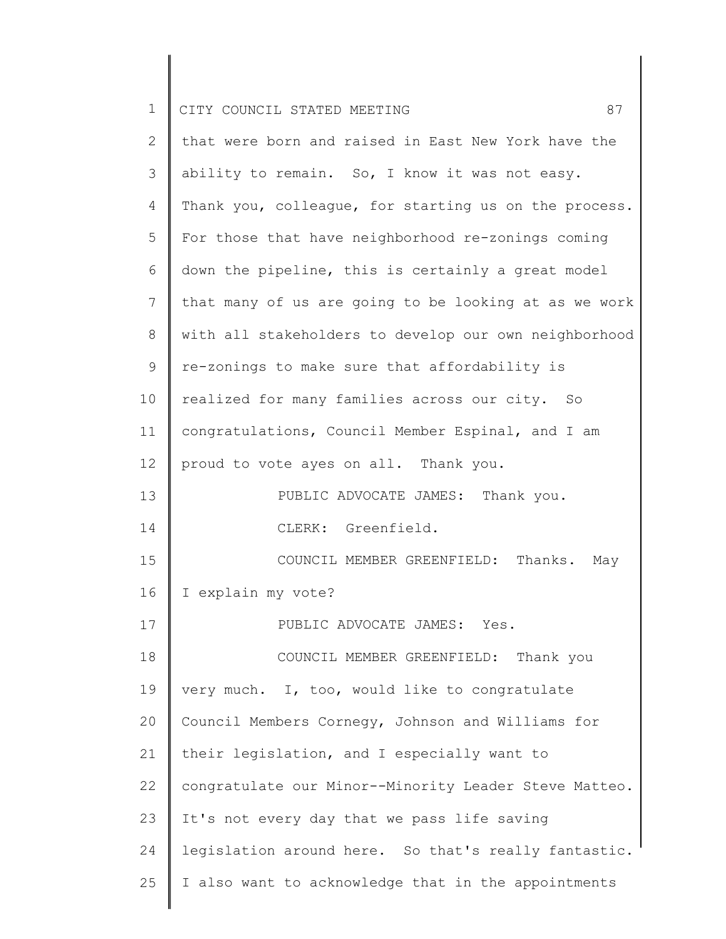|  | CITY COUNCIL STATED MEETING |  |  |  |
|--|-----------------------------|--|--|--|
|  |                             |  |  |  |

I

║

| $\overline{2}$ | that were born and raised in East New York have the   |
|----------------|-------------------------------------------------------|
| 3              | ability to remain. So, I know it was not easy.        |
| 4              | Thank you, colleague, for starting us on the process. |
| 5              | For those that have neighborhood re-zonings coming    |
| 6              | down the pipeline, this is certainly a great model    |
| 7              | that many of us are going to be looking at as we work |
| 8              | with all stakeholders to develop our own neighborhood |
| 9              | re-zonings to make sure that affordability is         |
| 10             | realized for many families across our city. So        |
| 11             | congratulations, Council Member Espinal, and I am     |
| 12             | proud to vote ayes on all. Thank you.                 |
| 13             | PUBLIC ADVOCATE JAMES: Thank you.                     |
| 14             | CLERK: Greenfield.                                    |
| 15             | COUNCIL MEMBER GREENFIELD: Thanks.<br>May             |
| 16             | I explain my vote?                                    |
| 17             | PUBLIC ADVOCATE JAMES: Yes.                           |
| 18             | COUNCIL MEMBER GREENFIELD: Thank you                  |
| 19             | very much. I, too, would like to congratulate         |
| 20             | Council Members Cornegy, Johnson and Williams for     |
| 21             | their legislation, and I especially want to           |
| 22             | congratulate our Minor--Minority Leader Steve Matteo. |
| 23             | It's not every day that we pass life saving           |
| 24             | legislation around here. So that's really fantastic.  |
| 25             | I also want to acknowledge that in the appointments   |
|                |                                                       |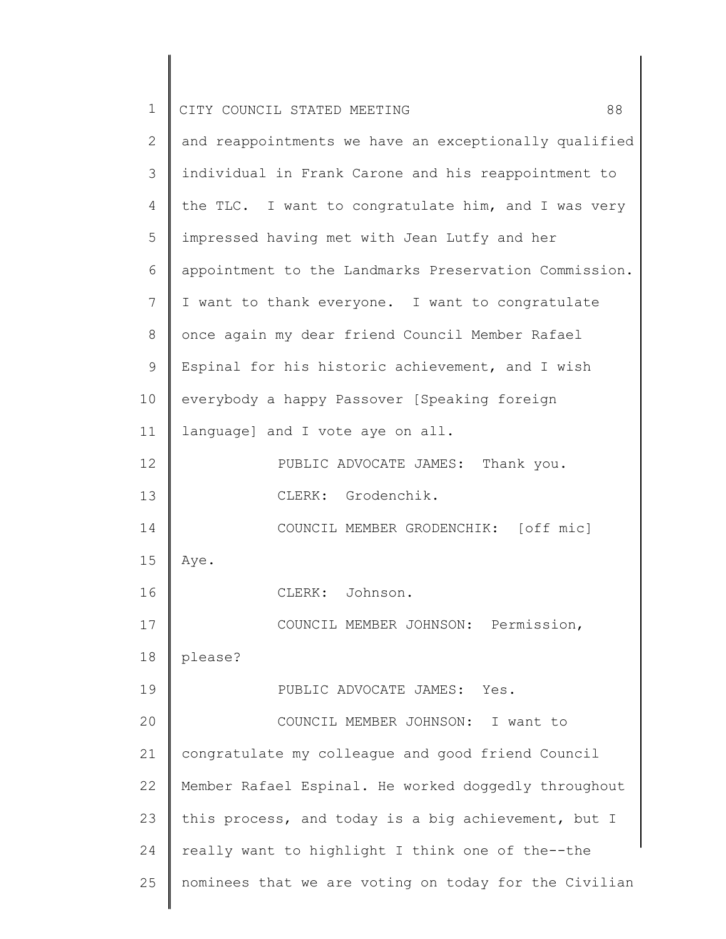| $\mathbf 1$ | 88<br>CITY COUNCIL STATED MEETING                     |
|-------------|-------------------------------------------------------|
| 2           | and reappointments we have an exceptionally qualified |
| 3           | individual in Frank Carone and his reappointment to   |
| 4           | the TLC. I want to congratulate him, and I was very   |
| 5           | impressed having met with Jean Lutfy and her          |
| 6           | appointment to the Landmarks Preservation Commission. |
| 7           | I want to thank everyone. I want to congratulate      |
| $8\,$       | once again my dear friend Council Member Rafael       |
| 9           | Espinal for his historic achievement, and I wish      |
| 10          | everybody a happy Passover [Speaking foreign          |
| 11          | language] and I vote aye on all.                      |
| 12          | PUBLIC ADVOCATE JAMES: Thank you.                     |
| 13          | CLERK: Grodenchik.                                    |
| 14          | COUNCIL MEMBER GRODENCHIK: [off mic]                  |
| 15          | Aye.                                                  |
| 16          | CLERK: Johnson.                                       |
| 17          | COUNCIL MEMBER JOHNSON: Permission,                   |
| 18          | please?                                               |
| 19          | PUBLIC ADVOCATE JAMES: Yes.                           |
| 20          | COUNCIL MEMBER JOHNSON: I want to                     |
| 21          | congratulate my colleague and good friend Council     |
| 22          | Member Rafael Espinal. He worked doggedly throughout  |
| 23          | this process, and today is a big achievement, but I   |
| 24          | really want to highlight I think one of the--the      |
| 25          | nominees that we are voting on today for the Civilian |
|             |                                                       |

║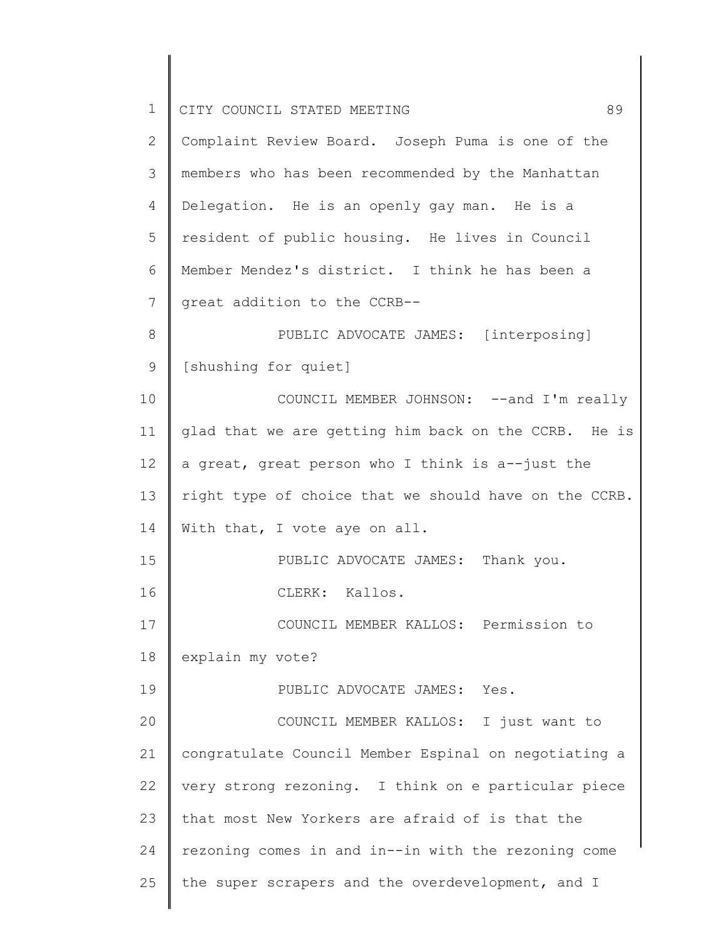| $\mathbf 1$  | 89<br>CITY COUNCIL STATED MEETING                     |
|--------------|-------------------------------------------------------|
| $\mathbf{2}$ | Complaint Review Board. Joseph Puma is one of the     |
| 3            | members who has been recommended by the Manhattan     |
| 4            | Delegation. He is an openly gay man. He is a          |
| 5            | resident of public housing. He lives in Council       |
| 6            | Member Mendez's district. I think he has been a       |
| 7            | great addition to the CCRB--                          |
| 8            | PUBLIC ADVOCATE JAMES: [interposing]                  |
| 9            | [shushing for quiet]                                  |
| 10           | COUNCIL MEMBER JOHNSON: -- and I'm really             |
| 11           | glad that we are getting him back on the CCRB. He is  |
| 12           | a great, great person who I think is a--just the      |
| 13           | right type of choice that we should have on the CCRB. |
| 14           | With that, I vote aye on all.                         |
| 15           | PUBLIC ADVOCATE JAMES: Thank you.                     |
| 16           | CLERK: Kallos.                                        |
| 17           | COUNCIL MEMBER KALLOS: Permission to                  |
| 18           | explain my vote?                                      |
| 19           | PUBLIC ADVOCATE JAMES: Yes.                           |
| 20           | COUNCIL MEMBER KALLOS: I just want to                 |
| 21           | congratulate Council Member Espinal on negotiating a  |
| 22           | very strong rezoning. I think on e particular piece   |
| 23           | that most New Yorkers are afraid of is that the       |
| 24           | rezoning comes in and in--in with the rezoning come   |
| 25           | the super scrapers and the overdevelopment, and I     |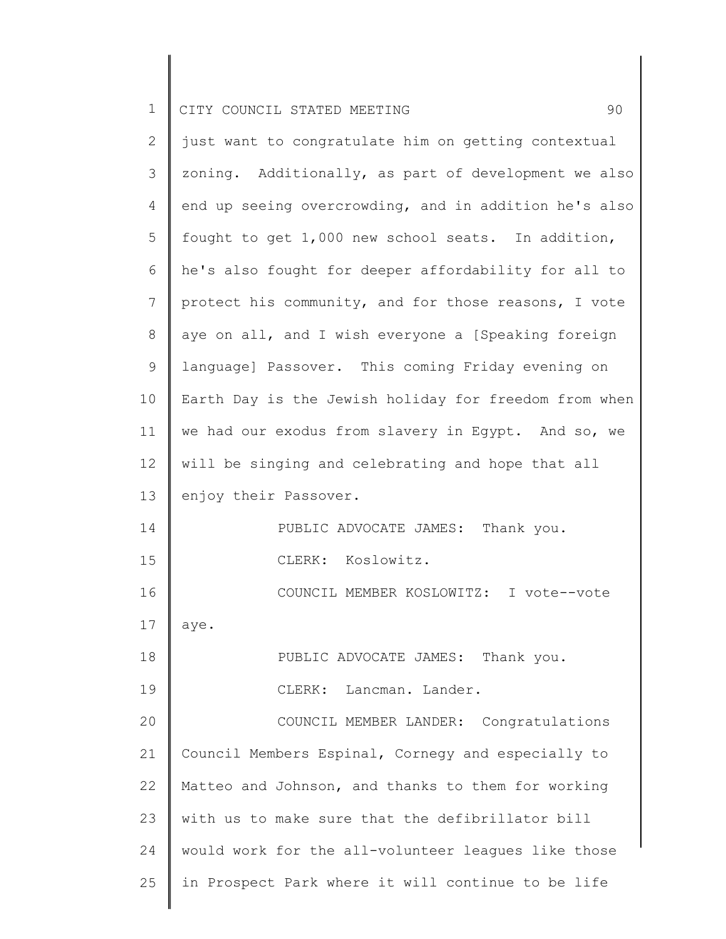| $\mathbf{2}$   | just want to congratulate him on getting contextual   |
|----------------|-------------------------------------------------------|
| 3              | zoning. Additionally, as part of development we also  |
| 4              | end up seeing overcrowding, and in addition he's also |
| 5              | fought to get 1,000 new school seats. In addition,    |
| 6              | he's also fought for deeper affordability for all to  |
| $\overline{7}$ | protect his community, and for those reasons, I vote  |
| $8\,$          | aye on all, and I wish everyone a [Speaking foreign   |
| $\mathsf 9$    | language] Passover. This coming Friday evening on     |
| 10             | Earth Day is the Jewish holiday for freedom from when |
| 11             | we had our exodus from slavery in Egypt. And so, we   |
| 12             | will be singing and celebrating and hope that all     |
| 13             | enjoy their Passover.                                 |
| 14             | PUBLIC ADVOCATE JAMES: Thank you.                     |
| 15             | CLERK: Koslowitz.                                     |
| 16             | COUNCIL MEMBER KOSLOWITZ: I vote--vote                |
| 17             | aye.                                                  |
| 18             | PUBLIC ADVOCATE JAMES: Thank you.                     |
| 19             | CLERK: Lancman. Lander.                               |
| 20             | COUNCIL MEMBER LANDER: Congratulations                |
| 21             | Council Members Espinal, Cornegy and especially to    |
| 22             | Matteo and Johnson, and thanks to them for working    |
| 23             | with us to make sure that the defibrillator bill      |
| 24             | would work for the all-volunteer leagues like those   |
| 25             | in Prospect Park where it will continue to be life    |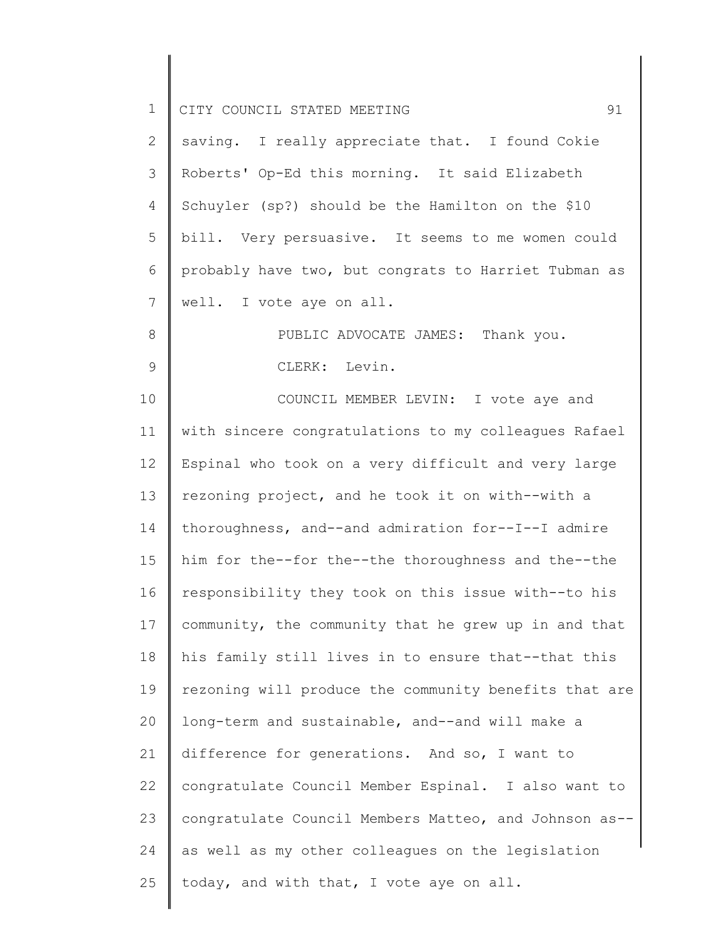| $\mathbf 1$    | 91<br>CITY COUNCIL STATED MEETING                     |
|----------------|-------------------------------------------------------|
| $\overline{2}$ | saving. I really appreciate that. I found Cokie       |
| 3              | Roberts' Op-Ed this morning. It said Elizabeth        |
| 4              | Schuyler (sp?) should be the Hamilton on the \$10     |
| 5              | bill. Very persuasive. It seems to me women could     |
| 6              | probably have two, but congrats to Harriet Tubman as  |
| 7              | well. I vote aye on all.                              |
| 8              | PUBLIC ADVOCATE JAMES: Thank you.                     |
| 9              | CLERK: Levin.                                         |
| 10             | COUNCIL MEMBER LEVIN: I vote aye and                  |
| 11             | with sincere congratulations to my colleagues Rafael  |
| 12             | Espinal who took on a very difficult and very large   |
| 13             | rezoning project, and he took it on with--with a      |
| 14             | thoroughness, and--and admiration for--I--I admire    |
| 15             | him for the--for the--the thoroughness and the--the   |
| 16             | responsibility they took on this issue with--to his   |
| 17             | community, the community that he grew up in and that  |
| 18             | his family still lives in to ensure that--that this   |
| 19             | rezoning will produce the community benefits that are |
| 20             | long-term and sustainable, and--and will make a       |
| 21             | difference for generations. And so, I want to         |
| 22             | congratulate Council Member Espinal. I also want to   |
| 23             | congratulate Council Members Matteo, and Johnson as-- |
| 24             | as well as my other colleagues on the legislation     |
| 25             | today, and with that, I vote aye on all.              |
|                |                                                       |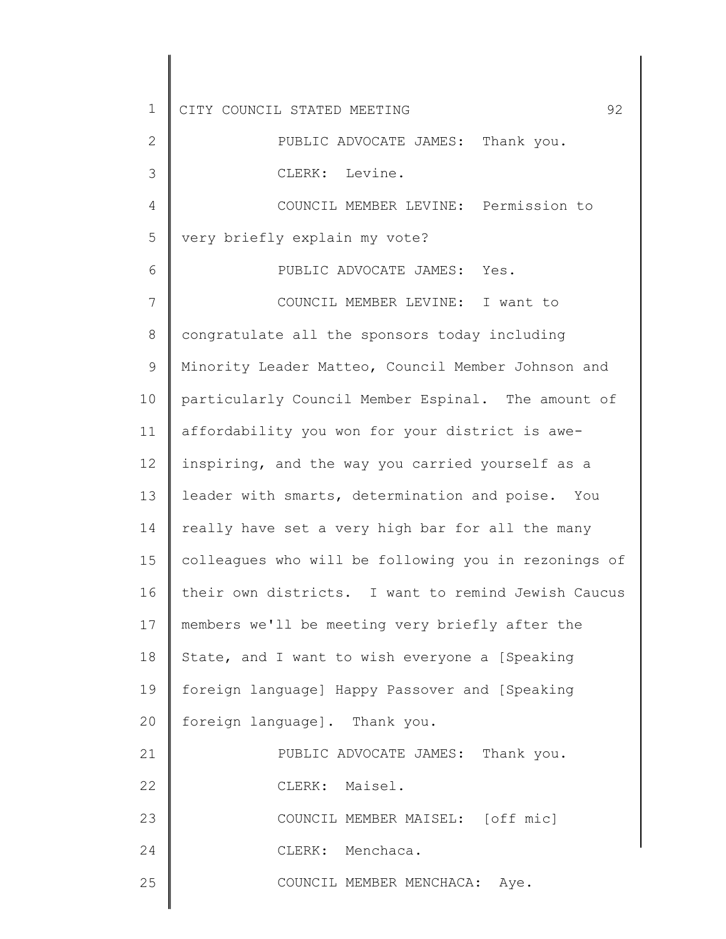| $\mathbf 1$  | 92<br>CITY COUNCIL STATED MEETING                    |
|--------------|------------------------------------------------------|
| $\mathbf{2}$ | PUBLIC ADVOCATE JAMES: Thank you.                    |
| 3            | CLERK: Levine.                                       |
| 4            | COUNCIL MEMBER LEVINE: Permission to                 |
| 5            | very briefly explain my vote?                        |
| 6            | PUBLIC ADVOCATE JAMES: Yes.                          |
| 7            | COUNCIL MEMBER LEVINE: I want to                     |
| 8            | congratulate all the sponsors today including        |
| $\mathsf 9$  | Minority Leader Matteo, Council Member Johnson and   |
| 10           | particularly Council Member Espinal. The amount of   |
| 11           | affordability you won for your district is awe-      |
| 12           | inspiring, and the way you carried yourself as a     |
| 13           | leader with smarts, determination and poise. You     |
| 14           | really have set a very high bar for all the many     |
| 15           | colleagues who will be following you in rezonings of |
| 16           | their own districts. I want to remind Jewish Caucus  |
| 17           | members we'll be meeting very briefly after the      |
| 18           | State, and I want to wish everyone a [Speaking       |
| 19           | foreign language] Happy Passover and [Speaking       |
| 20           | foreign language]. Thank you.                        |
| 21           | PUBLIC ADVOCATE JAMES: Thank you.                    |
| 22           | CLERK: Maisel.                                       |
| 23           | COUNCIL MEMBER MAISEL: [off mic]                     |
| 24           | CLERK: Menchaca.                                     |
| 25           | COUNCIL MEMBER MENCHACA: Aye.                        |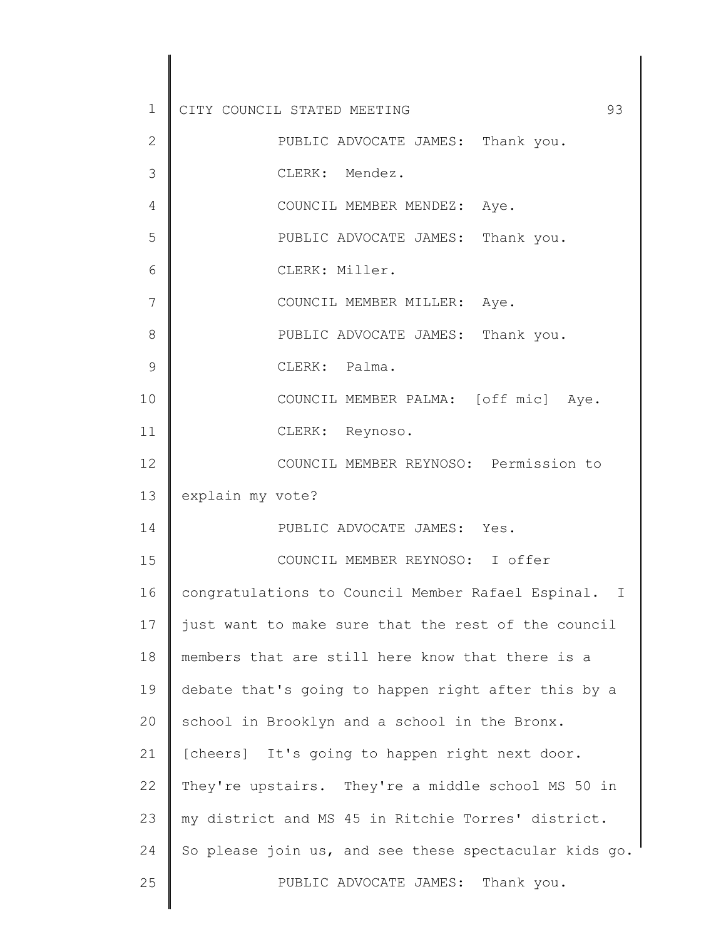| 1  | 93<br>CITY COUNCIL STATED MEETING                     |
|----|-------------------------------------------------------|
| 2  | PUBLIC ADVOCATE JAMES: Thank you.                     |
| 3  | CLERK: Mendez.                                        |
| 4  | COUNCIL MEMBER MENDEZ: Aye.                           |
| 5  | PUBLIC ADVOCATE JAMES: Thank you.                     |
| 6  | CLERK: Miller.                                        |
| 7  | COUNCIL MEMBER MILLER: Aye.                           |
| 8  | PUBLIC ADVOCATE JAMES: Thank you.                     |
| 9  | CLERK: Palma.                                         |
| 10 | COUNCIL MEMBER PALMA: [off mic] Aye.                  |
| 11 | CLERK: Reynoso.                                       |
| 12 | COUNCIL MEMBER REYNOSO: Permission to                 |
| 13 | explain my vote?                                      |
| 14 | PUBLIC ADVOCATE JAMES: Yes.                           |
| 15 | COUNCIL MEMBER REYNOSO: I offer                       |
| 16 | congratulations to Council Member Rafael Espinal. I   |
| 17 | just want to make sure that the rest of the council   |
| 18 | members that are still here know that there is a      |
| 19 | debate that's going to happen right after this by a   |
| 20 | school in Brooklyn and a school in the Bronx.         |
| 21 | [cheers] It's going to happen right next door.        |
| 22 | They're upstairs. They're a middle school MS 50 in    |
| 23 | my district and MS 45 in Ritchie Torres' district.    |
| 24 | So please join us, and see these spectacular kids go. |
| 25 | PUBLIC ADVOCATE JAMES: Thank you.                     |
|    |                                                       |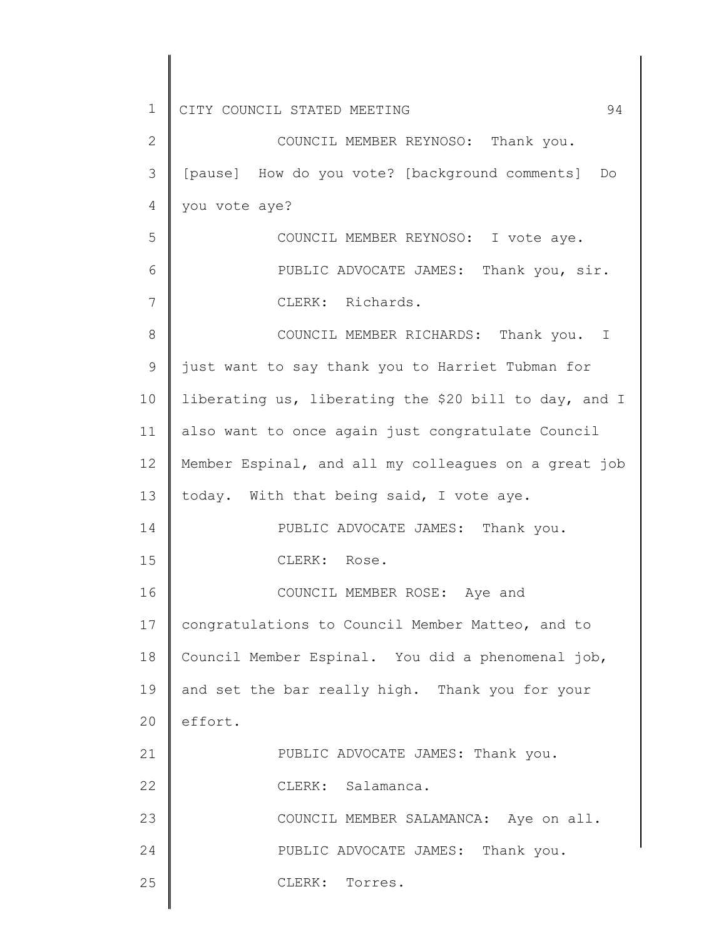| 1  | 94<br>CITY COUNCIL STATED MEETING                     |
|----|-------------------------------------------------------|
| 2  | COUNCIL MEMBER REYNOSO: Thank you.                    |
| 3  | [pause] How do you vote? [background comments]<br>Do  |
| 4  | you vote aye?                                         |
| 5  | COUNCIL MEMBER REYNOSO: I vote aye.                   |
| 6  | PUBLIC ADVOCATE JAMES: Thank you, sir.                |
| 7  | CLERK: Richards.                                      |
| 8  | COUNCIL MEMBER RICHARDS: Thank you. I                 |
| 9  | just want to say thank you to Harriet Tubman for      |
| 10 | liberating us, liberating the \$20 bill to day, and I |
| 11 | also want to once again just congratulate Council     |
| 12 | Member Espinal, and all my colleagues on a great job  |
| 13 | today. With that being said, I vote aye.              |
| 14 | PUBLIC ADVOCATE JAMES: Thank you.                     |
| 15 | CLERK: Rose.                                          |
| 16 | COUNCIL MEMBER ROSE: Aye and                          |
| 17 | congratulations to Council Member Matteo, and to      |
| 18 | Council Member Espinal. You did a phenomenal job,     |
| 19 | and set the bar really high. Thank you for your       |
| 20 | effort.                                               |
| 21 | PUBLIC ADVOCATE JAMES: Thank you.                     |
| 22 | CLERK: Salamanca.                                     |
| 23 | COUNCIL MEMBER SALAMANCA: Aye on all.                 |
| 24 | PUBLIC ADVOCATE JAMES: Thank you.                     |
| 25 | CLERK:<br>Torres.                                     |
|    |                                                       |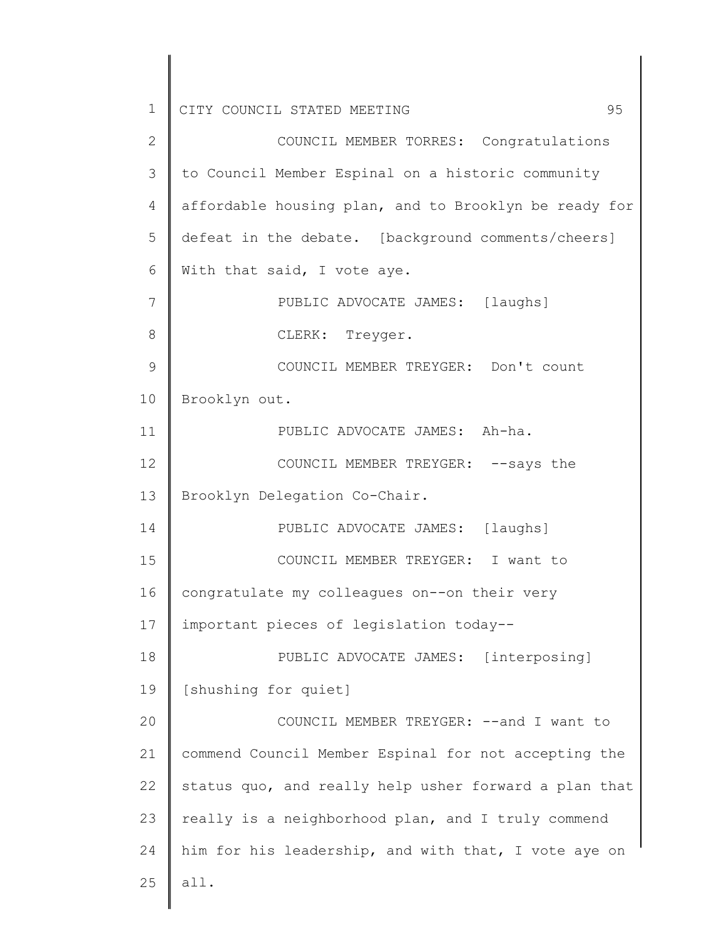2 3 4 5 6 7 8 9 10 11 12 13 14 15 16 17 18 19 20 21 22 23 24 25 COUNCIL MEMBER TORRES: Congratulations to Council Member Espinal on a historic community affordable housing plan, and to Brooklyn be ready for defeat in the debate. [background comments/cheers] With that said, I vote aye. PUBLIC ADVOCATE JAMES: [laughs] CLERK: Treyger. COUNCIL MEMBER TREYGER: Don't count Brooklyn out. PUBLIC ADVOCATE JAMES: Ah-ha. COUNCIL MEMBER TREYGER: --says the Brooklyn Delegation Co-Chair. PUBLIC ADVOCATE JAMES: [laughs] COUNCIL MEMBER TREYGER: I want to congratulate my colleagues on--on their very important pieces of legislation today-- PUBLIC ADVOCATE JAMES: [interposing] [shushing for quiet] COUNCIL MEMBER TREYGER: --and I want to commend Council Member Espinal for not accepting the status quo, and really help usher forward a plan that really is a neighborhood plan, and I truly commend him for his leadership, and with that, I vote aye on all.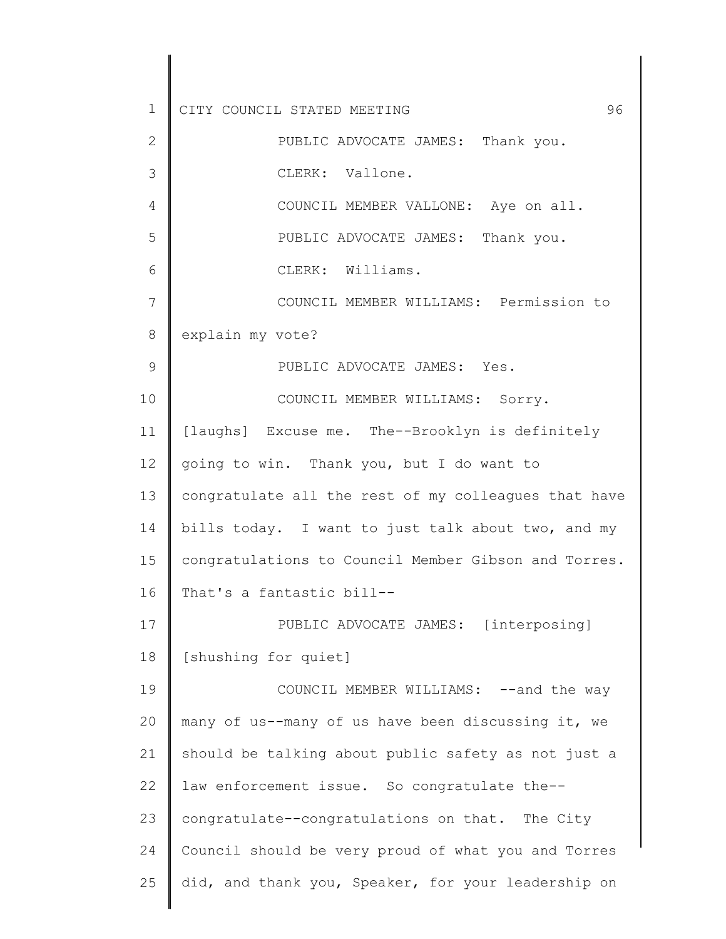| 1  | CITY COUNCIL STATED MEETING<br>96                    |
|----|------------------------------------------------------|
| 2  | PUBLIC ADVOCATE JAMES: Thank you.                    |
| 3  | CLERK: Vallone.                                      |
| 4  | COUNCIL MEMBER VALLONE: Aye on all.                  |
| 5  | PUBLIC ADVOCATE JAMES: Thank you.                    |
| 6  | CLERK: Williams.                                     |
| 7  | COUNCIL MEMBER WILLIAMS: Permission to               |
| 8  | explain my vote?                                     |
| 9  | PUBLIC ADVOCATE JAMES: Yes.                          |
| 10 | COUNCIL MEMBER WILLIAMS: Sorry.                      |
| 11 | [laughs] Excuse me. The--Brooklyn is definitely      |
| 12 | going to win. Thank you, but I do want to            |
| 13 | congratulate all the rest of my colleagues that have |
| 14 | bills today. I want to just talk about two, and my   |
| 15 | congratulations to Council Member Gibson and Torres. |
| 16 | That's a fantastic bill--                            |
| 17 | PUBLIC ADVOCATE JAMES: [interposing]                 |
| 18 | [shushing for quiet]                                 |
| 19 | COUNCIL MEMBER WILLIAMS: -- and the way              |
| 20 | many of us--many of us have been discussing it, we   |
| 21 | should be talking about public safety as not just a  |
| 22 | law enforcement issue. So congratulate the--         |
| 23 | congratulate--congratulations on that. The City      |
| 24 | Council should be very proud of what you and Torres  |
| 25 | did, and thank you, Speaker, for your leadership on  |
|    |                                                      |

 $\begin{array}{c} \hline \end{array}$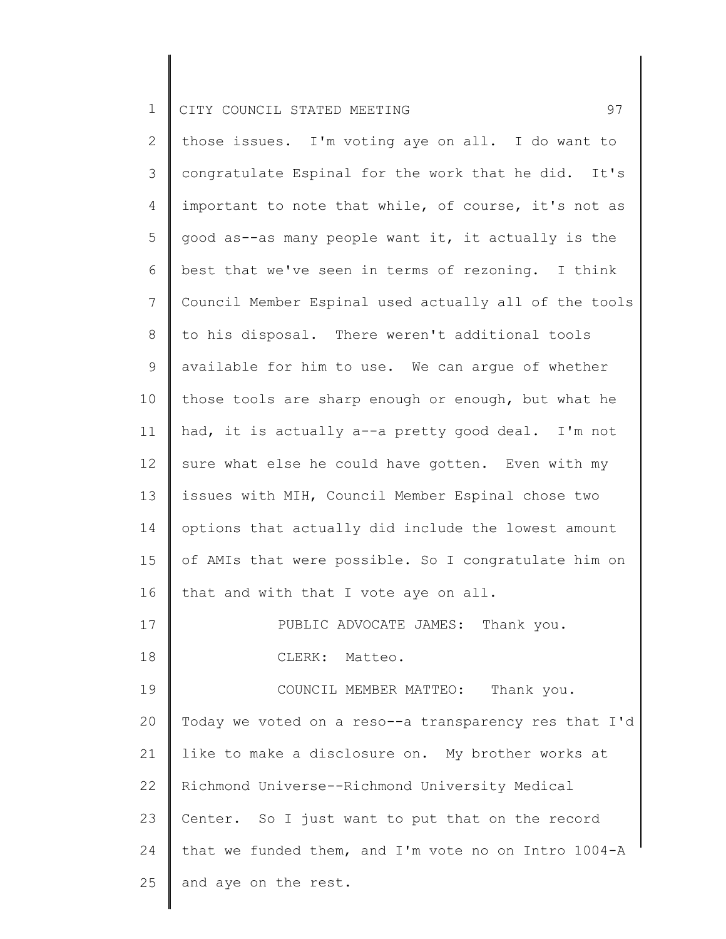2 3 4 5 6 7 8 9 10 11 12 13 14 15 16 17 18 19 20 21 22 23 24 25 those issues. I'm voting aye on all. I do want to congratulate Espinal for the work that he did. It's important to note that while, of course, it's not as good as--as many people want it, it actually is the best that we've seen in terms of rezoning. I think Council Member Espinal used actually all of the tools to his disposal. There weren't additional tools available for him to use. We can argue of whether those tools are sharp enough or enough, but what he had, it is actually a--a pretty good deal. I'm not sure what else he could have gotten. Even with my issues with MIH, Council Member Espinal chose two options that actually did include the lowest amount of AMIs that were possible. So I congratulate him on that and with that I vote aye on all. PUBLIC ADVOCATE JAMES: Thank you. CLERK: Matteo. COUNCIL MEMBER MATTEO: Thank you. Today we voted on a reso--a transparency res that I'd like to make a disclosure on. My brother works at Richmond Universe--Richmond University Medical Center. So I just want to put that on the record that we funded them, and I'm vote no on Intro 1004-A and aye on the rest.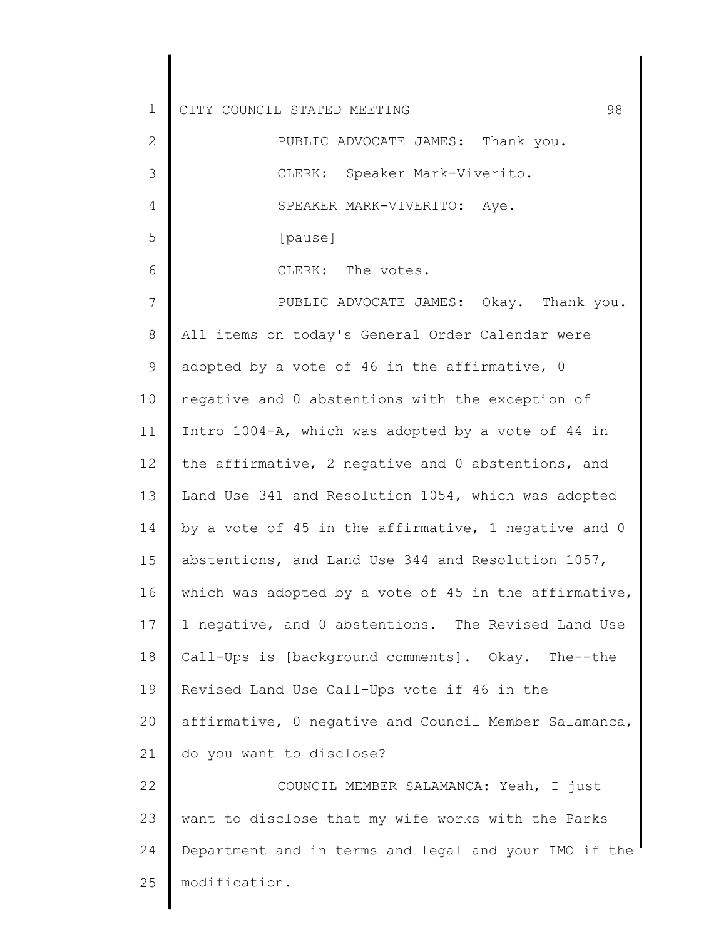1 2 3 4 5 6 7 8 9 10 11 12 13 14 15 16 17 18 19 20 21 22 23 24 25 CITY COUNCIL STATED MEETING 98 PUBLIC ADVOCATE JAMES: Thank you. CLERK: Speaker Mark-Viverito. SPEAKER MARK-VIVERITO: Aye. [pause] CLERK: The votes. PUBLIC ADVOCATE JAMES: Okay. Thank you. All items on today's General Order Calendar were adopted by a vote of 46 in the affirmative, 0 negative and 0 abstentions with the exception of Intro 1004-A, which was adopted by a vote of 44 in the affirmative, 2 negative and 0 abstentions, and Land Use 341 and Resolution 1054, which was adopted by a vote of 45 in the affirmative, 1 negative and 0 abstentions, and Land Use 344 and Resolution 1057, which was adopted by a vote of 45 in the affirmative, 1 negative, and 0 abstentions. The Revised Land Use Call-Ups is [background comments]. Okay. The--the Revised Land Use Call-Ups vote if 46 in the affirmative, 0 negative and Council Member Salamanca, do you want to disclose? COUNCIL MEMBER SALAMANCA: Yeah, I just want to disclose that my wife works with the Parks Department and in terms and legal and your IMO if the modification.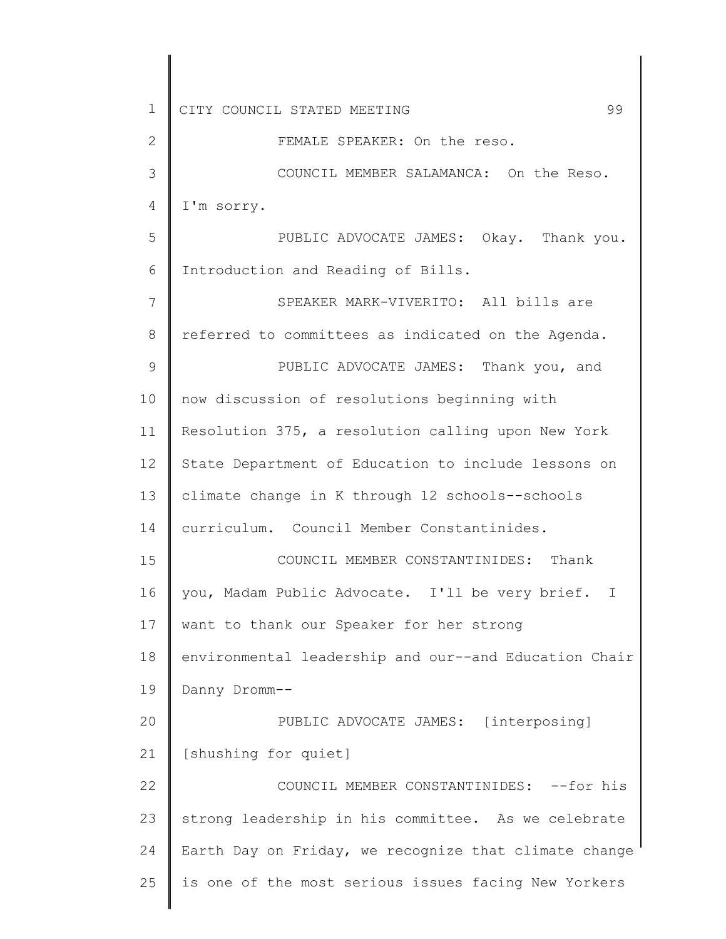| $\mathbf 1$  | CITY COUNCIL STATED MEETING<br>99                               |
|--------------|-----------------------------------------------------------------|
| $\mathbf{2}$ | FEMALE SPEAKER: On the reso.                                    |
| 3            | COUNCIL MEMBER SALAMANCA: On the Reso.                          |
| 4            | I'm sorry.                                                      |
| 5            | PUBLIC ADVOCATE JAMES: Okay. Thank you.                         |
| 6            | Introduction and Reading of Bills.                              |
| 7            | SPEAKER MARK-VIVERITO: All bills are                            |
| 8            | referred to committees as indicated on the Agenda.              |
| $\mathsf 9$  | PUBLIC ADVOCATE JAMES: Thank you, and                           |
| 10           | now discussion of resolutions beginning with                    |
| 11           | Resolution 375, a resolution calling upon New York              |
| 12           | State Department of Education to include lessons on             |
| 13           | climate change in K through 12 schools--schools                 |
| 14           | curriculum. Council Member Constantinides.                      |
| 15           | COUNCIL MEMBER CONSTANTINIDES: Thank                            |
| 16           | you, Madam Public Advocate. I'll be very brief.<br>$\mathbb{I}$ |
| 17           | want to thank our Speaker for her strong                        |
| 18           | environmental leadership and our--and Education Chair           |
| 19           | Danny Dromm--                                                   |
| 20           | PUBLIC ADVOCATE JAMES: [interposing]                            |
| 21           | [shushing for quiet]                                            |
| 22           | COUNCIL MEMBER CONSTANTINIDES: --for his                        |
| 23           | strong leadership in his committee. As we celebrate             |
| 24           | Earth Day on Friday, we recognize that climate change           |
| 25           | is one of the most serious issues facing New Yorkers            |
|              |                                                                 |

 $\parallel$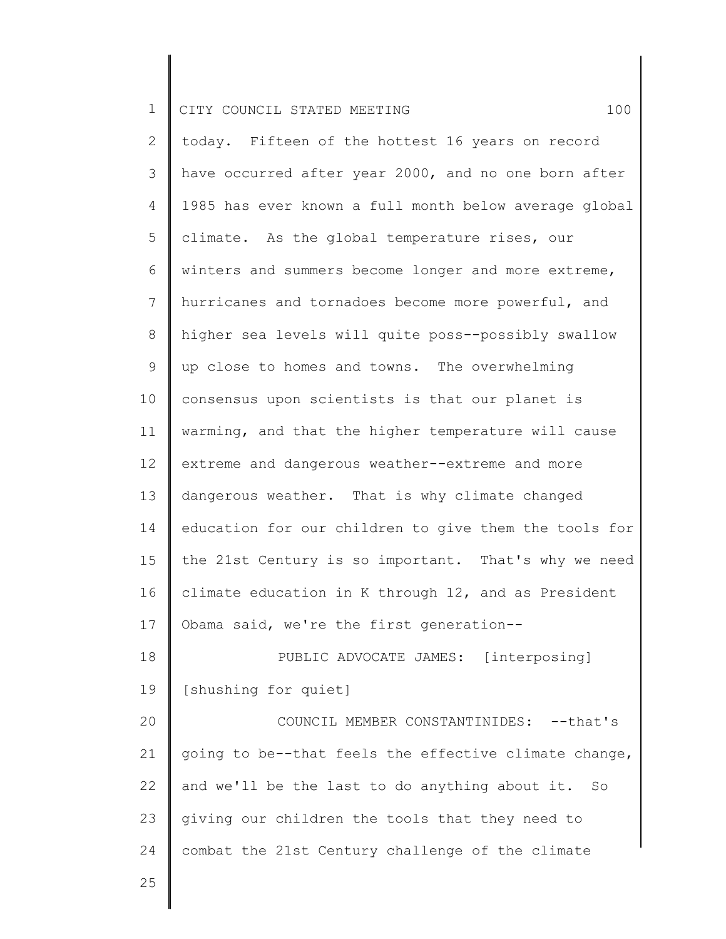2 3 4 5 6 7 8 9 10 11 12 13 14 15 16 17 18 19 20 21 22 23 24 today. Fifteen of the hottest 16 years on record have occurred after year 2000, and no one born after 1985 has ever known a full month below average global climate. As the global temperature rises, our winters and summers become longer and more extreme, hurricanes and tornadoes become more powerful, and higher sea levels will quite poss--possibly swallow up close to homes and towns. The overwhelming consensus upon scientists is that our planet is warming, and that the higher temperature will cause extreme and dangerous weather--extreme and more dangerous weather. That is why climate changed education for our children to give them the tools for the 21st Century is so important. That's why we need climate education in K through 12, and as President Obama said, we're the first generation-- PUBLIC ADVOCATE JAMES: [interposing] [shushing for quiet] COUNCIL MEMBER CONSTANTINIDES: --that's going to be--that feels the effective climate change, and we'll be the last to do anything about it. So giving our children the tools that they need to combat the 21st Century challenge of the climate

25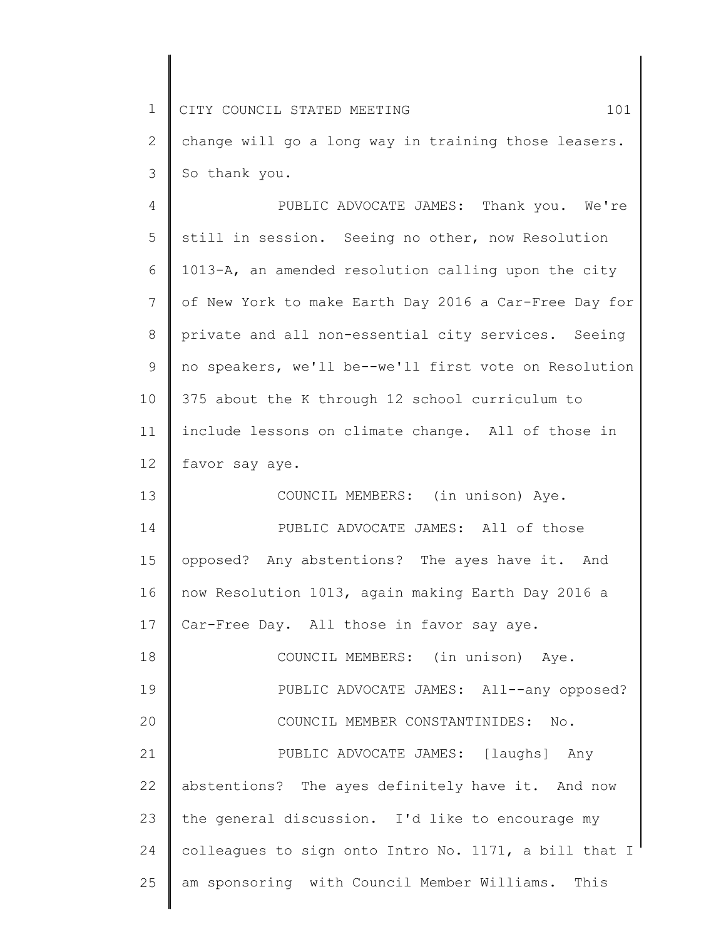1 2 3 4 5 6 7 8 9 10 11 12 13 14 15 16 17 18 19 20 21 22 23 24 25 CITY COUNCIL STATED MEETING 101 change will go a long way in training those leasers. So thank you. PUBLIC ADVOCATE JAMES: Thank you. We're still in session. Seeing no other, now Resolution 1013-A, an amended resolution calling upon the city of New York to make Earth Day 2016 a Car-Free Day for private and all non-essential city services. Seeing no speakers, we'll be--we'll first vote on Resolution 375 about the K through 12 school curriculum to include lessons on climate change. All of those in favor say aye. COUNCIL MEMBERS: (in unison) Aye. PUBLIC ADVOCATE JAMES: All of those opposed? Any abstentions? The ayes have it. And now Resolution 1013, again making Earth Day 2016 a Car-Free Day. All those in favor say aye. COUNCIL MEMBERS: (in unison) Aye. PUBLIC ADVOCATE JAMES: All--any opposed? COUNCIL MEMBER CONSTANTINIDES: No. PUBLIC ADVOCATE JAMES: [laughs] Any abstentions? The ayes definitely have it. And now the general discussion. I'd like to encourage my colleagues to sign onto Intro No. 1171, a bill that I am sponsoring with Council Member Williams. This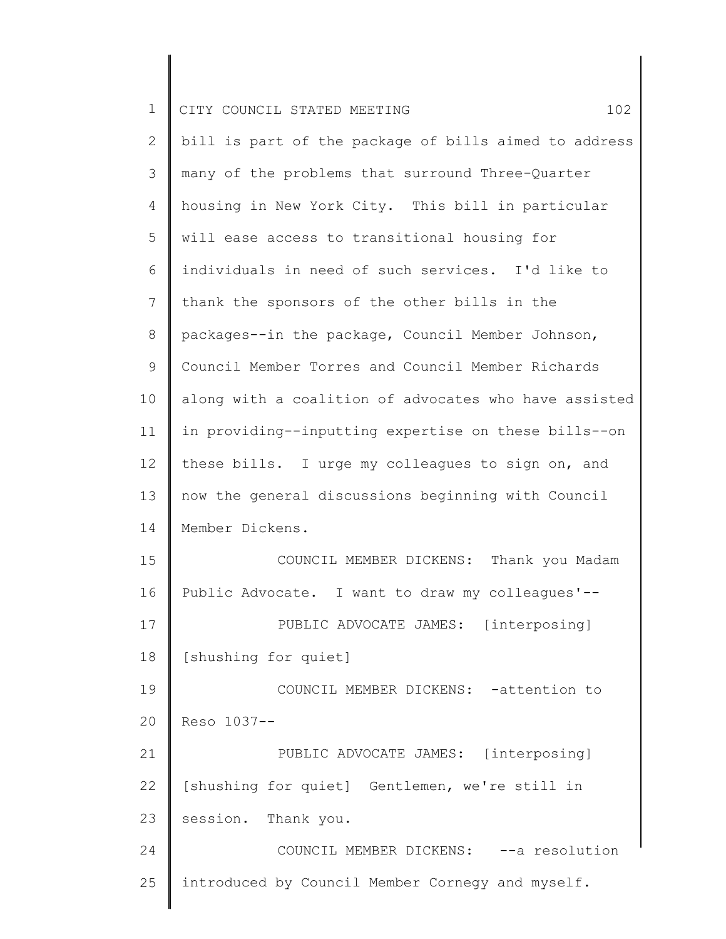| $\overline{2}$ | bill is part of the package of bills aimed to address |
|----------------|-------------------------------------------------------|
| 3              | many of the problems that surround Three-Quarter      |
| 4              | housing in New York City. This bill in particular     |
| 5              | will ease access to transitional housing for          |
| 6              | individuals in need of such services. I'd like to     |
| 7              | thank the sponsors of the other bills in the          |
| 8              | packages--in the package, Council Member Johnson,     |
| 9              | Council Member Torres and Council Member Richards     |
| 10             | along with a coalition of advocates who have assisted |
| 11             | in providing--inputting expertise on these bills--on  |
| 12             | these bills. I urge my colleagues to sign on, and     |
| 13             | now the general discussions beginning with Council    |
| 14             | Member Dickens.                                       |
| 15             | COUNCIL MEMBER DICKENS: Thank you Madam               |
| 16             | Public Advocate. I want to draw my colleagues'--      |
| 17             | PUBLIC ADVOCATE JAMES: [interposing]                  |
| 18             | [shushing for quiet]                                  |
| 19             | COUNCIL MEMBER DICKENS: - attention to                |
| 20             | Reso 1037--                                           |
| 21             | PUBLIC ADVOCATE JAMES: [interposing]                  |
| 22             | [shushing for quiet] Gentlemen, we're still in        |
| 23             | session. Thank you.                                   |
| 24             | COUNCIL MEMBER DICKENS: -- a resolution               |
| 25             | introduced by Council Member Cornegy and myself.      |
|                |                                                       |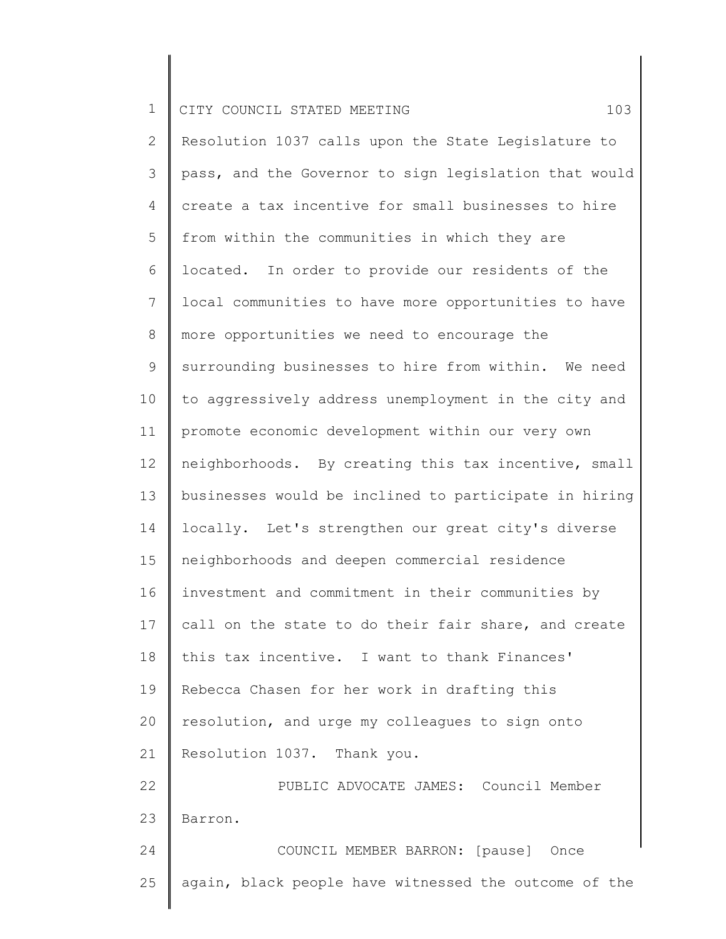|  |  | 1 CITY COUNCIL STATED MEETING |  |  |  |  |  |  |
|--|--|-------------------------------|--|--|--|--|--|--|
|--|--|-------------------------------|--|--|--|--|--|--|

25

2 3 4 5 6 7 8 9 10 11 12 13 14 15 16 17 18 19 20 21 22 23 24 Resolution 1037 calls upon the State Legislature to pass, and the Governor to sign legislation that would create a tax incentive for small businesses to hire from within the communities in which they are located. In order to provide our residents of the local communities to have more opportunities to have more opportunities we need to encourage the surrounding businesses to hire from within. We need to aggressively address unemployment in the city and promote economic development within our very own neighborhoods. By creating this tax incentive, small businesses would be inclined to participate in hiring locally. Let's strengthen our great city's diverse neighborhoods and deepen commercial residence investment and commitment in their communities by call on the state to do their fair share, and create this tax incentive. I want to thank Finances' Rebecca Chasen for her work in drafting this resolution, and urge my colleagues to sign onto Resolution 1037. Thank you. PUBLIC ADVOCATE JAMES: Council Member Barron. COUNCIL MEMBER BARRON: [pause] Once

again, black people have witnessed the outcome of the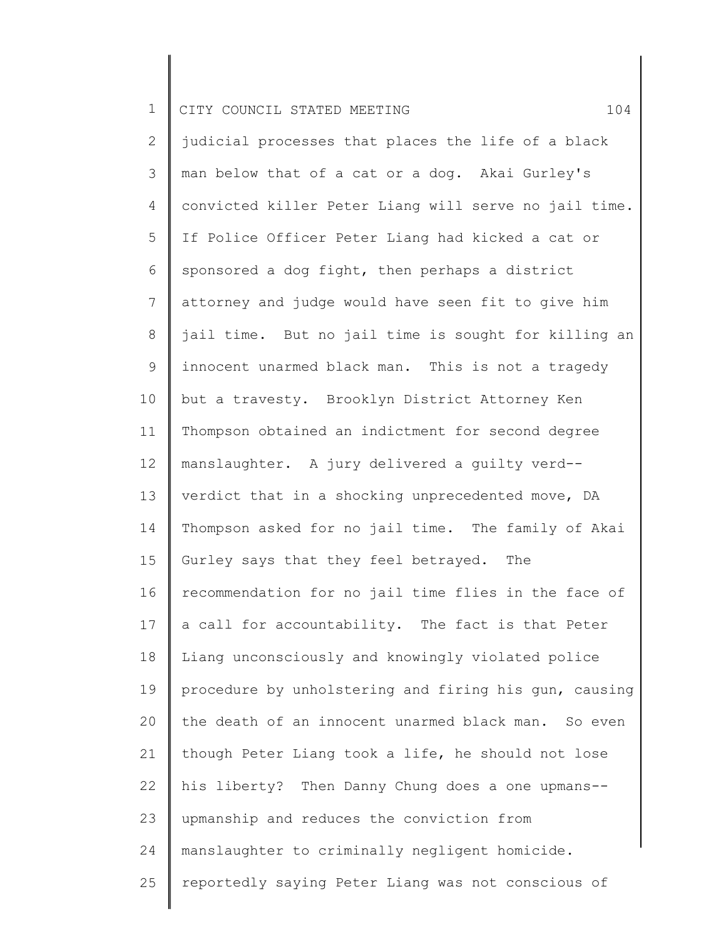2 3 4 5 6 7 8 9 10 11 12 13 14 15 16 17 18 19 20 21 22 23 24 25 judicial processes that places the life of a black man below that of a cat or a dog. Akai Gurley's convicted killer Peter Liang will serve no jail time. If Police Officer Peter Liang had kicked a cat or sponsored a dog fight, then perhaps a district attorney and judge would have seen fit to give him jail time. But no jail time is sought for killing an innocent unarmed black man. This is not a tragedy but a travesty. Brooklyn District Attorney Ken Thompson obtained an indictment for second degree manslaughter. A jury delivered a guilty verd- verdict that in a shocking unprecedented move, DA Thompson asked for no jail time. The family of Akai Gurley says that they feel betrayed. The recommendation for no jail time flies in the face of a call for accountability. The fact is that Peter Liang unconsciously and knowingly violated police procedure by unholstering and firing his gun, causing the death of an innocent unarmed black man. So even though Peter Liang took a life, he should not lose his liberty? Then Danny Chung does a one upmans- upmanship and reduces the conviction from manslaughter to criminally negligent homicide. reportedly saying Peter Liang was not conscious of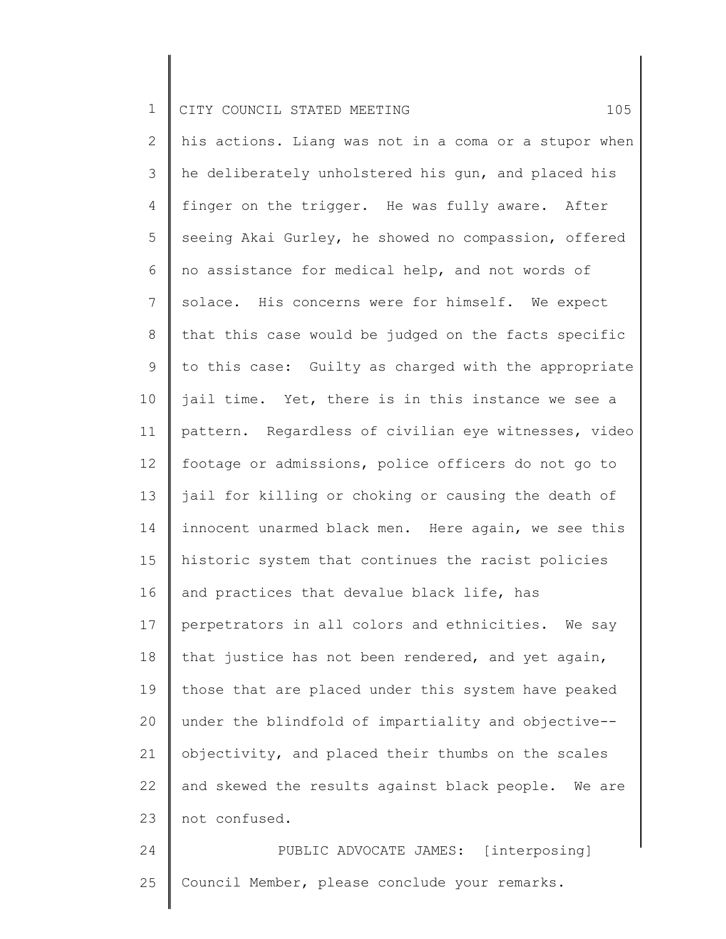2 3 4 5 6 7 8 9 10 11 12 13 14 15 16 17 18 19 20 21 22 23 his actions. Liang was not in a coma or a stupor when he deliberately unholstered his gun, and placed his finger on the trigger. He was fully aware. After seeing Akai Gurley, he showed no compassion, offered no assistance for medical help, and not words of solace. His concerns were for himself. We expect that this case would be judged on the facts specific to this case: Guilty as charged with the appropriate jail time. Yet, there is in this instance we see a pattern. Regardless of civilian eye witnesses, video footage or admissions, police officers do not go to jail for killing or choking or causing the death of innocent unarmed black men. Here again, we see this historic system that continues the racist policies and practices that devalue black life, has perpetrators in all colors and ethnicities. We say that justice has not been rendered, and yet again, those that are placed under this system have peaked under the blindfold of impartiality and objective- objectivity, and placed their thumbs on the scales and skewed the results against black people. We are not confused.

24 25 PUBLIC ADVOCATE JAMES: [interposing] Council Member, please conclude your remarks.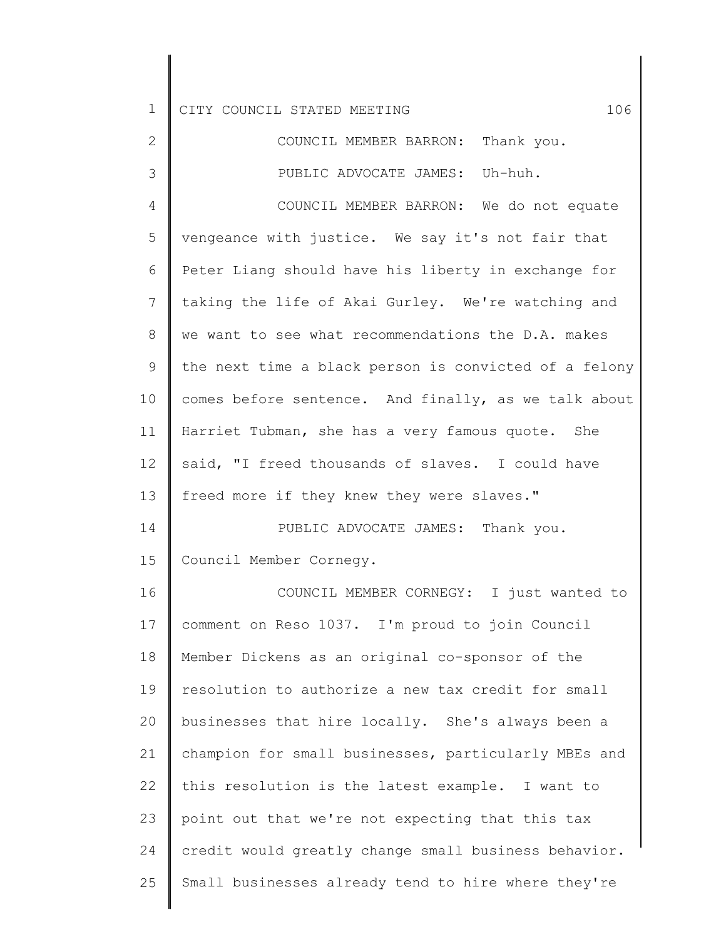| $\mathbf 1$    | 106<br>CITY COUNCIL STATED MEETING                    |
|----------------|-------------------------------------------------------|
| $\mathbf{2}$   | COUNCIL MEMBER BARRON: Thank you.                     |
| 3              | PUBLIC ADVOCATE JAMES: Uh-huh.                        |
| 4              | COUNCIL MEMBER BARRON: We do not equate               |
| 5              | vengeance with justice. We say it's not fair that     |
| 6              | Peter Liang should have his liberty in exchange for   |
| $\overline{7}$ | taking the life of Akai Gurley. We're watching and    |
| 8              | we want to see what recommendations the D.A. makes    |
| 9              | the next time a black person is convicted of a felony |
| 10             | comes before sentence. And finally, as we talk about  |
| 11             | Harriet Tubman, she has a very famous quote. She      |
| 12             | said, "I freed thousands of slaves. I could have      |
| 13             | freed more if they knew they were slaves."            |
| 14             | PUBLIC ADVOCATE JAMES: Thank you.                     |
| 15             | Council Member Cornegy.                               |
| 16             | COUNCIL MEMBER CORNEGY: I just wanted to              |
| 17             | comment on Reso 1037. I'm proud to join Council       |
| 18             | Member Dickens as an original co-sponsor of the       |
| 19             | resolution to authorize a new tax credit for small    |
| 20             | businesses that hire locally. She's always been a     |
| 21             | champion for small businesses, particularly MBEs and  |
| 22             | this resolution is the latest example. I want to      |
| 23             | point out that we're not expecting that this tax      |
| 24             | credit would greatly change small business behavior.  |
| 25             | Small businesses already tend to hire where they're   |

 $\parallel$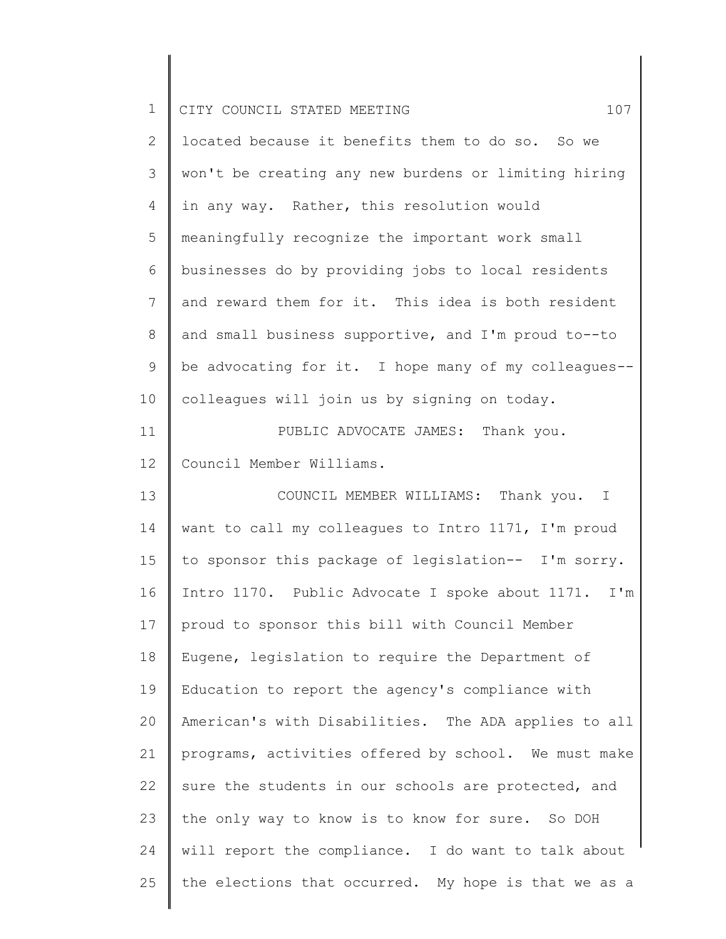| $\mathbf 1$    | 107<br>CITY COUNCIL STATED MEETING                   |
|----------------|------------------------------------------------------|
| $\overline{2}$ | located because it benefits them to do so. So we     |
| 3              | won't be creating any new burdens or limiting hiring |
| 4              | in any way. Rather, this resolution would            |
| 5              | meaningfully recognize the important work small      |
| 6              | businesses do by providing jobs to local residents   |
| $\overline{7}$ | and reward them for it. This idea is both resident   |
| 8              | and small business supportive, and I'm proud to--to  |
| 9              | be advocating for it. I hope many of my colleagues-- |
| 10             | colleagues will join us by signing on today.         |
| 11             | PUBLIC ADVOCATE JAMES: Thank you.                    |
| 12             | Council Member Williams.                             |
| 13             | COUNCIL MEMBER WILLIAMS: Thank you. I                |
| 14             | want to call my colleagues to Intro 1171, I'm proud  |
| 15             | to sponsor this package of legislation-- I'm sorry.  |
| 16             | Intro 1170. Public Advocate I spoke about 1171. I'm  |
| 17             | proud to sponsor this bill with Council Member       |
| 18             | Eugene, legislation to require the Department of     |
| 19             | Education to report the agency's compliance with     |
| 20             | American's with Disabilities. The ADA applies to all |
| 21             | programs, activities offered by school. We must make |
| 22             | sure the students in our schools are protected, and  |
| 23             | the only way to know is to know for sure. So DOH     |
| 24             | will report the compliance. I do want to talk about  |
| 25             | the elections that occurred. My hope is that we as a |

║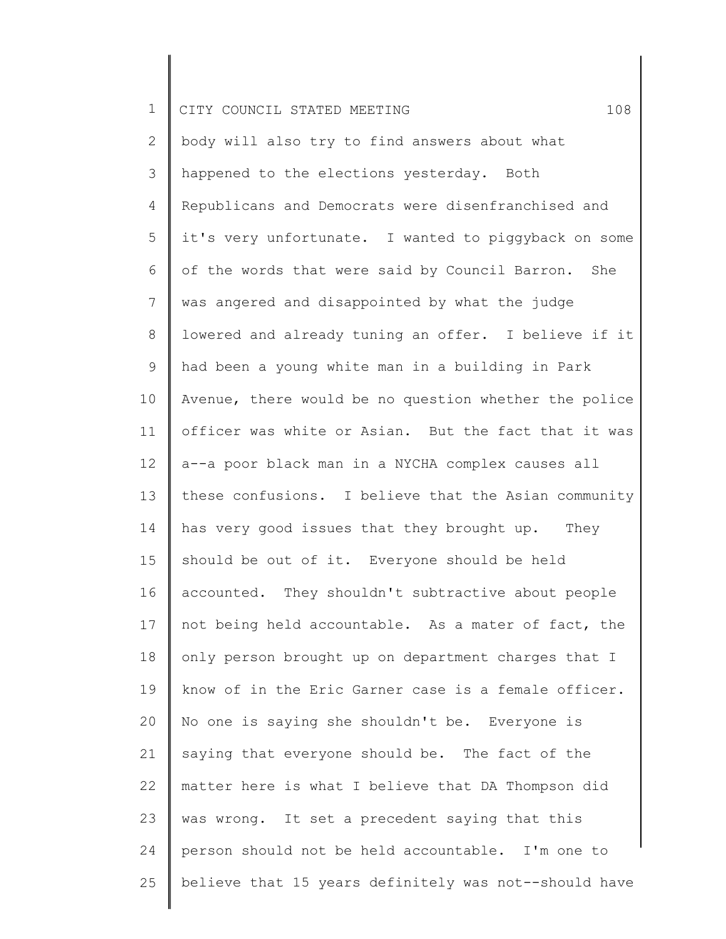| $\mathbf 1$  | 108<br>CITY COUNCIL STATED MEETING                    |
|--------------|-------------------------------------------------------|
| $\mathbf{2}$ | body will also try to find answers about what         |
| 3            | happened to the elections yesterday. Both             |
| 4            | Republicans and Democrats were disenfranchised and    |
| 5            | it's very unfortunate. I wanted to piggyback on some  |
| 6            | of the words that were said by Council Barron. She    |
| 7            | was angered and disappointed by what the judge        |
| 8            | lowered and already tuning an offer. I believe if it  |
| 9            | had been a young white man in a building in Park      |
| 10           | Avenue, there would be no question whether the police |
| 11           | officer was white or Asian. But the fact that it was  |
| 12           | a--a poor black man in a NYCHA complex causes all     |
| 13           | these confusions. I believe that the Asian community  |
| 14           | has very good issues that they brought up. They       |
| 15           | should be out of it. Everyone should be held          |
| 16           | accounted. They shouldn't subtractive about people    |
| 17           | not being held accountable. As a mater of fact, the   |
| 18           | only person brought up on department charges that I   |
| 19           | know of in the Eric Garner case is a female officer.  |
| 20           | No one is saying she shouldn't be. Everyone is        |
| 21           | saying that everyone should be. The fact of the       |
| 22           | matter here is what I believe that DA Thompson did    |
| 23           | was wrong. It set a precedent saying that this        |
| 24           | person should not be held accountable. I'm one to     |
| 25           | believe that 15 years definitely was not--should have |
|              |                                                       |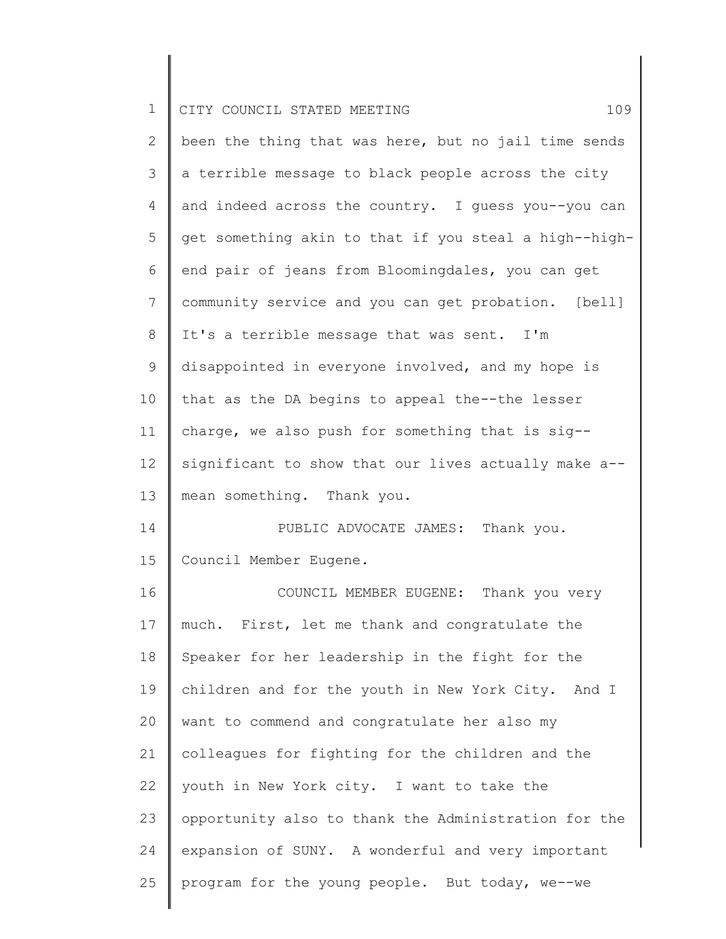| 1            | CITY COUNCIL STATED MEETING<br>109                    |
|--------------|-------------------------------------------------------|
| $\mathbf{2}$ | been the thing that was here, but no jail time sends  |
| 3            | a terrible message to black people across the city    |
| 4            | and indeed across the country. I guess you--you can   |
| 5            | get something akin to that if you steal a high--high- |
| 6            | end pair of jeans from Bloomingdales, you can get     |
| 7            | community service and you can get probation. [bell]   |
| $\,8\,$      | It's a terrible message that was sent. I'm            |
| $\mathsf 9$  | disappointed in everyone involved, and my hope is     |
| 10           | that as the DA begins to appeal the--the lesser       |
| 11           | charge, we also push for something that is sig--      |
| 12           | significant to show that our lives actually make a--  |
| 13           | mean something. Thank you.                            |
| 14           | PUBLIC ADVOCATE JAMES: Thank you.                     |
| 15           | Council Member Eugene.                                |
| 16           | COUNCIL MEMBER EUGENE: Thank you very                 |
| 17           | much. First, let me thank and congratulate the        |
| 18           | Speaker for her leadership in the fight for the       |
| 19           | children and for the youth in New York City. And I    |
| 20           | want to commend and congratulate her also my          |
| 21           | colleagues for fighting for the children and the      |
| 22           | youth in New York city. I want to take the            |
| 23           | opportunity also to thank the Administration for the  |
| 24           | expansion of SUNY. A wonderful and very important     |
| 25           | program for the young people. But today, we--we       |
|              |                                                       |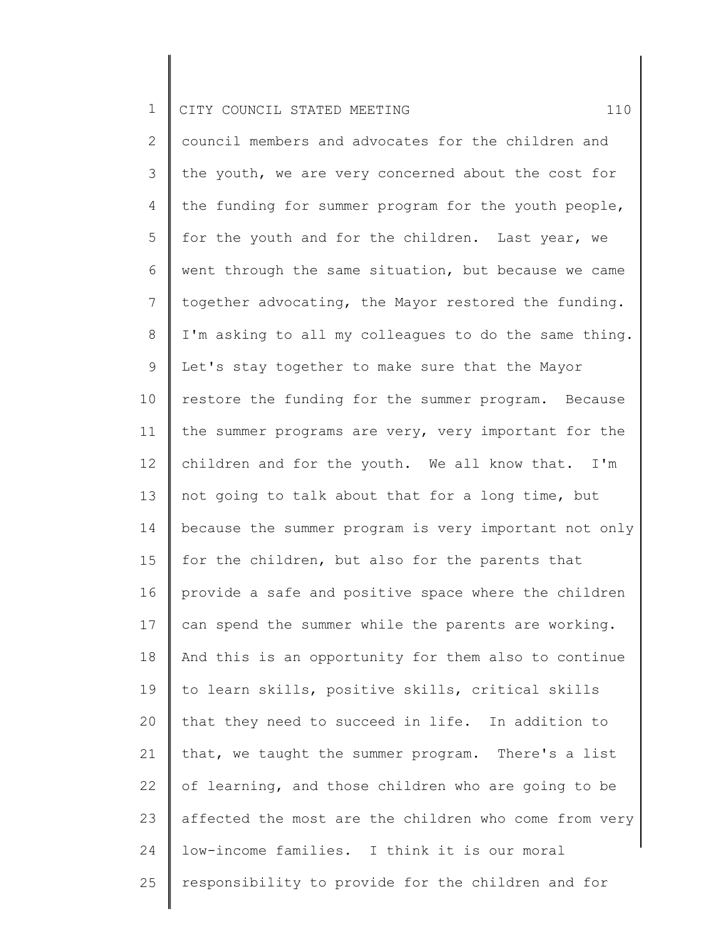2 3 4 5 6 7 8 9 10 11 12 13 14 15 16 17 18 19 20 21 22 23 24 25 council members and advocates for the children and the youth, we are very concerned about the cost for the funding for summer program for the youth people, for the youth and for the children. Last year, we went through the same situation, but because we came together advocating, the Mayor restored the funding. I'm asking to all my colleagues to do the same thing. Let's stay together to make sure that the Mayor restore the funding for the summer program. Because the summer programs are very, very important for the children and for the youth. We all know that. I'm not going to talk about that for a long time, but because the summer program is very important not only for the children, but also for the parents that provide a safe and positive space where the children can spend the summer while the parents are working. And this is an opportunity for them also to continue to learn skills, positive skills, critical skills that they need to succeed in life. In addition to that, we taught the summer program. There's a list of learning, and those children who are going to be affected the most are the children who come from very low-income families. I think it is our moral responsibility to provide for the children and for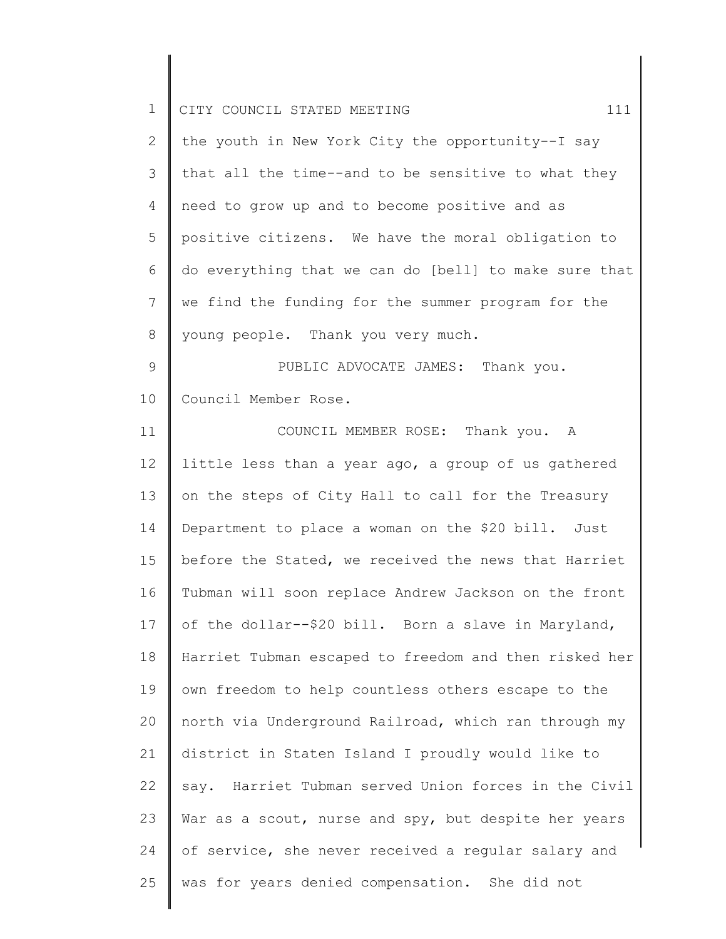| $\mathbf 1$   | 111<br>CITY COUNCIL STATED MEETING                    |
|---------------|-------------------------------------------------------|
| $\mathbf{2}$  | the youth in New York City the opportunity--I say     |
| 3             | that all the time--and to be sensitive to what they   |
| 4             | need to grow up and to become positive and as         |
| 5             | positive citizens. We have the moral obligation to    |
| 6             | do everything that we can do [bell] to make sure that |
| 7             | we find the funding for the summer program for the    |
| $8\,$         | young people. Thank you very much.                    |
| $\mathcal{G}$ | PUBLIC ADVOCATE JAMES: Thank you.                     |
| 10            | Council Member Rose.                                  |
| 11            | COUNCIL MEMBER ROSE: Thank you. A                     |
| 12            | little less than a year ago, a group of us gathered   |
| 13            | on the steps of City Hall to call for the Treasury    |
| 14            | Department to place a woman on the \$20 bill. Just    |
| 15            | before the Stated, we received the news that Harriet  |
| 16            | Tubman will soon replace Andrew Jackson on the front  |
| 17            | of the dollar--\$20 bill. Born a slave in Maryland,   |
| 18            | Harriet Tubman escaped to freedom and then risked her |
| 19            | own freedom to help countless others escape to the    |
| 20            | north via Underground Railroad, which ran through my  |
| 21            | district in Staten Island I proudly would like to     |
| 22            | say. Harriet Tubman served Union forces in the Civil  |
| 23            | War as a scout, nurse and spy, but despite her years  |
| 24            | of service, she never received a regular salary and   |
| 25            | was for years denied compensation. She did not        |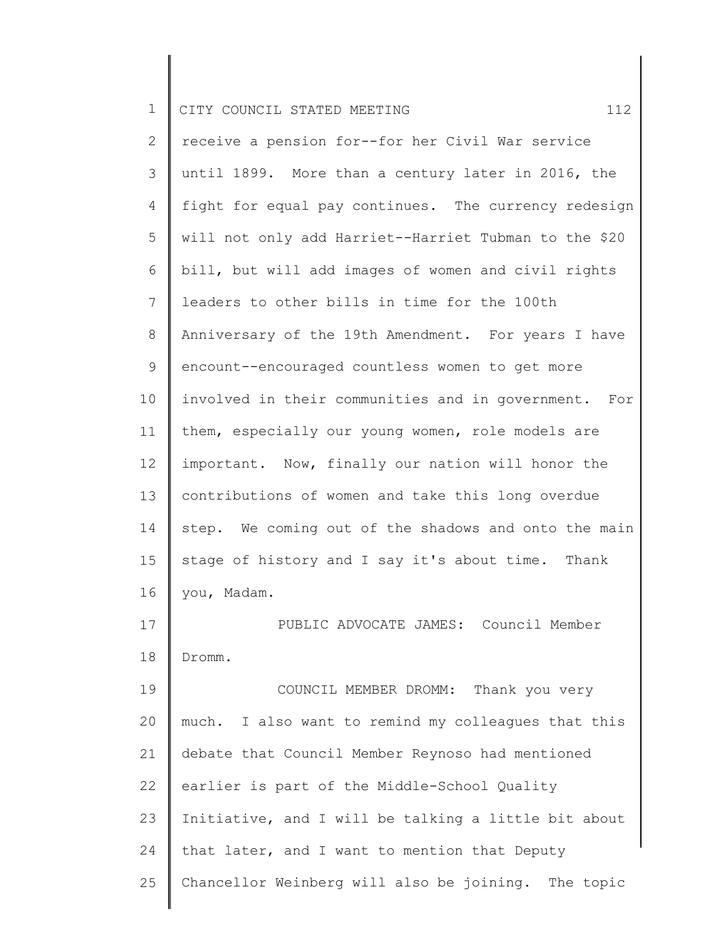|  |  | CITY COUNCIL STATED MEETING |  |  |  |  |  |
|--|--|-----------------------------|--|--|--|--|--|
|--|--|-----------------------------|--|--|--|--|--|

| 2              | receive a pension for--for her Civil War service      |
|----------------|-------------------------------------------------------|
| 3              | until 1899. More than a century later in 2016, the    |
| 4              | fight for equal pay continues. The currency redesign  |
| 5              | will not only add Harriet--Harriet Tubman to the \$20 |
| 6              | bill, but will add images of women and civil rights   |
| $7\phantom{.}$ | leaders to other bills in time for the 100th          |
| $\,8\,$        | Anniversary of the 19th Amendment. For years I have   |
| 9              | encount--encouraged countless women to get more       |
| 10             | involved in their communities and in government. For  |
| 11             | them, especially our young women, role models are     |
| 12             | important. Now, finally our nation will honor the     |
| 13             | contributions of women and take this long overdue     |
| 14             | step. We coming out of the shadows and onto the main  |
| 15             | stage of history and I say it's about time. Thank     |
| 16             | you, Madam.                                           |
| 17             | PUBLIC ADVOCATE JAMES: Council Member                 |
| 18             | Dromm.                                                |
| 19             | COUNCIL MEMBER DROMM: Thank you very                  |
| 20             | much. I also want to remind my colleagues that this   |
| 21             | debate that Council Member Reynoso had mentioned      |
| 22             | earlier is part of the Middle-School Quality          |

23 24 25 Initiative, and I will be talking a little bit about that later, and I want to mention that Deputy Chancellor Weinberg will also be joining. The topic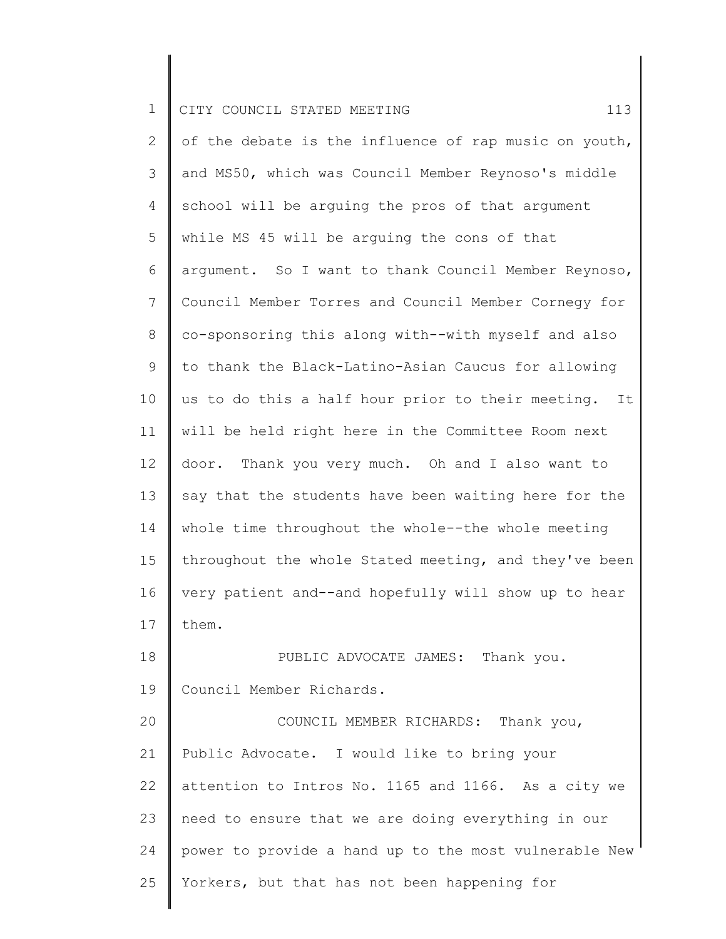25

2 3 4 5 6 7 8 9 10 11 12 13 14 15 16 17 18 19 20 21 22 23 24 of the debate is the influence of rap music on youth, and MS50, which was Council Member Reynoso's middle school will be arguing the pros of that argument while MS 45 will be arguing the cons of that argument. So I want to thank Council Member Reynoso, Council Member Torres and Council Member Cornegy for co-sponsoring this along with--with myself and also to thank the Black-Latino-Asian Caucus for allowing us to do this a half hour prior to their meeting. It will be held right here in the Committee Room next door. Thank you very much. Oh and I also want to say that the students have been waiting here for the whole time throughout the whole--the whole meeting throughout the whole Stated meeting, and they've been very patient and--and hopefully will show up to hear them. PUBLIC ADVOCATE JAMES: Thank you. Council Member Richards. COUNCIL MEMBER RICHARDS: Thank you, Public Advocate. I would like to bring your attention to Intros No. 1165 and 1166. As a city we need to ensure that we are doing everything in our power to provide a hand up to the most vulnerable New

Yorkers, but that has not been happening for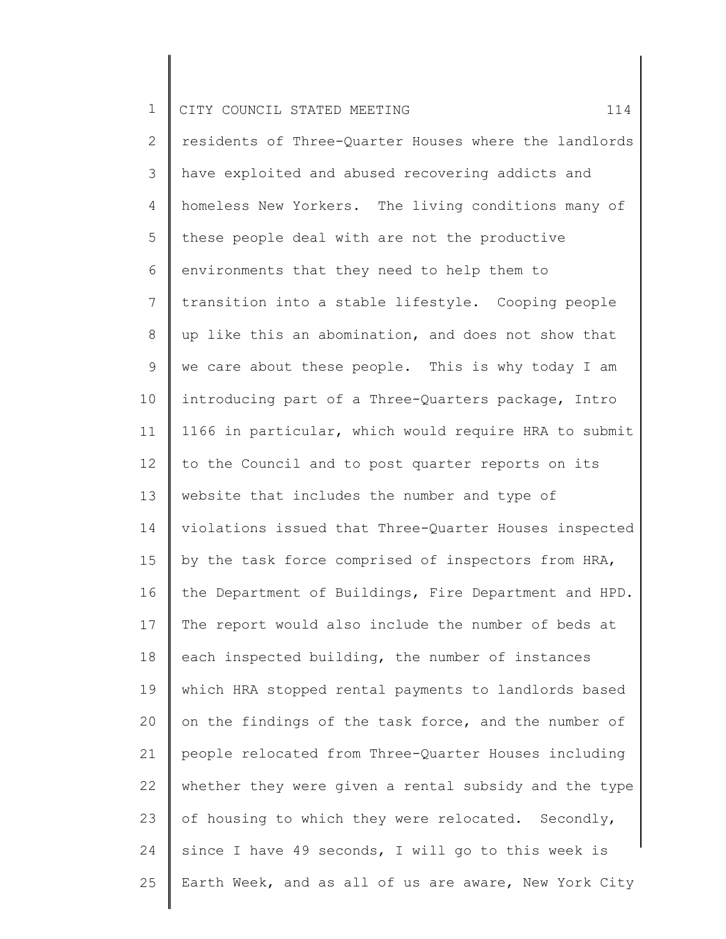2 3 4 5 6 7 8 9 10 11 12 13 14 15 16 17 18 19 20 21 22 23 24 25 residents of Three-Quarter Houses where the landlords have exploited and abused recovering addicts and homeless New Yorkers. The living conditions many of these people deal with are not the productive environments that they need to help them to transition into a stable lifestyle. Cooping people up like this an abomination, and does not show that we care about these people. This is why today I am introducing part of a Three-Quarters package, Intro 1166 in particular, which would require HRA to submit to the Council and to post quarter reports on its website that includes the number and type of violations issued that Three-Quarter Houses inspected by the task force comprised of inspectors from HRA, the Department of Buildings, Fire Department and HPD. The report would also include the number of beds at each inspected building, the number of instances which HRA stopped rental payments to landlords based on the findings of the task force, and the number of people relocated from Three-Quarter Houses including whether they were given a rental subsidy and the type of housing to which they were relocated. Secondly, since I have 49 seconds, I will go to this week is Earth Week, and as all of us are aware, New York City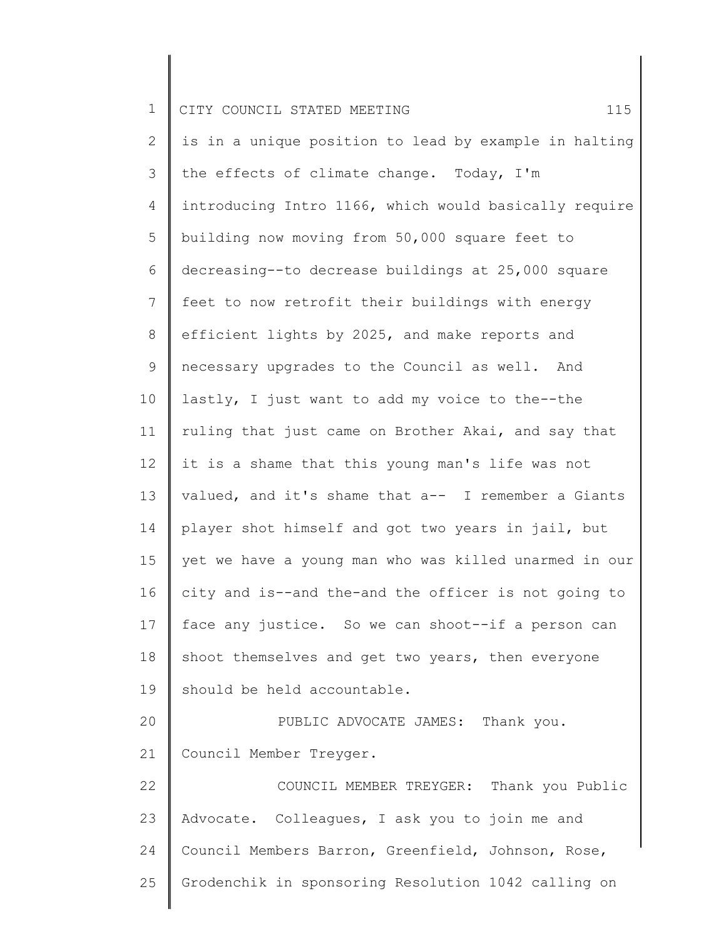2 3 4 5 6 7 8 9 10 11 12 13 14 15 16 17 18 19 20 21 22 23 24 25 is in a unique position to lead by example in halting the effects of climate change. Today, I'm introducing Intro 1166, which would basically require building now moving from 50,000 square feet to decreasing--to decrease buildings at 25,000 square feet to now retrofit their buildings with energy efficient lights by 2025, and make reports and necessary upgrades to the Council as well. And lastly, I just want to add my voice to the--the ruling that just came on Brother Akai, and say that it is a shame that this young man's life was not valued, and it's shame that a-- I remember a Giants player shot himself and got two years in jail, but yet we have a young man who was killed unarmed in our city and is--and the-and the officer is not going to face any justice. So we can shoot--if a person can shoot themselves and get two years, then everyone should be held accountable. PUBLIC ADVOCATE JAMES: Thank you. Council Member Treyger. COUNCIL MEMBER TREYGER: Thank you Public Advocate. Colleagues, I ask you to join me and Council Members Barron, Greenfield, Johnson, Rose, Grodenchik in sponsoring Resolution 1042 calling on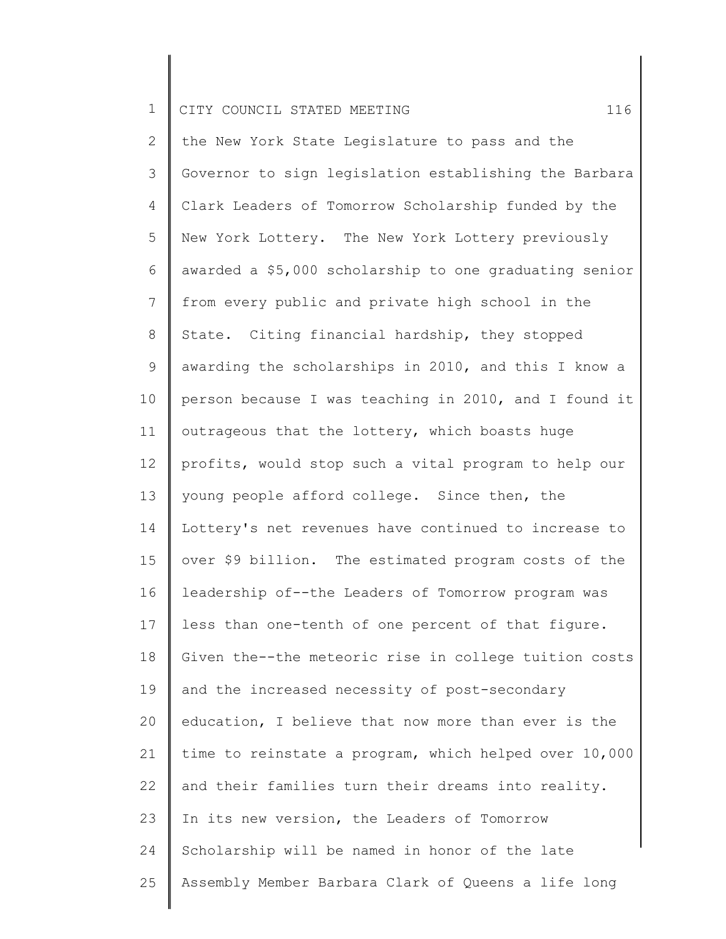2 3 4 5 6 7 8 9 10 11 12 13 14 15 16 17 18 19 20 21 22 23 24 25 the New York State Legislature to pass and the Governor to sign legislation establishing the Barbara Clark Leaders of Tomorrow Scholarship funded by the New York Lottery. The New York Lottery previously awarded a \$5,000 scholarship to one graduating senior from every public and private high school in the State. Citing financial hardship, they stopped awarding the scholarships in 2010, and this I know a person because I was teaching in 2010, and I found it outrageous that the lottery, which boasts huge profits, would stop such a vital program to help our young people afford college. Since then, the Lottery's net revenues have continued to increase to over \$9 billion. The estimated program costs of the leadership of--the Leaders of Tomorrow program was less than one-tenth of one percent of that figure. Given the--the meteoric rise in college tuition costs and the increased necessity of post-secondary education, I believe that now more than ever is the time to reinstate a program, which helped over 10,000 and their families turn their dreams into reality. In its new version, the Leaders of Tomorrow Scholarship will be named in honor of the late Assembly Member Barbara Clark of Queens a life long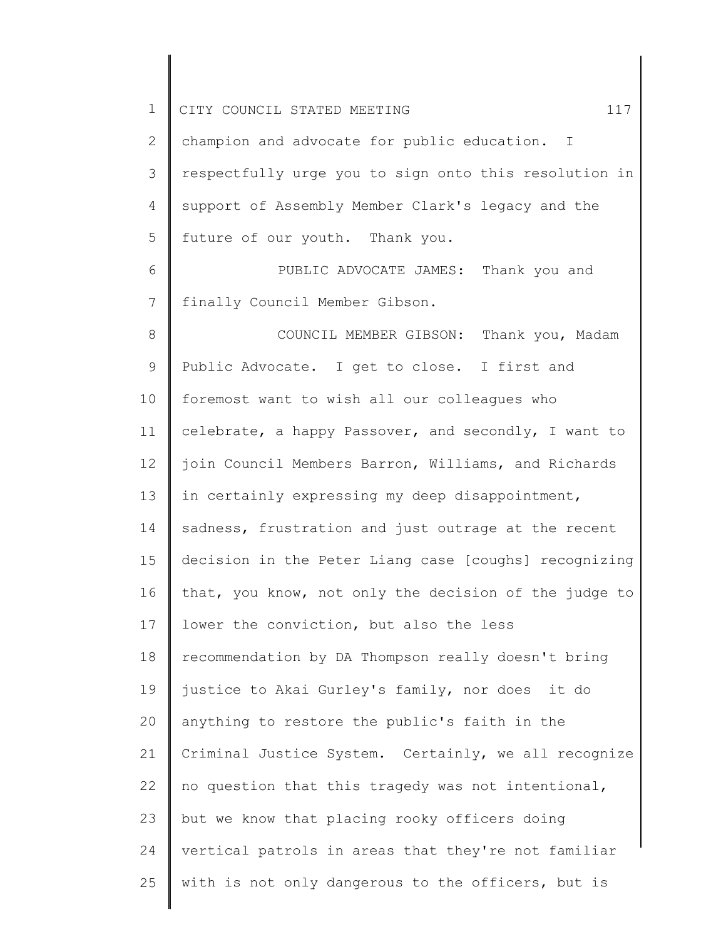| $\mathbf 1$ | 117<br>CITY COUNCIL STATED MEETING                    |
|-------------|-------------------------------------------------------|
| 2           | champion and advocate for public education. I         |
| 3           | respectfully urge you to sign onto this resolution in |
| 4           | support of Assembly Member Clark's legacy and the     |
| 5           | future of our youth. Thank you.                       |
| 6           | PUBLIC ADVOCATE JAMES: Thank you and                  |
| 7           | finally Council Member Gibson.                        |
| 8           | COUNCIL MEMBER GIBSON: Thank you, Madam               |
| 9           | Public Advocate. I get to close. I first and          |
| 10          | foremost want to wish all our colleagues who          |
| 11          | celebrate, a happy Passover, and secondly, I want to  |
| 12          | join Council Members Barron, Williams, and Richards   |
| 13          | in certainly expressing my deep disappointment,       |
| 14          | sadness, frustration and just outrage at the recent   |
| 15          | decision in the Peter Liang case [coughs] recognizing |
| 16          | that, you know, not only the decision of the judge to |
| 17          | lower the conviction, but also the less               |
| 18          | recommendation by DA Thompson really doesn't bring    |
| 19          | justice to Akai Gurley's family, nor does it do       |
| 20          | anything to restore the public's faith in the         |
| 21          | Criminal Justice System. Certainly, we all recognize  |
| 22          | no question that this tragedy was not intentional,    |
| 23          | but we know that placing rooky officers doing         |
| 24          | vertical patrols in areas that they're not familiar   |
| 25          | with is not only dangerous to the officers, but is    |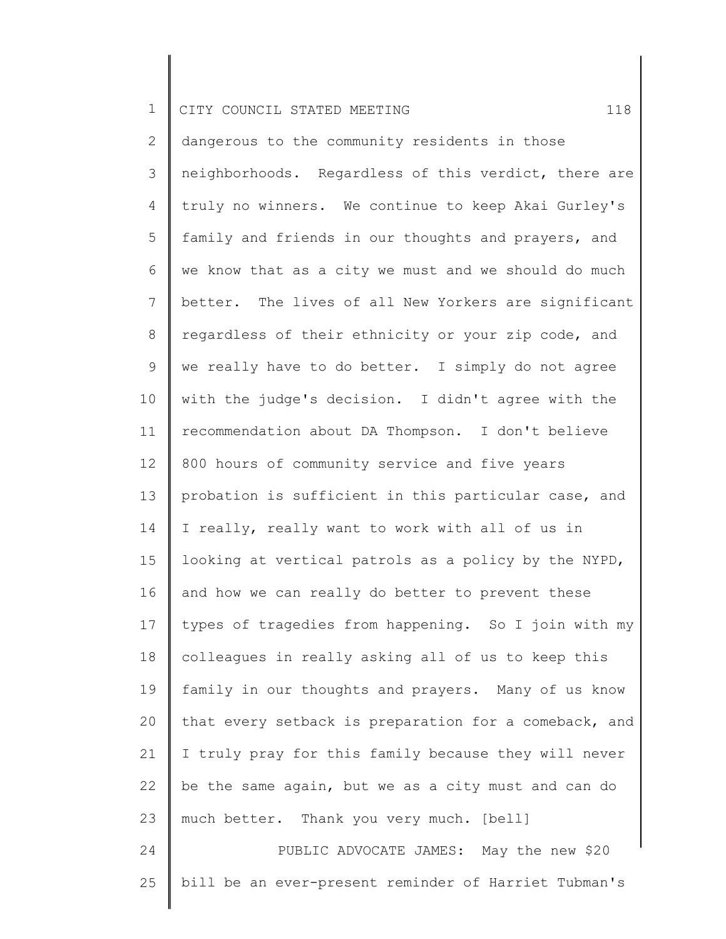2 3 4 5 6 7 8 9 10 11 12 13 14 15 16 17 18 19 20 21 22 23 24 dangerous to the community residents in those neighborhoods. Regardless of this verdict, there are truly no winners. We continue to keep Akai Gurley's family and friends in our thoughts and prayers, and we know that as a city we must and we should do much better. The lives of all New Yorkers are significant regardless of their ethnicity or your zip code, and we really have to do better. I simply do not agree with the judge's decision. I didn't agree with the recommendation about DA Thompson. I don't believe 800 hours of community service and five years probation is sufficient in this particular case, and I really, really want to work with all of us in looking at vertical patrols as a policy by the NYPD, and how we can really do better to prevent these types of tragedies from happening. So I join with my colleagues in really asking all of us to keep this family in our thoughts and prayers. Many of us know that every setback is preparation for a comeback, and I truly pray for this family because they will never be the same again, but we as a city must and can do much better. Thank you very much. [bell] PUBLIC ADVOCATE JAMES: May the new \$20

25 bill be an ever-present reminder of Harriet Tubman's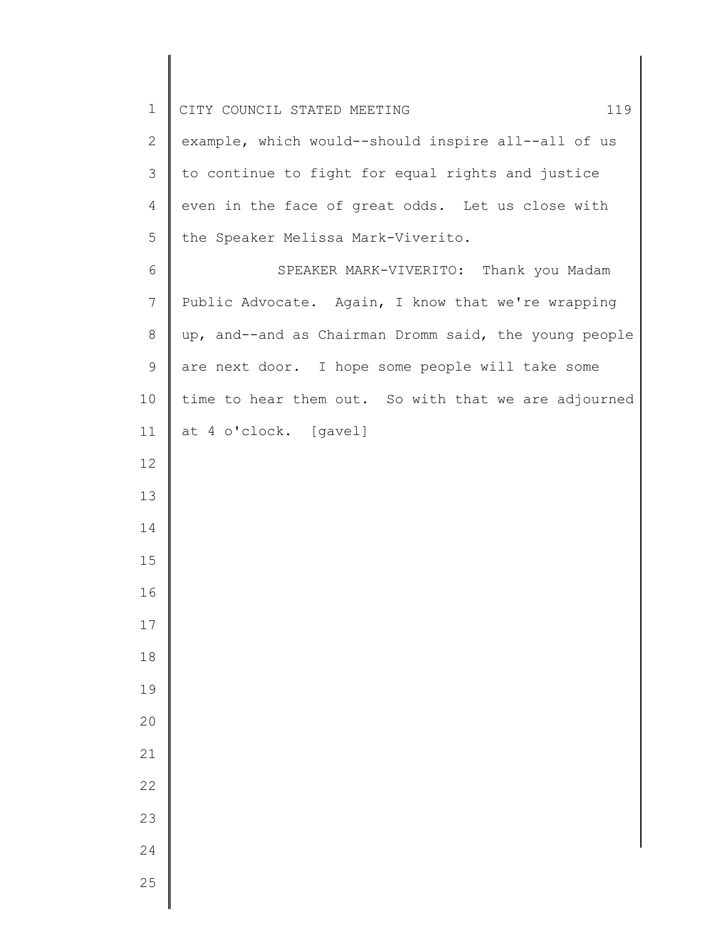| $\mathbf 1$  | CITY COUNCIL STATED MEETING<br>119                    |
|--------------|-------------------------------------------------------|
| $\mathbf{2}$ | example, which would--should inspire all--all of us   |
| 3            | to continue to fight for equal rights and justice     |
| 4            | even in the face of great odds. Let us close with     |
| 5            | the Speaker Melissa Mark-Viverito.                    |
| $\epsilon$   | SPEAKER MARK-VIVERITO: Thank you Madam                |
| 7            | Public Advocate. Again, I know that we're wrapping    |
| $\,8\,$      | up, and--and as Chairman Dromm said, the young people |
| 9            | are next door. I hope some people will take some      |
| 10           | time to hear them out. So with that we are adjourned  |
| 11           | at 4 o'clock. [gavel]                                 |
| 12           |                                                       |
| 13           |                                                       |
| 14           |                                                       |
| 15           |                                                       |
| 16           |                                                       |
| 17           |                                                       |
| 18           |                                                       |
| 19           |                                                       |
| 20           |                                                       |
| 21           |                                                       |
| 22           |                                                       |
| 23           |                                                       |
| 24           |                                                       |
| 25           |                                                       |